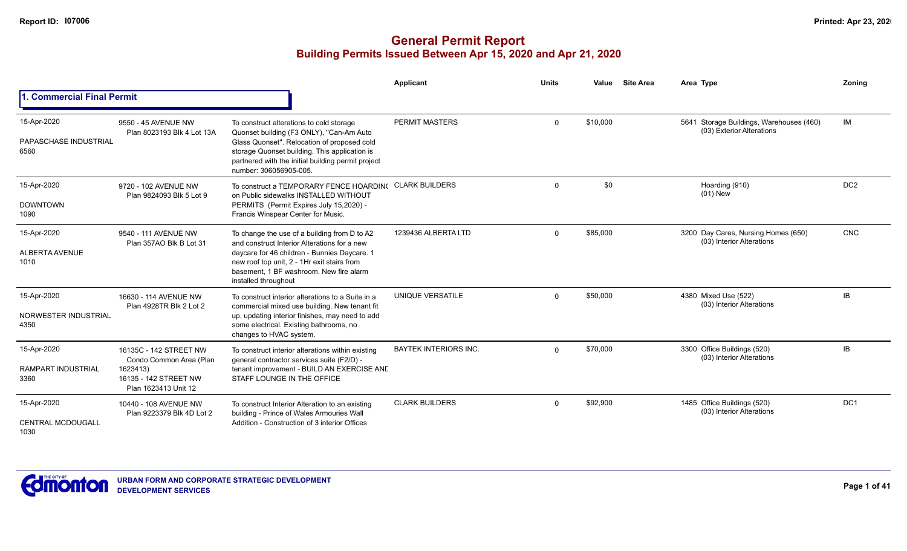|                                                  |                                                                                                                |                                                                                                                                                                                                                                                                      | Applicant                   | <b>Units</b> | Value    | <b>Site Area</b> | Area Type                                                             | Zoning          |
|--------------------------------------------------|----------------------------------------------------------------------------------------------------------------|----------------------------------------------------------------------------------------------------------------------------------------------------------------------------------------------------------------------------------------------------------------------|-----------------------------|--------------|----------|------------------|-----------------------------------------------------------------------|-----------------|
| 1. Commercial Final Permit                       |                                                                                                                |                                                                                                                                                                                                                                                                      |                             |              |          |                  |                                                                       |                 |
| 15-Apr-2020<br>PAPASCHASE INDUSTRIAL<br>6560     | 9550 - 45 AVENUE NW<br>Plan 8023193 Blk 4 Lot 13A                                                              | To construct alterations to cold storage<br>Quonset building (F3 ONLY), "Can-Am Auto<br>Glass Quonset". Relocation of proposed cold<br>storage Quonset building. This application is<br>partnered with the initial building permit project<br>number: 306056905-005. | <b>PERMIT MASTERS</b>       | $\Omega$     | \$10,000 |                  | 5641 Storage Buildings, Warehouses (460)<br>(03) Exterior Alterations | IM              |
| 15-Apr-2020<br><b>DOWNTOWN</b><br>1090           | 9720 - 102 AVENUE NW<br>Plan 9824093 Blk 5 Lot 9                                                               | To construct a TEMPORARY FENCE HOARDING<br>on Public sidewalks INSTALLED WITHOUT<br>PERMITS (Permit Expires July 15,2020) -<br>Francis Winspear Center for Music.                                                                                                    | <b>CLARK BUILDERS</b>       | $\Omega$     | \$0      |                  | Hoarding (910)<br>$(01)$ New                                          | DC <sub>2</sub> |
| 15-Apr-2020<br><b>ALBERTA AVENUE</b><br>1010     | 9540 - 111 AVENUE NW<br>Plan 357AO Blk B Lot 31                                                                | To change the use of a building from D to A2<br>and construct Interior Alterations for a new<br>daycare for 46 children - Bunnies Daycare. 1<br>new roof top unit, 2 - 1Hr exit stairs from<br>basement. 1 BF washroom. New fire alarm<br>installed throughout       | 1239436 ALBERTA LTD         | $\Omega$     | \$85,000 |                  | 3200 Day Cares, Nursing Homes (650)<br>(03) Interior Alterations      | <b>CNC</b>      |
| 15-Apr-2020<br>NORWESTER INDUSTRIAL<br>4350      | 16630 - 114 AVENUE NW<br>Plan 4928TR Blk 2 Lot 2                                                               | To construct interior alterations to a Suite in a<br>commercial mixed use building. New tenant fit<br>up, updating interior finishes, may need to add<br>some electrical. Existing bathrooms, no<br>changes to HVAC system.                                          | UNIQUE VERSATILE            | $\Omega$     | \$50,000 |                  | 4380 Mixed Use (522)<br>(03) Interior Alterations                     | IB              |
| 15-Apr-2020<br><b>RAMPART INDUSTRIAL</b><br>3360 | 16135C - 142 STREET NW<br>Condo Common Area (Plan<br>1623413)<br>16135 - 142 STREET NW<br>Plan 1623413 Unit 12 | To construct interior alterations within existing<br>general contractor services suite (F2/D) -<br>tenant improvement - BUILD AN EXERCISE AND<br>STAFF LOUNGE IN THE OFFICE                                                                                          | <b>BAYTEK INTERIORS INC</b> | $\Omega$     | \$70.000 |                  | 3300 Office Buildings (520)<br>(03) Interior Alterations              | IB.             |
| 15-Apr-2020<br><b>CENTRAL MCDOUGALL</b><br>1030  | 10440 - 108 AVENUE NW<br>Plan 9223379 Blk 4D Lot 2                                                             | To construct Interior Alteration to an existing<br>building - Prince of Wales Armouries Wall<br>Addition - Construction of 3 interior Offices                                                                                                                        | <b>CLARK BUILDERS</b>       | $\Omega$     | \$92,900 |                  | 1485 Office Buildings (520)<br>(03) Interior Alterations              | DC1             |

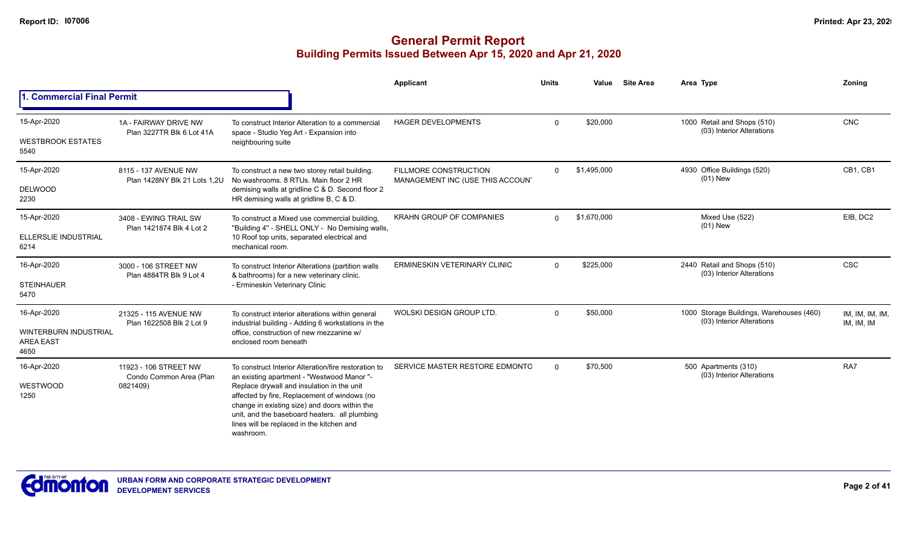|                                                                         |                                                              |                                                                                                                                                                                                                                                                                                                                                              | Applicant                                                        | <b>Units</b> | Value       | <b>Site Area</b> | Area Type                                                             | <b>Zoning</b>                 |
|-------------------------------------------------------------------------|--------------------------------------------------------------|--------------------------------------------------------------------------------------------------------------------------------------------------------------------------------------------------------------------------------------------------------------------------------------------------------------------------------------------------------------|------------------------------------------------------------------|--------------|-------------|------------------|-----------------------------------------------------------------------|-------------------------------|
| I. Commercial Final Permit                                              |                                                              |                                                                                                                                                                                                                                                                                                                                                              |                                                                  |              |             |                  |                                                                       |                               |
| 15-Apr-2020<br><b>WESTBROOK ESTATES</b><br>5540                         | 1A - FAIRWAY DRIVE NW<br>Plan 3227TR Blk 6 Lot 41A           | To construct Interior Alteration to a commercial<br>space - Studio Yeg Art - Expansion into<br>neighbouring suite                                                                                                                                                                                                                                            | <b>HAGER DEVELOPMENTS</b>                                        | $\Omega$     | \$20,000    |                  | 1000 Retail and Shops (510)<br>(03) Interior Alterations              | <b>CNC</b>                    |
| 15-Apr-2020<br><b>DELWOOD</b><br>2230                                   | 8115 - 137 AVENUE NW<br>Plan 1428NY Blk 21 Lots 1,2U         | To construct a new two storey retail building.<br>No washrooms, 8 RTUs, Main floor 2 HR<br>demising walls at gridline C & D. Second floor 2<br>HR demising walls at gridline B, C & D.                                                                                                                                                                       | <b>FILLMORE CONSTRUCTION</b><br>MANAGEMENT INC (USE THIS ACCOUN' | $\Omega$     | \$1,495,000 |                  | 4930 Office Buildings (520)<br>$(01)$ New                             | CB1. CB1                      |
| 15-Apr-2020<br>ELLERSLIE INDUSTRIAL<br>6214                             | 3408 - EWING TRAIL SW<br>Plan 1421874 Blk 4 Lot 2            | To construct a Mixed use commercial building,<br>"Building 4" - SHELL ONLY - No Demising walls,<br>10 Roof top units, separated electrical and<br>mechanical room.                                                                                                                                                                                           | <b>KRAHN GROUP OF COMPANIES</b>                                  | $\Omega$     | \$1,670,000 |                  | Mixed Use (522)<br>$(01)$ New                                         | EIB, DC2                      |
| 16-Apr-2020<br><b>STEINHAUER</b><br>5470                                | 3000 - 106 STREET NW<br>Plan 4884TR Blk 9 Lot 4              | To construct Interior Alterations (partition walls<br>& bathrooms) for a new veterinary clinic.<br>- Ermineskin Veterinary Clinic                                                                                                                                                                                                                            | <b>ERMINESKIN VETERINARY CLINIC</b>                              | $\Omega$     | \$225,000   |                  | 2440 Retail and Shops (510)<br>(03) Interior Alterations              | <b>CSC</b>                    |
| 16-Apr-2020<br><b>WINTERBURN INDUSTRIAL</b><br><b>AREA EAST</b><br>4650 | 21325 - 115 AVENUE NW<br>Plan 1622508 Blk 2 Lot 9            | To construct interior alterations within general<br>industrial building - Adding 6 workstations in the<br>office, construction of new mezzanine w/<br>enclosed room beneath                                                                                                                                                                                  | WOLSKI DESIGN GROUP LTD.                                         | $\Omega$     | \$50,000    |                  | 1000 Storage Buildings, Warehouses (460)<br>(03) Interior Alterations | IM, IM, IM, IM,<br>IM, IM, IM |
| 16-Apr-2020<br>WESTWOOD<br>1250                                         | 11923 - 106 STREET NW<br>Condo Common Area (Plan<br>0821409) | To construct Interior Alteration/fire restoration to<br>an existing apartment - "Westwood Manor "-<br>Replace drywall and insulation in the unit<br>affected by fire, Replacement of windows (no<br>change in existing size) and doors within the<br>unit, and the baseboard heaters. all plumbing<br>lines will be replaced in the kitchen and<br>washroom. | SERVICE MASTER RESTORE EDMONTC                                   | $\Omega$     | \$70,500    |                  | 500 Apartments (310)<br>(03) Interior Alterations                     | RA7                           |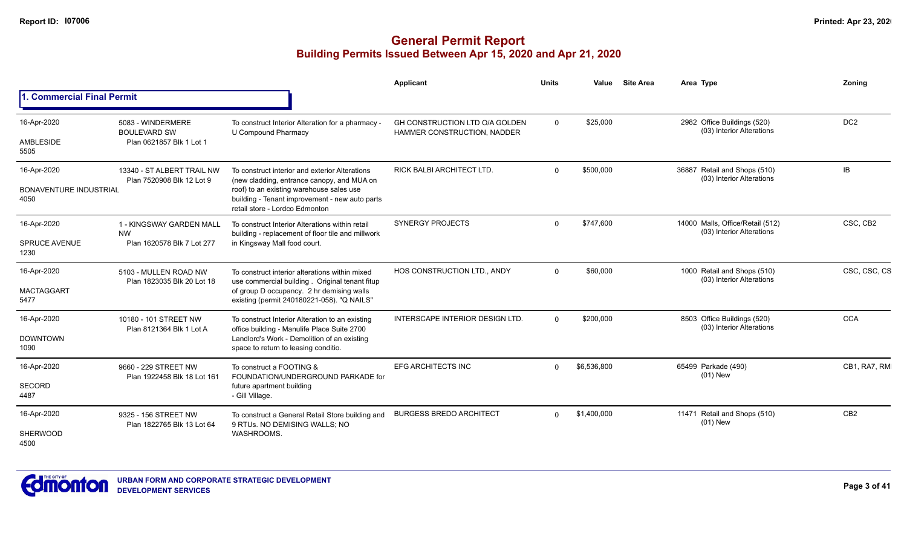|                                                      |                                                                      |                                                                                                                                                                                                                              | Applicant                                                     | <b>Units</b> | Value       | <b>Site Area</b> | Area Type                                                     | Zonina          |
|------------------------------------------------------|----------------------------------------------------------------------|------------------------------------------------------------------------------------------------------------------------------------------------------------------------------------------------------------------------------|---------------------------------------------------------------|--------------|-------------|------------------|---------------------------------------------------------------|-----------------|
| <b>1. Commercial Final Permit</b>                    |                                                                      |                                                                                                                                                                                                                              |                                                               |              |             |                  |                                                               |                 |
| 16-Apr-2020<br>AMBLESIDE<br>5505                     | 5083 - WINDERMERE<br><b>BOULEVARD SW</b><br>Plan 0621857 Blk 1 Lot 1 | To construct Interior Alteration for a pharmacy -<br>U Compound Pharmacy                                                                                                                                                     | GH CONSTRUCTION LTD O/A GOLDEN<br>HAMMER CONSTRUCTION, NADDER | $\Omega$     | \$25,000    |                  | 2982 Office Buildings (520)<br>(03) Interior Alterations      | DC <sub>2</sub> |
| 16-Apr-2020<br><b>BONAVENTURE INDUSTRIAL</b><br>4050 | 13340 - ST ALBERT TRAIL NW<br>Plan 7520908 Blk 12 Lot 9              | To construct interior and exterior Alterations<br>(new cladding, entrance canopy, and MUA on<br>roof) to an existing warehouse sales use<br>building - Tenant improvement - new auto parts<br>retail store - Lordco Edmonton | RICK BALBI ARCHITECT LTD.                                     | $\Omega$     | \$500,000   |                  | 36887 Retail and Shops (510)<br>(03) Interior Alterations     | IB              |
| 16-Apr-2020<br><b>SPRUCE AVENUE</b><br>1230          | 1 - KINGSWAY GARDEN MALL<br><b>NW</b><br>Plan 1620578 Blk 7 Lot 277  | To construct Interior Alterations within retail<br>building - replacement of floor tile and millwork<br>in Kingsway Mall food court.                                                                                         | <b>SYNERGY PROJECTS</b>                                       | $\Omega$     | \$747,600   |                  | 14000 Malls, Office/Retail (512)<br>(03) Interior Alterations | CSC, CB2        |
| 16-Apr-2020<br><b>MACTAGGART</b><br>5477             | 5103 - MULLEN ROAD NW<br>Plan 1823035 Blk 20 Lot 18                  | To construct interior alterations within mixed<br>use commercial building. Original tenant fitup<br>of group D occupancy. 2 hr demising walls<br>existing (permit 240180221-058). "Q NAILS"                                  | HOS CONSTRUCTION LTD., ANDY                                   | $\Omega$     | \$60,000    |                  | 1000 Retail and Shops (510)<br>(03) Interior Alterations      | CSC, CSC, CS    |
| 16-Apr-2020<br><b>DOWNTOWN</b><br>1090               | 10180 - 101 STREET NW<br>Plan 8121364 Blk 1 Lot A                    | To construct Interior Alteration to an existing<br>office building - Manulife Place Suite 2700<br>Landlord's Work - Demolition of an existing<br>space to return to leasing conditio.                                        | <b>INTERSCAPE INTERIOR DESIGN LTD.</b>                        | $\Omega$     | \$200,000   |                  | 8503 Office Buildings (520)<br>(03) Interior Alterations      | <b>CCA</b>      |
| 16-Apr-2020<br><b>SECORD</b><br>4487                 | 9660 - 229 STREET NW<br>Plan 1922458 Blk 18 Lot 161                  | To construct a FOOTING &<br>FOUNDATION/UNDERGROUND PARKADE for<br>future apartment building<br>- Gill Village.                                                                                                               | <b>EFG ARCHITECTS INC</b>                                     | $\Omega$     | \$6,536,800 |                  | 65499 Parkade (490)<br>$(01)$ New                             | CB1, RA7, RM    |
| 16-Apr-2020<br><b>SHERWOOD</b><br>4500               | 9325 - 156 STREET NW<br>Plan 1822765 Blk 13 Lot 64                   | To construct a General Retail Store building and<br>9 RTUs. NO DEMISING WALLS; NO<br>WASHROOMS.                                                                                                                              | <b>BURGESS BREDO ARCHITECT</b>                                | $\Omega$     | \$1,400,000 |                  | 11471 Retail and Shops (510)<br>$(01)$ New                    | CB <sub>2</sub> |

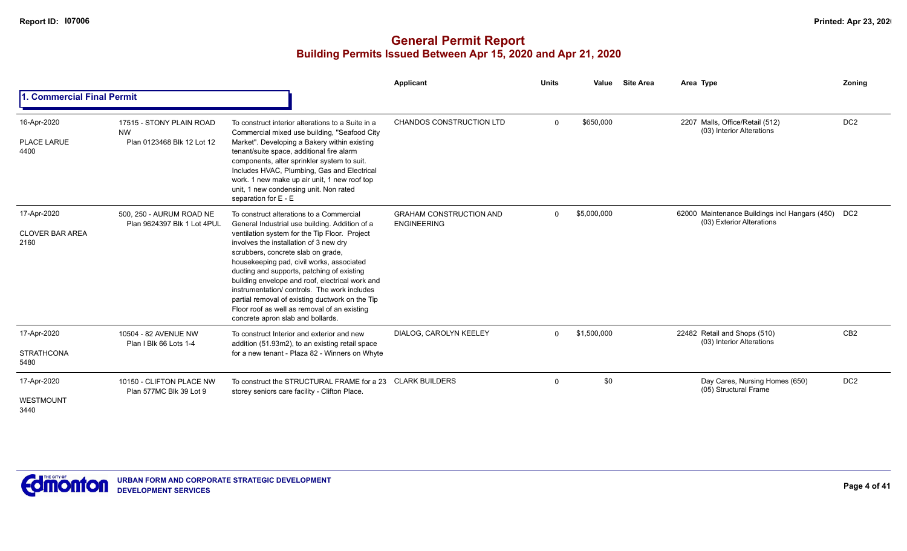|                                               |                                                                     |                                                                                                                                                                                                                                                                                                                                                                                                                                                                                                                                                                  | Applicant                                            | <b>Units</b> | Value       | <b>Site Area</b> | Area Type                                                                       | Zoning          |
|-----------------------------------------------|---------------------------------------------------------------------|------------------------------------------------------------------------------------------------------------------------------------------------------------------------------------------------------------------------------------------------------------------------------------------------------------------------------------------------------------------------------------------------------------------------------------------------------------------------------------------------------------------------------------------------------------------|------------------------------------------------------|--------------|-------------|------------------|---------------------------------------------------------------------------------|-----------------|
| 1. Commercial Final Permit                    |                                                                     |                                                                                                                                                                                                                                                                                                                                                                                                                                                                                                                                                                  |                                                      |              |             |                  |                                                                                 |                 |
| 16-Apr-2020<br><b>PLACE LARUE</b><br>4400     | 17515 - STONY PLAIN ROAD<br><b>NW</b><br>Plan 0123468 Blk 12 Lot 12 | To construct interior alterations to a Suite in a<br>Commercial mixed use building, "Seafood City<br>Market". Developing a Bakery within existing<br>tenant/suite space, additional fire alarm<br>components, alter sprinkler system to suit.<br>Includes HVAC, Plumbing, Gas and Electrical<br>work. 1 new make up air unit, 1 new roof top<br>unit, 1 new condensing unit. Non rated<br>separation for E - E                                                                                                                                                   | <b>CHANDOS CONSTRUCTION LTD</b>                      | $\Omega$     | \$650,000   |                  | 2207 Malls, Office/Retail (512)<br>(03) Interior Alterations                    | DC <sub>2</sub> |
| 17-Apr-2020<br><b>CLOVER BAR AREA</b><br>2160 | 500, 250 - AURUM ROAD NE<br>Plan 9624397 Blk 1 Lot 4PUL             | To construct alterations to a Commercial<br>General Industrial use building. Addition of a<br>ventilation system for the Tip Floor. Project<br>involves the installation of 3 new dry<br>scrubbers, concrete slab on grade,<br>housekeeping pad, civil works, associated<br>ducting and supports, patching of existing<br>building envelope and roof, electrical work and<br>instrumentation/controls. The work includes<br>partial removal of existing ductwork on the Tip<br>Floor roof as well as removal of an existing<br>concrete apron slab and bollards. | <b>GRAHAM CONSTRUCTION AND</b><br><b>ENGINEERING</b> | $\Omega$     | \$5,000,000 |                  | 62000 Maintenance Buildings incl Hangars (450) DC2<br>(03) Exterior Alterations |                 |
| 17-Apr-2020<br><b>STRATHCONA</b><br>5480      | 10504 - 82 AVENUE NW<br>Plan I Blk 66 Lots 1-4                      | To construct Interior and exterior and new<br>addition (51.93m2), to an existing retail space<br>for a new tenant - Plaza 82 - Winners on Whyte                                                                                                                                                                                                                                                                                                                                                                                                                  | DIALOG, CAROLYN KEELEY                               | $\Omega$     | \$1,500,000 |                  | 22482 Retail and Shops (510)<br>(03) Interior Alterations                       | CB <sub>2</sub> |
| 17-Apr-2020<br>WESTMOUNT<br>3440              | 10150 - CLIFTON PLACE NW<br>Plan 577MC Blk 39 Lot 9                 | To construct the STRUCTURAL FRAME for a 23<br>storey seniors care facility - Clifton Place.                                                                                                                                                                                                                                                                                                                                                                                                                                                                      | <b>CLARK BUILDERS</b>                                | $\mathbf 0$  | \$0         |                  | Day Cares, Nursing Homes (650)<br>(05) Structural Frame                         | DC <sub>2</sub> |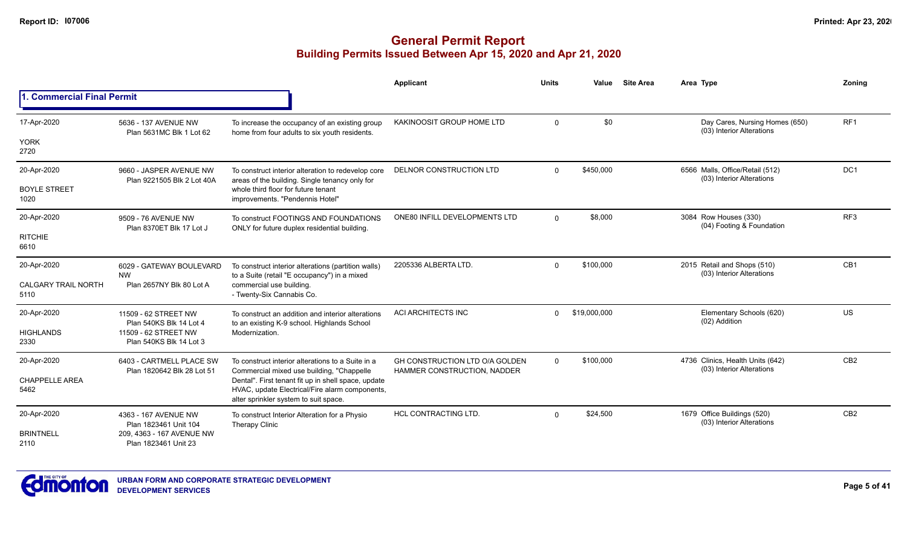|                                    |                                                        |                                                                                                                                                | Applicant                                                     | <b>Units</b> | Value        | <b>Site Area</b> | Area Type                                                     | Zonina          |
|------------------------------------|--------------------------------------------------------|------------------------------------------------------------------------------------------------------------------------------------------------|---------------------------------------------------------------|--------------|--------------|------------------|---------------------------------------------------------------|-----------------|
| 1. Commercial Final Permit         |                                                        |                                                                                                                                                |                                                               |              |              |                  |                                                               |                 |
| 17-Apr-2020                        | 5636 - 137 AVENUE NW<br>Plan 5631MC Blk 1 Lot 62       | To increase the occupancy of an existing group<br>home from four adults to six youth residents.                                                | KAKINOOSIT GROUP HOME LTD                                     | $\mathbf 0$  | \$0          |                  | Day Cares, Nursing Homes (650)<br>(03) Interior Alterations   | RF <sub>1</sub> |
| <b>YORK</b><br>2720                |                                                        |                                                                                                                                                |                                                               |              |              |                  |                                                               |                 |
| 20-Apr-2020                        | 9660 - JASPER AVENUE NW<br>Plan 9221505 Blk 2 Lot 40A  | To construct interior alteration to redevelop core<br>areas of the building. Single tenancy only for                                           | DELNOR CONSTRUCTION LTD                                       | $\mathbf{0}$ | \$450,000    |                  | 6566 Malls, Office/Retail (512)<br>(03) Interior Alterations  | DC1             |
| <b>BOYLE STREET</b><br>1020        |                                                        | whole third floor for future tenant<br>improvements. "Pendennis Hotel"                                                                         |                                                               |              |              |                  |                                                               |                 |
| 20-Apr-2020                        | 9509 - 76 AVENUE NW<br>Plan 8370ET Blk 17 Lot J        | To construct FOOTINGS AND FOUNDATIONS<br>ONLY for future duplex residential building.                                                          | ONE80 INFILL DEVELOPMENTS LTD                                 | $\Omega$     | \$8,000      |                  | 3084 Row Houses (330)<br>(04) Footing & Foundation            | RF <sub>3</sub> |
| <b>RITCHIE</b><br>6610             |                                                        |                                                                                                                                                |                                                               |              |              |                  |                                                               |                 |
| 20-Apr-2020                        | 6029 - GATEWAY BOULEVARD<br><b>NW</b>                  | To construct interior alterations (partition walls)                                                                                            | 2205336 ALBERTA LTD                                           | $\mathbf{0}$ | \$100,000    |                  | 2015 Retail and Shops (510)<br>(03) Interior Alterations      | CB1             |
| <b>CALGARY TRAIL NORTH</b><br>5110 | Plan 2657NY Blk 80 Lot A                               | to a Suite (retail "E occupancy") in a mixed<br>commercial use building.<br>- Twenty-Six Cannabis Co.                                          |                                                               |              |              |                  |                                                               |                 |
| 20-Apr-2020                        | 11509 - 62 STREET NW<br>Plan 540KS Blk 14 Lot 4        | To construct an addition and interior alterations<br>to an existing K-9 school. Highlands School                                               | ACI ARCHITECTS INC                                            | $\Omega$     | \$19,000,000 |                  | Elementary Schools (620)<br>(02) Addition                     | US              |
| <b>HIGHLANDS</b><br>2330           | 11509 - 62 STREET NW<br>Plan 540KS Blk 14 Lot 3        | Modernization.                                                                                                                                 |                                                               |              |              |                  |                                                               |                 |
| 20-Apr-2020                        | 6403 - CARTMELL PLACE SW<br>Plan 1820642 Blk 28 Lot 51 | To construct interior alterations to a Suite in a<br>Commercial mixed use building, "Chappelle"                                                | GH CONSTRUCTION LTD O/A GOLDEN<br>HAMMER CONSTRUCTION, NADDER | $\Omega$     | \$100,000    |                  | 4736 Clinics, Health Units (642)<br>(03) Interior Alterations | CB <sub>2</sub> |
| <b>CHAPPELLE AREA</b><br>5462      |                                                        | Dental". First tenant fit up in shell space, update<br>HVAC, update Electrical/Fire alarm components,<br>alter sprinkler system to suit space. |                                                               |              |              |                  |                                                               |                 |
| 20-Apr-2020                        | 4363 - 167 AVENUE NW<br>Plan 1823461 Unit 104          | To construct Interior Alteration for a Physio<br><b>Therapy Clinic</b>                                                                         | <b>HCL CONTRACTING LTD.</b>                                   | $\Omega$     | \$24,500     |                  | 1679 Office Buildings (520)<br>(03) Interior Alterations      | CB <sub>2</sub> |
| <b>BRINTNELL</b><br>2110           | 209, 4363 - 167 AVENUE NW<br>Plan 1823461 Unit 23      |                                                                                                                                                |                                                               |              |              |                  |                                                               |                 |

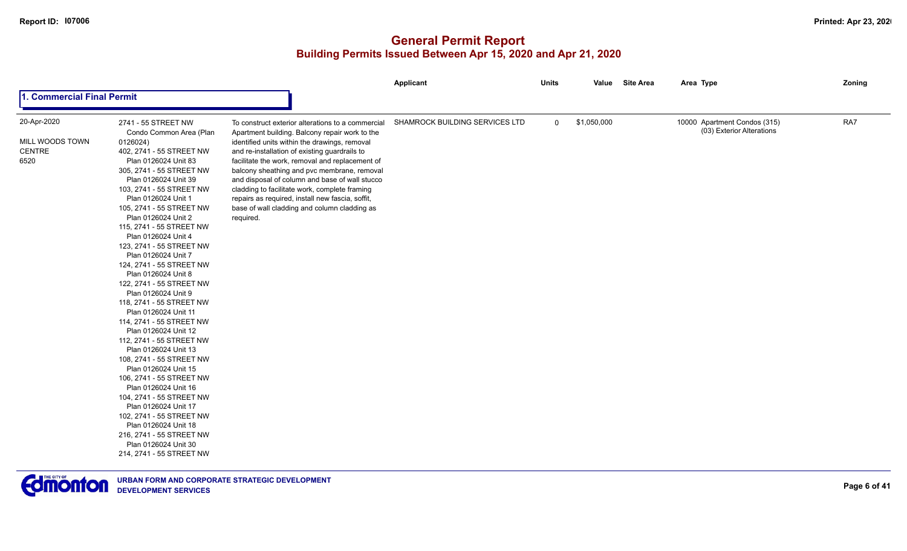| 1. Commercial Final Permit<br>20-Apr-2020<br>SHAMROCK BUILDING SERVICES LTD<br>\$1,050,000<br>2741 - 55 STREET NW<br>$\overline{0}$<br>To construct exterior alterations to a commercial                                                                                                                                                                                                                                                                                                                                                                                                                                                                                                                                                                                                                                                                                                                                                                                                                                                                                                                                                                                                                                                                                                                                                                                                                            | 10000 Apartment Condos (315)<br>(03) Exterior Alterations | RA7 |
|---------------------------------------------------------------------------------------------------------------------------------------------------------------------------------------------------------------------------------------------------------------------------------------------------------------------------------------------------------------------------------------------------------------------------------------------------------------------------------------------------------------------------------------------------------------------------------------------------------------------------------------------------------------------------------------------------------------------------------------------------------------------------------------------------------------------------------------------------------------------------------------------------------------------------------------------------------------------------------------------------------------------------------------------------------------------------------------------------------------------------------------------------------------------------------------------------------------------------------------------------------------------------------------------------------------------------------------------------------------------------------------------------------------------|-----------------------------------------------------------|-----|
|                                                                                                                                                                                                                                                                                                                                                                                                                                                                                                                                                                                                                                                                                                                                                                                                                                                                                                                                                                                                                                                                                                                                                                                                                                                                                                                                                                                                                     |                                                           |     |
| Condo Common Area (Plan<br>Apartment building. Balcony repair work to the<br>MILL WOODS TOWN<br>0126024)<br>identified units within the drawings, removal<br><b>CENTRE</b><br>402, 2741 - 55 STREET NW<br>and re-installation of existing guardrails to<br>6520<br>Plan 0126024 Unit 83<br>facilitate the work, removal and replacement of<br>305, 2741 - 55 STREET NW<br>balcony sheathing and pvc membrane, removal<br>Plan 0126024 Unit 39<br>and disposal of column and base of wall stucco<br>103, 2741 - 55 STREET NW<br>cladding to facilitate work, complete framing<br>Plan 0126024 Unit 1<br>repairs as required, install new fascia, soffit,<br>105, 2741 - 55 STREET NW<br>base of wall cladding and column cladding as<br>Plan 0126024 Unit 2<br>required.<br>115, 2741 - 55 STREET NW<br>Plan 0126024 Unit 4<br>123, 2741 - 55 STREET NW<br>Plan 0126024 Unit 7<br>124, 2741 - 55 STREET NW<br>Plan 0126024 Unit 8<br>122, 2741 - 55 STREET NW<br>Plan 0126024 Unit 9<br>118, 2741 - 55 STREET NW<br>Plan 0126024 Unit 11<br>114, 2741 - 55 STREET NW<br>Plan 0126024 Unit 12<br>112, 2741 - 55 STREET NW<br>Plan 0126024 Unit 13<br>108, 2741 - 55 STREET NW<br>Plan 0126024 Unit 15<br>106, 2741 - 55 STREET NW<br>Plan 0126024 Unit 16<br>104, 2741 - 55 STREET NW<br>Plan 0126024 Unit 17<br>102, 2741 - 55 STREET NW<br>Plan 0126024 Unit 18<br>216, 2741 - 55 STREET NW<br>Plan 0126024 Unit 30 |                                                           |     |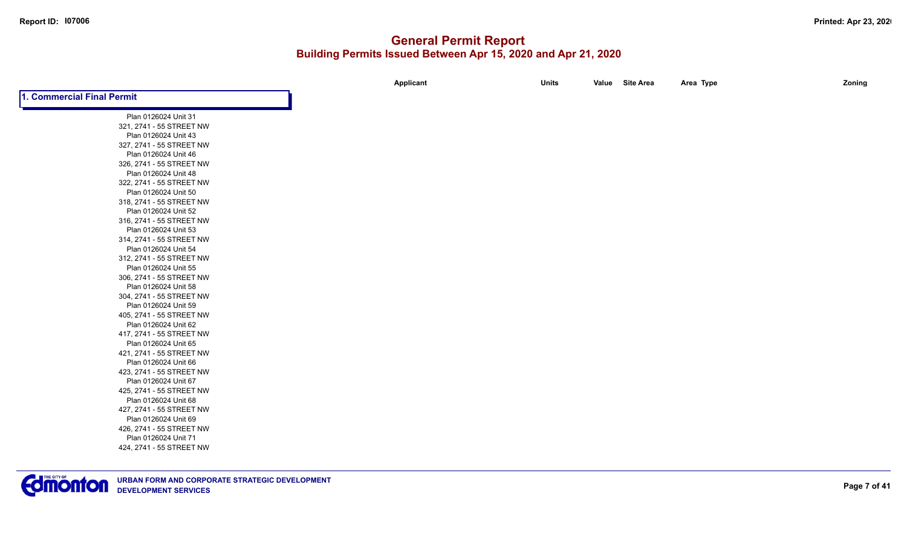|                            | Applicant | <b>Units</b> | Value Site Area | Area Type | Zoning |
|----------------------------|-----------|--------------|-----------------|-----------|--------|
| 1. Commercial Final Permit |           |              |                 |           |        |
| Plan 0126024 Unit 31       |           |              |                 |           |        |
| 321, 2741 - 55 STREET NW   |           |              |                 |           |        |
| Plan 0126024 Unit 43       |           |              |                 |           |        |
| 327, 2741 - 55 STREET NW   |           |              |                 |           |        |
| Plan 0126024 Unit 46       |           |              |                 |           |        |
| 326, 2741 - 55 STREET NW   |           |              |                 |           |        |
| Plan 0126024 Unit 48       |           |              |                 |           |        |
| 322, 2741 - 55 STREET NW   |           |              |                 |           |        |
| Plan 0126024 Unit 50       |           |              |                 |           |        |
| 318, 2741 - 55 STREET NW   |           |              |                 |           |        |
| Plan 0126024 Unit 52       |           |              |                 |           |        |
| 316, 2741 - 55 STREET NW   |           |              |                 |           |        |
| Plan 0126024 Unit 53       |           |              |                 |           |        |
| 314, 2741 - 55 STREET NW   |           |              |                 |           |        |
| Plan 0126024 Unit 54       |           |              |                 |           |        |
| 312, 2741 - 55 STREET NW   |           |              |                 |           |        |
| Plan 0126024 Unit 55       |           |              |                 |           |        |
| 306, 2741 - 55 STREET NW   |           |              |                 |           |        |
| Plan 0126024 Unit 58       |           |              |                 |           |        |
| 304, 2741 - 55 STREET NW   |           |              |                 |           |        |
| Plan 0126024 Unit 59       |           |              |                 |           |        |
| 405, 2741 - 55 STREET NW   |           |              |                 |           |        |
| Plan 0126024 Unit 62       |           |              |                 |           |        |
| 417, 2741 - 55 STREET NW   |           |              |                 |           |        |
| Plan 0126024 Unit 65       |           |              |                 |           |        |
| 421, 2741 - 55 STREET NW   |           |              |                 |           |        |
| Plan 0126024 Unit 66       |           |              |                 |           |        |
| 423, 2741 - 55 STREET NW   |           |              |                 |           |        |
| Plan 0126024 Unit 67       |           |              |                 |           |        |
| 425, 2741 - 55 STREET NW   |           |              |                 |           |        |
| Plan 0126024 Unit 68       |           |              |                 |           |        |
| 427, 2741 - 55 STREET NW   |           |              |                 |           |        |
| Plan 0126024 Unit 69       |           |              |                 |           |        |
| 426, 2741 - 55 STREET NW   |           |              |                 |           |        |
| Plan 0126024 Unit 71       |           |              |                 |           |        |
| 424, 2741 - 55 STREET NW   |           |              |                 |           |        |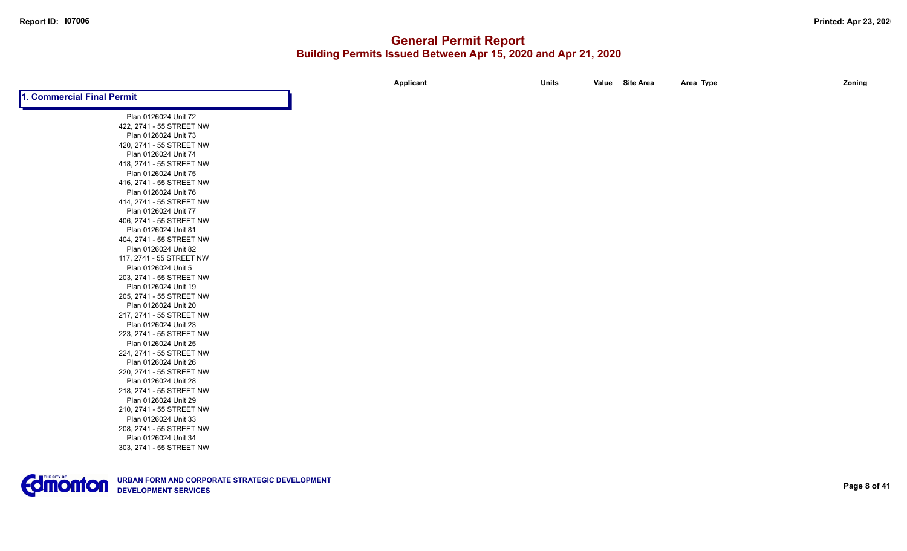|                            | Applicant | <b>Units</b> | Value Site Area | Area Type | Zoning |
|----------------------------|-----------|--------------|-----------------|-----------|--------|
| 1. Commercial Final Permit |           |              |                 |           |        |
| Plan 0126024 Unit 72       |           |              |                 |           |        |
| 422, 2741 - 55 STREET NW   |           |              |                 |           |        |
| Plan 0126024 Unit 73       |           |              |                 |           |        |
| 420, 2741 - 55 STREET NW   |           |              |                 |           |        |
| Plan 0126024 Unit 74       |           |              |                 |           |        |
| 418, 2741 - 55 STREET NW   |           |              |                 |           |        |
| Plan 0126024 Unit 75       |           |              |                 |           |        |
| 416, 2741 - 55 STREET NW   |           |              |                 |           |        |
| Plan 0126024 Unit 76       |           |              |                 |           |        |
| 414, 2741 - 55 STREET NW   |           |              |                 |           |        |
| Plan 0126024 Unit 77       |           |              |                 |           |        |
| 406, 2741 - 55 STREET NW   |           |              |                 |           |        |
| Plan 0126024 Unit 81       |           |              |                 |           |        |
| 404, 2741 - 55 STREET NW   |           |              |                 |           |        |
| Plan 0126024 Unit 82       |           |              |                 |           |        |
| 117, 2741 - 55 STREET NW   |           |              |                 |           |        |
| Plan 0126024 Unit 5        |           |              |                 |           |        |
| 203, 2741 - 55 STREET NW   |           |              |                 |           |        |
| Plan 0126024 Unit 19       |           |              |                 |           |        |
| 205, 2741 - 55 STREET NW   |           |              |                 |           |        |
| Plan 0126024 Unit 20       |           |              |                 |           |        |
| 217, 2741 - 55 STREET NW   |           |              |                 |           |        |
| Plan 0126024 Unit 23       |           |              |                 |           |        |
| 223, 2741 - 55 STREET NW   |           |              |                 |           |        |
| Plan 0126024 Unit 25       |           |              |                 |           |        |
| 224, 2741 - 55 STREET NW   |           |              |                 |           |        |
| Plan 0126024 Unit 26       |           |              |                 |           |        |
| 220, 2741 - 55 STREET NW   |           |              |                 |           |        |
| Plan 0126024 Unit 28       |           |              |                 |           |        |
| 218, 2741 - 55 STREET NW   |           |              |                 |           |        |
| Plan 0126024 Unit 29       |           |              |                 |           |        |
| 210, 2741 - 55 STREET NW   |           |              |                 |           |        |
| Plan 0126024 Unit 33       |           |              |                 |           |        |
| 208, 2741 - 55 STREET NW   |           |              |                 |           |        |
| Plan 0126024 Unit 34       |           |              |                 |           |        |
| 303, 2741 - 55 STREET NW   |           |              |                 |           |        |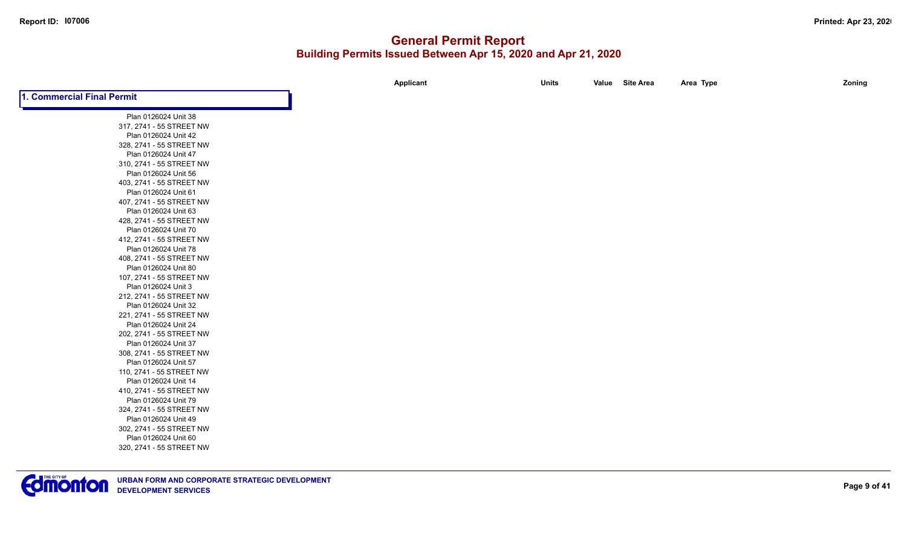|                            | Applicant | <b>Units</b> | Value Site Area | Area Type | Zoning |
|----------------------------|-----------|--------------|-----------------|-----------|--------|
| 1. Commercial Final Permit |           |              |                 |           |        |
| Plan 0126024 Unit 38       |           |              |                 |           |        |
| 317, 2741 - 55 STREET NW   |           |              |                 |           |        |
| Plan 0126024 Unit 42       |           |              |                 |           |        |
| 328, 2741 - 55 STREET NW   |           |              |                 |           |        |
| Plan 0126024 Unit 47       |           |              |                 |           |        |
| 310, 2741 - 55 STREET NW   |           |              |                 |           |        |
| Plan 0126024 Unit 56       |           |              |                 |           |        |
| 403, 2741 - 55 STREET NW   |           |              |                 |           |        |
| Plan 0126024 Unit 61       |           |              |                 |           |        |
| 407, 2741 - 55 STREET NW   |           |              |                 |           |        |
| Plan 0126024 Unit 63       |           |              |                 |           |        |
| 428, 2741 - 55 STREET NW   |           |              |                 |           |        |
| Plan 0126024 Unit 70       |           |              |                 |           |        |
| 412, 2741 - 55 STREET NW   |           |              |                 |           |        |
| Plan 0126024 Unit 78       |           |              |                 |           |        |
| 408, 2741 - 55 STREET NW   |           |              |                 |           |        |
| Plan 0126024 Unit 80       |           |              |                 |           |        |
| 107, 2741 - 55 STREET NW   |           |              |                 |           |        |
| Plan 0126024 Unit 3        |           |              |                 |           |        |
| 212, 2741 - 55 STREET NW   |           |              |                 |           |        |
| Plan 0126024 Unit 32       |           |              |                 |           |        |
| 221, 2741 - 55 STREET NW   |           |              |                 |           |        |
| Plan 0126024 Unit 24       |           |              |                 |           |        |
| 202, 2741 - 55 STREET NW   |           |              |                 |           |        |
| Plan 0126024 Unit 37       |           |              |                 |           |        |
| 308, 2741 - 55 STREET NW   |           |              |                 |           |        |
| Plan 0126024 Unit 57       |           |              |                 |           |        |
| 110, 2741 - 55 STREET NW   |           |              |                 |           |        |
| Plan 0126024 Unit 14       |           |              |                 |           |        |
| 410, 2741 - 55 STREET NW   |           |              |                 |           |        |
| Plan 0126024 Unit 79       |           |              |                 |           |        |
| 324, 2741 - 55 STREET NW   |           |              |                 |           |        |
| Plan 0126024 Unit 49       |           |              |                 |           |        |
| 302, 2741 - 55 STREET NW   |           |              |                 |           |        |
| Plan 0126024 Unit 60       |           |              |                 |           |        |
| 320, 2741 - 55 STREET NW   |           |              |                 |           |        |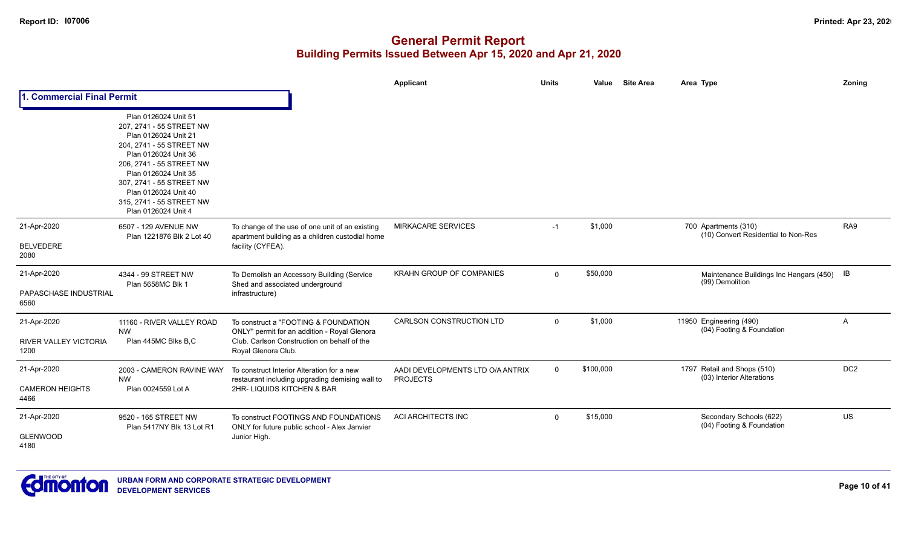|                                               |                                                                                                                                                                                                                                                                                         |                                                                                                                                                            | Applicant                                           | <b>Units</b> | <b>Site Area</b><br>Value | Area Type                                                     | Zoning          |
|-----------------------------------------------|-----------------------------------------------------------------------------------------------------------------------------------------------------------------------------------------------------------------------------------------------------------------------------------------|------------------------------------------------------------------------------------------------------------------------------------------------------------|-----------------------------------------------------|--------------|---------------------------|---------------------------------------------------------------|-----------------|
| 1. Commercial Final Permit                    |                                                                                                                                                                                                                                                                                         |                                                                                                                                                            |                                                     |              |                           |                                                               |                 |
|                                               | Plan 0126024 Unit 51<br>207, 2741 - 55 STREET NW<br>Plan 0126024 Unit 21<br>204, 2741 - 55 STREET NW<br>Plan 0126024 Unit 36<br>206, 2741 - 55 STREET NW<br>Plan 0126024 Unit 35<br>307, 2741 - 55 STREET NW<br>Plan 0126024 Unit 40<br>315, 2741 - 55 STREET NW<br>Plan 0126024 Unit 4 |                                                                                                                                                            |                                                     |              |                           |                                                               |                 |
| 21-Apr-2020                                   | 6507 - 129 AVENUE NW<br>Plan 1221876 Blk 2 Lot 40                                                                                                                                                                                                                                       | To change of the use of one unit of an existing<br>apartment building as a children custodial home                                                         | <b>MIRKACARE SERVICES</b>                           | $-1$         | \$1,000                   | 700 Apartments (310)<br>(10) Convert Residential to Non-Res   | RA9             |
| <b>BELVEDERE</b><br>2080                      |                                                                                                                                                                                                                                                                                         | facility (CYFEA).                                                                                                                                          |                                                     |              |                           |                                                               |                 |
| 21-Apr-2020<br>PAPASCHASE INDUSTRIAL<br>6560  | 4344 - 99 STREET NW<br>Plan 5658MC Blk 1                                                                                                                                                                                                                                                | To Demolish an Accessory Building (Service<br>Shed and associated underground<br>infrastructure)                                                           | <b>KRAHN GROUP OF COMPANIES</b>                     | $\mathbf{0}$ | \$50,000                  | Maintenance Buildings Inc Hangars (450) IB<br>(99) Demolition |                 |
| 21-Apr-2020<br>RIVER VALLEY VICTORIA<br>1200  | 11160 - RIVER VALLEY ROAD<br><b>NW</b><br>Plan 445MC Blks B,C                                                                                                                                                                                                                           | To construct a "FOOTING & FOUNDATION<br>ONLY" permit for an addition - Royal Glenora<br>Club. Carlson Construction on behalf of the<br>Royal Glenora Club. | <b>CARLSON CONSTRUCTION LTD</b>                     | $\mathbf{0}$ | \$1,000                   | 11950 Engineering (490)<br>(04) Footing & Foundation          | A               |
| 21-Apr-2020<br><b>CAMERON HEIGHTS</b><br>4466 | 2003 - CAMERON RAVINE WAY<br><b>NW</b><br>Plan 0024559 Lot A                                                                                                                                                                                                                            | To construct Interior Alteration for a new<br>restaurant including upgrading demising wall to<br>2HR-LIQUIDS KITCHEN & BAR                                 | AADI DEVELOPMENTS LTD O/A ANTRIX<br><b>PROJECTS</b> | 0            | \$100,000                 | 1797 Retail and Shops (510)<br>(03) Interior Alterations      | DC <sub>2</sub> |
| 21-Apr-2020<br><b>GLENWOOD</b><br>4180        | 9520 - 165 STREET NW<br>Plan 5417NY Blk 13 Lot R1                                                                                                                                                                                                                                       | To construct FOOTINGS AND FOUNDATIONS<br>ONLY for future public school - Alex Janvier<br>Junior High.                                                      | ACI ARCHITECTS INC                                  | 0            | \$15,000                  | Secondary Schools (622)<br>(04) Footing & Foundation          | US              |

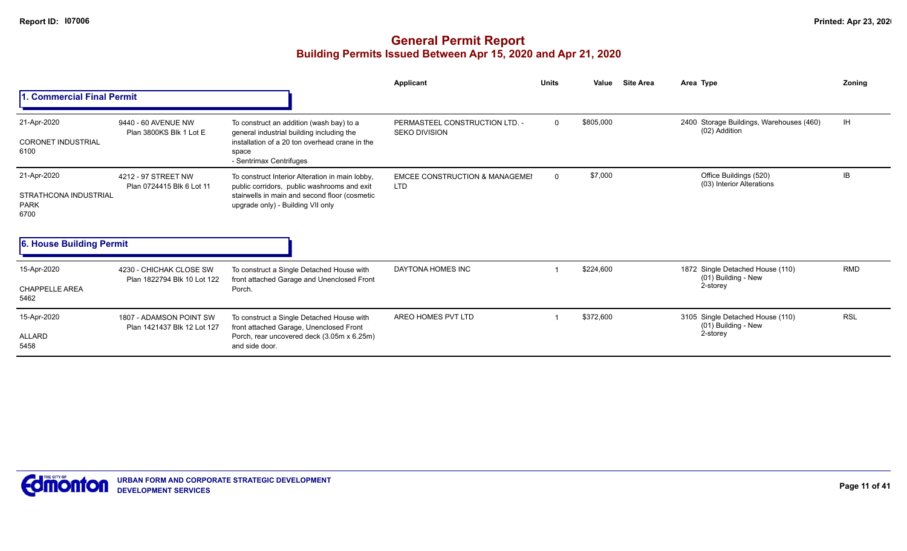|                                                                                         |                                                        |                                                                                                                                                                                      | Applicant                                               | <b>Units</b> | Value     | <b>Site Area</b> | Area Type                                                           | <b>Zoning</b> |
|-----------------------------------------------------------------------------------------|--------------------------------------------------------|--------------------------------------------------------------------------------------------------------------------------------------------------------------------------------------|---------------------------------------------------------|--------------|-----------|------------------|---------------------------------------------------------------------|---------------|
| 1. Commercial Final Permit                                                              |                                                        |                                                                                                                                                                                      |                                                         |              |           |                  |                                                                     |               |
| 21-Apr-2020<br><b>CORONET INDUSTRIAL</b><br>6100                                        | 9440 - 60 AVENUE NW<br>Plan 3800KS Blk 1 Lot E         | To construct an addition (wash bay) to a<br>general industrial building including the<br>installation of a 20 ton overhead crane in the<br>space<br>- Sentrimax Centrifuges          | PERMASTEEL CONSTRUCTION LTD. -<br><b>SEKO DIVISION</b>  | $\Omega$     | \$805,000 |                  | 2400 Storage Buildings, Warehouses (460)<br>(02) Addition           | <b>IH</b>     |
| 21-Apr-2020<br>STRATHCONA INDUSTRIAL<br><b>PARK</b><br>6700<br>6. House Building Permit | 4212 - 97 STREET NW<br>Plan 0724415 Blk 6 Lot 11       | To construct Interior Alteration in main lobby,<br>public corridors, public washrooms and exit<br>stairwells in main and second floor (cosmetic<br>upgrade only) - Building VII only | <b>EMCEE CONSTRUCTION &amp; MANAGEMEI</b><br><b>LTD</b> | $\Omega$     | \$7,000   |                  | Office Buildings (520)<br>(03) Interior Alterations                 | IB.           |
|                                                                                         |                                                        |                                                                                                                                                                                      |                                                         |              |           |                  |                                                                     |               |
| 15-Apr-2020<br><b>CHAPPELLE AREA</b><br>5462                                            | 4230 - CHICHAK CLOSE SW<br>Plan 1822794 Blk 10 Lot 122 | To construct a Single Detached House with<br>front attached Garage and Unenclosed Front<br>Porch.                                                                                    | DAYTONA HOMES INC                                       |              | \$224,600 |                  | 1872 Single Detached House (110)<br>(01) Building - New<br>2-storey | <b>RMD</b>    |
| 15-Apr-2020<br>ALLARD<br>5458                                                           | 1807 - ADAMSON POINT SW<br>Plan 1421437 Blk 12 Lot 127 | To construct a Single Detached House with<br>front attached Garage, Unenclosed Front<br>Porch, rear uncovered deck (3.05m x 6.25m)<br>and side door.                                 | AREO HOMES PVT LTD                                      |              | \$372,600 |                  | 3105 Single Detached House (110)<br>(01) Building - New<br>2-storey | <b>RSL</b>    |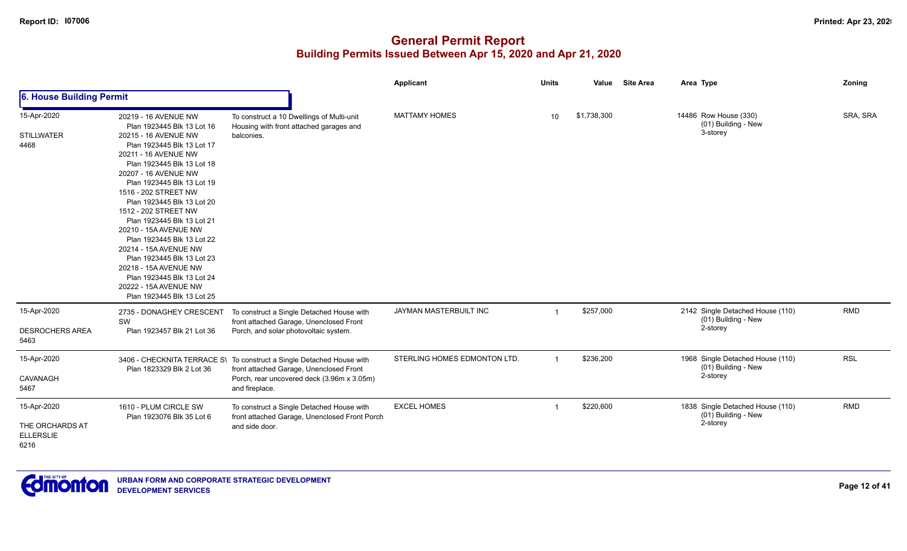|                                                            |                                                                                                                                                                                                                                                                                                                                                                                                                                                                                |                                                                                                                               | Applicant                    | <b>Units</b>   | Value       | <b>Site Area</b> | Area Type                                                           | Zoning     |
|------------------------------------------------------------|--------------------------------------------------------------------------------------------------------------------------------------------------------------------------------------------------------------------------------------------------------------------------------------------------------------------------------------------------------------------------------------------------------------------------------------------------------------------------------|-------------------------------------------------------------------------------------------------------------------------------|------------------------------|----------------|-------------|------------------|---------------------------------------------------------------------|------------|
| 6. House Building Permit                                   |                                                                                                                                                                                                                                                                                                                                                                                                                                                                                |                                                                                                                               |                              |                |             |                  |                                                                     |            |
| 15-Apr-2020<br><b>STILLWATER</b>                           | 20219 - 16 AVENUE NW<br>Plan 1923445 Blk 13 Lot 16<br>20215 - 16 AVENUE NW                                                                                                                                                                                                                                                                                                                                                                                                     | To construct a 10 Dwellings of Multi-unit<br>Housing with front attached garages and<br>balconies.                            | <b>MATTAMY HOMES</b>         | 10             | \$1,738,300 |                  | 14486 Row House (330)<br>(01) Building - New<br>3-storey            | SRA, SRA   |
| 4468                                                       | Plan 1923445 Blk 13 Lot 17<br>20211 - 16 AVENUE NW<br>Plan 1923445 Blk 13 Lot 18<br>20207 - 16 AVENUE NW<br>Plan 1923445 Blk 13 Lot 19<br>1516 - 202 STREET NW<br>Plan 1923445 Blk 13 Lot 20<br>1512 - 202 STREET NW<br>Plan 1923445 Blk 13 Lot 21<br>20210 - 15A AVENUE NW<br>Plan 1923445 Blk 13 Lot 22<br>20214 - 15A AVENUE NW<br>Plan 1923445 Blk 13 Lot 23<br>20218 - 15A AVENUE NW<br>Plan 1923445 Blk 13 Lot 24<br>20222 - 15A AVENUE NW<br>Plan 1923445 Blk 13 Lot 25 |                                                                                                                               |                              |                |             |                  |                                                                     |            |
| 15-Apr-2020<br><b>DESROCHERS AREA</b><br>5463              | 2735 - DONAGHEY CRESCENT<br>SW<br>Plan 1923457 Blk 21 Lot 36                                                                                                                                                                                                                                                                                                                                                                                                                   | To construct a Single Detached House with<br>front attached Garage, Unenclosed Front<br>Porch, and solar photovoltaic system. | JAYMAN MASTERBUILT INC       | $\mathbf 1$    | \$257,000   |                  | 2142 Single Detached House (110)<br>(01) Building - New<br>2-storey | <b>RMD</b> |
| 15-Apr-2020                                                |                                                                                                                                                                                                                                                                                                                                                                                                                                                                                | 3406 - CHECKNITA TERRACE S\ To construct a Single Detached House with                                                         | STERLING HOMES EDMONTON LTD. | $\overline{1}$ | \$236,200   |                  | 1968 Single Detached House (110)                                    | <b>RSL</b> |
| CAVANAGH<br>5467                                           | Plan 1823329 Blk 2 Lot 36                                                                                                                                                                                                                                                                                                                                                                                                                                                      | front attached Garage, Unenclosed Front<br>Porch, rear uncovered deck (3.96m x 3.05m)<br>and fireplace.                       |                              |                |             |                  | (01) Building - New<br>2-storey                                     |            |
| 15-Apr-2020<br>THE ORCHARDS AT<br><b>ELLERSLIE</b><br>6216 | 1610 - PLUM CIRCLE SW<br>Plan 1923076 Blk 35 Lot 6                                                                                                                                                                                                                                                                                                                                                                                                                             | To construct a Single Detached House with<br>front attached Garage, Unenclosed Front Porch<br>and side door.                  | <b>EXCEL HOMES</b>           | $\mathbf 1$    | \$220,600   |                  | 1838 Single Detached House (110)<br>(01) Building - New<br>2-storey | <b>RMD</b> |

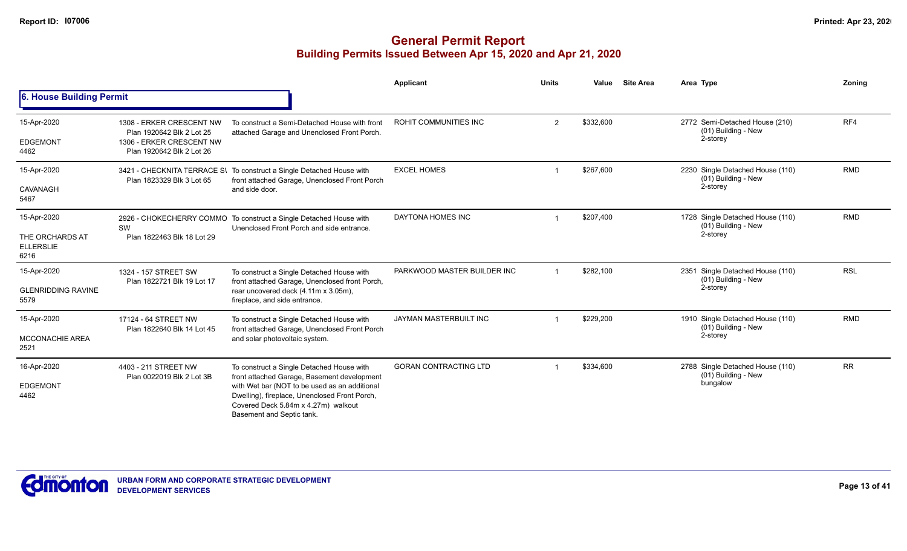|                                                            |                                                                                                                |                                                                                                                                                                                                                                                                | Applicant                    | <b>Units</b> | Value     | <b>Site Area</b> | Area Type                                                           | Zoning     |
|------------------------------------------------------------|----------------------------------------------------------------------------------------------------------------|----------------------------------------------------------------------------------------------------------------------------------------------------------------------------------------------------------------------------------------------------------------|------------------------------|--------------|-----------|------------------|---------------------------------------------------------------------|------------|
| 6. House Building Permit                                   |                                                                                                                |                                                                                                                                                                                                                                                                |                              |              |           |                  |                                                                     |            |
| 15-Apr-2020<br><b>EDGEMONT</b><br>4462                     | 1308 - ERKER CRESCENT NW<br>Plan 1920642 Blk 2 Lot 25<br>1306 - ERKER CRESCENT NW<br>Plan 1920642 Blk 2 Lot 26 | To construct a Semi-Detached House with front<br>attached Garage and Unenclosed Front Porch.                                                                                                                                                                   | ROHIT COMMUNITIES INC        | 2            | \$332,600 |                  | 2772 Semi-Detached House (210)<br>(01) Building - New<br>2-storey   | RF4        |
| 15-Apr-2020<br>CAVANAGH<br>5467                            | Plan 1823329 Blk 3 Lot 65                                                                                      | 3421 - CHECKNITA TERRACE S\ To construct a Single Detached House with<br>front attached Garage, Unenclosed Front Porch<br>and side door.                                                                                                                       | <b>EXCEL HOMES</b>           |              | \$267,600 |                  | 2230 Single Detached House (110)<br>(01) Building - New<br>2-storey | <b>RMD</b> |
| 15-Apr-2020<br>THE ORCHARDS AT<br><b>ELLERSLIE</b><br>6216 | SW<br>Plan 1822463 Blk 18 Lot 29                                                                               | 2926 - CHOKECHERRY COMMO To construct a Single Detached House with<br>Unenclosed Front Porch and side entrance.                                                                                                                                                | DAYTONA HOMES INC            |              | \$207,400 |                  | 1728 Single Detached House (110)<br>(01) Building - New<br>2-storey | <b>RMD</b> |
| 15-Apr-2020<br><b>GLENRIDDING RAVINE</b><br>5579           | 1324 - 157 STREET SW<br>Plan 1822721 Blk 19 Lot 17                                                             | To construct a Single Detached House with<br>front attached Garage, Unenclosed front Porch,<br>rear uncovered deck (4.11m x 3.05m),<br>fireplace, and side entrance.                                                                                           | PARKWOOD MASTER BUILDER INC  |              | \$282,100 |                  | 2351 Single Detached House (110)<br>(01) Building - New<br>2-storey | <b>RSL</b> |
| 15-Apr-2020<br><b>MCCONACHIE AREA</b><br>2521              | 17124 - 64 STREET NW<br>Plan 1822640 Blk 14 Lot 45                                                             | To construct a Single Detached House with<br>front attached Garage, Unenclosed Front Porch<br>and solar photovoltaic system.                                                                                                                                   | JAYMAN MASTERBUILT INC       |              | \$229,200 |                  | 1910 Single Detached House (110)<br>(01) Building - New<br>2-storey | <b>RMD</b> |
| 16-Apr-2020<br><b>EDGEMONT</b><br>4462                     | 4403 - 211 STREET NW<br>Plan 0022019 Blk 2 Lot 3B                                                              | To construct a Single Detached House with<br>front attached Garage, Basement development<br>with Wet bar (NOT to be used as an additional<br>Dwelling), fireplace, Unenclosed Front Porch,<br>Covered Deck 5.84m x 4.27m) walkout<br>Basement and Septic tank. | <b>GORAN CONTRACTING LTD</b> |              | \$334,600 |                  | 2788 Single Detached House (110)<br>(01) Building - New<br>bungalow | <b>RR</b>  |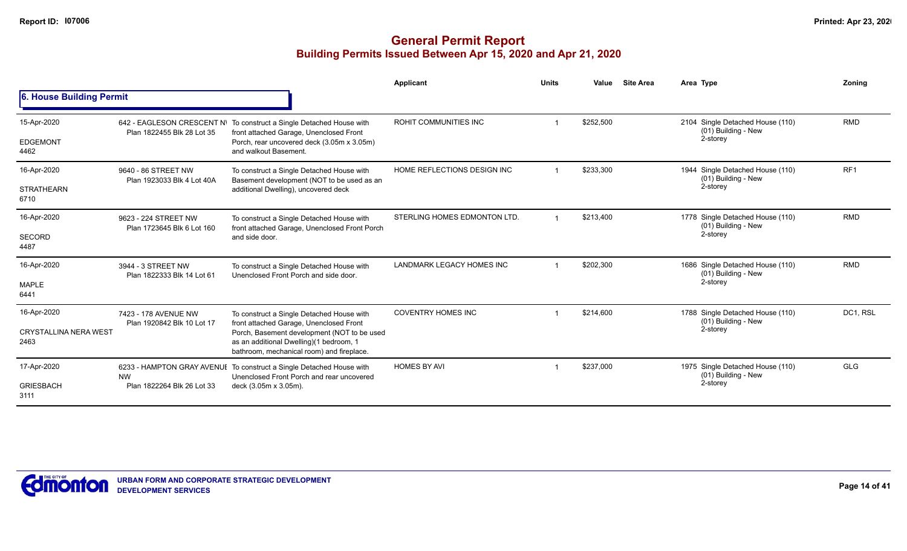|                                      |                                                          |                                                                                                                                     | <b>Applicant</b>             | <b>Units</b> | Value     | <b>Site Area</b> | Area Type                                               | Zonina          |
|--------------------------------------|----------------------------------------------------------|-------------------------------------------------------------------------------------------------------------------------------------|------------------------------|--------------|-----------|------------------|---------------------------------------------------------|-----------------|
| 6. House Building Permit             |                                                          |                                                                                                                                     |                              |              |           |                  |                                                         |                 |
| 15-Apr-2020                          | 642 - EAGLESON CRESCENT N\<br>Plan 1822455 Blk 28 Lot 35 | To construct a Single Detached House with<br>front attached Garage, Unenclosed Front                                                | ROHIT COMMUNITIES INC        |              | \$252,500 |                  | 2104 Single Detached House (110)<br>(01) Building - New | <b>RMD</b>      |
| <b>EDGEMONT</b><br>4462              |                                                          | Porch, rear uncovered deck (3.05m x 3.05m)<br>and walkout Basement.                                                                 |                              |              |           |                  | 2-storey                                                |                 |
| 16-Apr-2020                          | 9640 - 86 STREET NW<br>Plan 1923033 Blk 4 Lot 40A        | To construct a Single Detached House with<br>Basement development (NOT to be used as an                                             | HOME REFLECTIONS DESIGN INC  |              | \$233,300 |                  | 1944 Single Detached House (110)<br>(01) Building - New | RF <sub>1</sub> |
| <b>STRATHEARN</b><br>6710            |                                                          | additional Dwelling), uncovered deck                                                                                                |                              |              |           |                  | 2-storey                                                |                 |
| 16-Apr-2020                          | 9623 - 224 STREET NW<br>Plan 1723645 Blk 6 Lot 160       | To construct a Single Detached House with<br>front attached Garage, Unenclosed Front Porch                                          | STERLING HOMES EDMONTON LTD. |              | \$213,400 |                  | 1778 Single Detached House (110)<br>(01) Building - New | <b>RMD</b>      |
| <b>SECORD</b><br>4487                |                                                          | and side door.                                                                                                                      |                              |              |           |                  | 2-storey                                                |                 |
| 16-Apr-2020                          | 3944 - 3 STREET NW<br>Plan 1822333 Blk 14 Lot 61         | To construct a Single Detached House with<br>Unenclosed Front Porch and side door.                                                  | LANDMARK LEGACY HOMES INC    |              | \$202,300 |                  | 1686 Single Detached House (110)<br>(01) Building - New | <b>RMD</b>      |
| <b>MAPLE</b><br>6441                 |                                                          |                                                                                                                                     |                              |              |           |                  | 2-storey                                                |                 |
| 16-Apr-2020                          | 7423 - 178 AVENUE NW<br>Plan 1920842 Blk 10 Lot 17       | To construct a Single Detached House with<br>front attached Garage, Unenclosed Front                                                | <b>COVENTRY HOMES INC</b>    |              | \$214,600 |                  | 1788 Single Detached House (110)<br>(01) Building - New | DC1, RSL        |
| <b>CRYSTALLINA NERA WEST</b><br>2463 |                                                          | Porch, Basement development (NOT to be used<br>as an additional Dwelling)(1 bedroom, 1<br>bathroom, mechanical room) and fireplace. |                              |              |           |                  | 2-storey                                                |                 |
| 17-Apr-2020                          | <b>NW</b>                                                | 6233 - HAMPTON GRAY AVENUE To construct a Single Detached House with<br>Unenclosed Front Porch and rear uncovered                   | <b>HOMES BY AVI</b>          |              | \$237,000 |                  | 1975 Single Detached House (110)<br>(01) Building - New | <b>GLG</b>      |
| <b>GRIESBACH</b><br>3111             | Plan 1822264 Blk 26 Lot 33                               | deck (3.05m x 3.05m).                                                                                                               |                              |              |           |                  | 2-storey                                                |                 |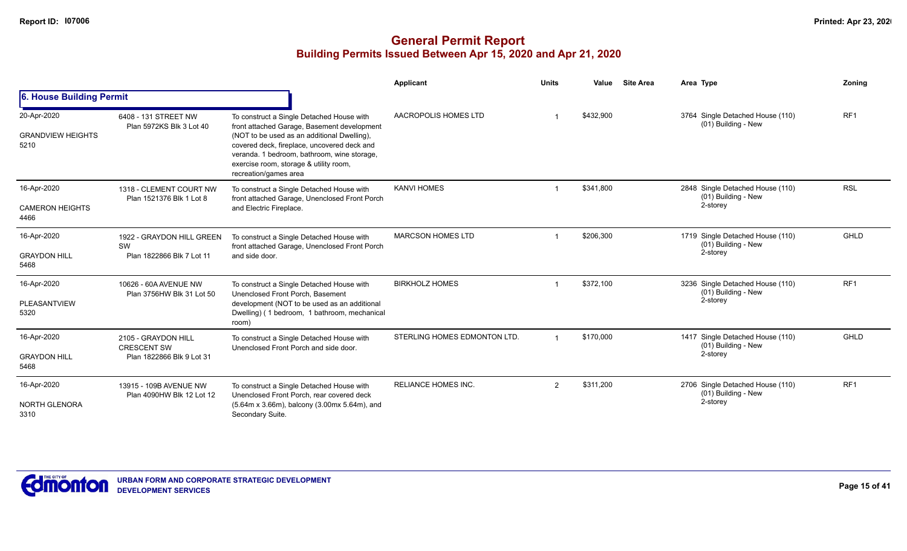|                                                 |                                                                                                                                                                                              |                                                                                                                                                                                                                                                                                                          | Applicant                    | <b>Units</b>  | Value     | <b>Site Area</b> | Area Type                                                 | Zoning          |
|-------------------------------------------------|----------------------------------------------------------------------------------------------------------------------------------------------------------------------------------------------|----------------------------------------------------------------------------------------------------------------------------------------------------------------------------------------------------------------------------------------------------------------------------------------------------------|------------------------------|---------------|-----------|------------------|-----------------------------------------------------------|-----------------|
| 6. House Building Permit                        |                                                                                                                                                                                              |                                                                                                                                                                                                                                                                                                          |                              |               |           |                  |                                                           |                 |
| 20-Apr-2020<br><b>GRANDVIEW HEIGHTS</b><br>5210 | 6408 - 131 STREET NW<br>Plan 5972KS Blk 3 Lot 40                                                                                                                                             | To construct a Single Detached House with<br>front attached Garage, Basement development<br>(NOT to be used as an additional Dwelling),<br>covered deck, fireplace, uncovered deck and<br>veranda. 1 bedroom, bathroom, wine storage,<br>exercise room, storage & utility room,<br>recreation/games area | AACROPOLIS HOMES LTD         |               | \$432.900 |                  | 3764 Single Detached House (110)<br>(01) Building - New   | RF <sub>1</sub> |
| 16-Apr-2020                                     | 1318 - CLEMENT COURT NW<br>Plan 1521376 Blk 1 Lot 8                                                                                                                                          | To construct a Single Detached House with<br>front attached Garage, Unenclosed Front Porch                                                                                                                                                                                                               | <b>KANVI HOMES</b>           |               | \$341,800 |                  | 2848 Single Detached House (110)<br>(01) Building - New   | <b>RSL</b>      |
| <b>CAMERON HEIGHTS</b><br>4466                  |                                                                                                                                                                                              | and Electric Fireplace.                                                                                                                                                                                                                                                                                  |                              |               |           |                  | 2-storey                                                  |                 |
| 16-Apr-2020                                     | 1922 - GRAYDON HILL GREEN<br>SW<br>Plan 1822866 Blk 7 Lot 11                                                                                                                                 | To construct a Single Detached House with<br>front attached Garage, Unenclosed Front Porch                                                                                                                                                                                                               | <b>MARCSON HOMES LTD</b>     |               | \$206,300 |                  | 1719 Single Detached House (110)<br>(01) Building - New   | GHLD            |
| <b>GRAYDON HILL</b><br>5468                     |                                                                                                                                                                                              | and side door.                                                                                                                                                                                                                                                                                           |                              |               |           |                  | 2-storey                                                  |                 |
| 16-Apr-2020                                     | 10626 - 60A AVENUE NW<br>To construct a Single Detached House with<br>Unenclosed Front Porch, Basement<br>Plan 3756HW Blk 31 Lot 50<br>development (NOT to be used as an additional<br>room) |                                                                                                                                                                                                                                                                                                          | <b>BIRKHOLZ HOMES</b>        |               | \$372,100 |                  | 3236 Single Detached House (110)<br>(01) Building - New   | RF <sub>1</sub> |
| PLEASANTVIEW<br>5320                            |                                                                                                                                                                                              | Dwelling) (1 bedroom, 1 bathroom, mechanical                                                                                                                                                                                                                                                             |                              |               |           |                  | 2-storey                                                  |                 |
| 16-Apr-2020                                     | 2105 - GRAYDON HILL                                                                                                                                                                          | To construct a Single Detached House with<br>Unenclosed Front Porch and side door.                                                                                                                                                                                                                       | STERLING HOMES EDMONTON LTD. |               | \$170,000 |                  | 1417 Single Detached House (110)<br>$(01)$ Building - New | <b>GHLD</b>     |
| <b>GRAYDON HILL</b><br>5468                     | <b>CRESCENT SW</b><br>Plan 1822866 Blk 9 Lot 31                                                                                                                                              |                                                                                                                                                                                                                                                                                                          |                              |               |           |                  | 2-storey                                                  |                 |
| 16-Apr-2020                                     | 13915 - 109B AVENUE NW<br>Plan 4090HW Blk 12 Lot 12                                                                                                                                          | To construct a Single Detached House with<br>Unenclosed Front Porch, rear covered deck                                                                                                                                                                                                                   | <b>RELIANCE HOMES INC.</b>   | $\mathcal{P}$ | \$311,200 |                  | 2706 Single Detached House (110)<br>(01) Building - New   | RF <sub>1</sub> |
| <b>NORTH GLENORA</b><br>3310                    |                                                                                                                                                                                              | (5.64m x 3.66m), balcony (3.00mx 5.64m), and<br>Secondary Suite.                                                                                                                                                                                                                                         |                              |               |           |                  | 2-storey                                                  |                 |

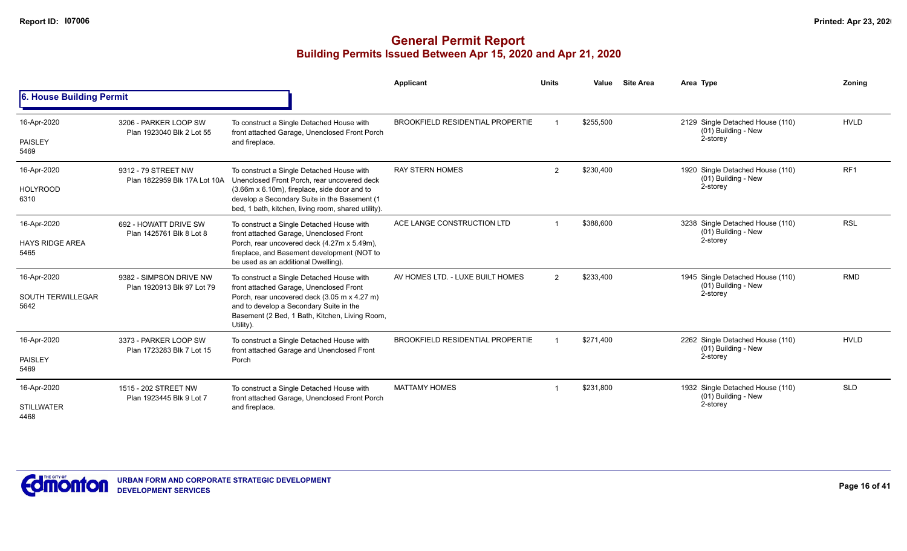|                                                 |                                                       |                                                                                                                                                                                                                                                 | Applicant                               | <b>Units</b>   | Value     | <b>Site Area</b> | Area Type                                                           | Zoning          |
|-------------------------------------------------|-------------------------------------------------------|-------------------------------------------------------------------------------------------------------------------------------------------------------------------------------------------------------------------------------------------------|-----------------------------------------|----------------|-----------|------------------|---------------------------------------------------------------------|-----------------|
| 6. House Building Permit                        |                                                       |                                                                                                                                                                                                                                                 |                                         |                |           |                  |                                                                     |                 |
| 16-Apr-2020<br>PAISLEY<br>5469                  | 3206 - PARKER LOOP SW<br>Plan 1923040 Blk 2 Lot 55    | To construct a Single Detached House with<br>front attached Garage, Unenclosed Front Porch<br>and fireplace.                                                                                                                                    | <b>BROOKFIELD RESIDENTIAL PROPERTIE</b> |                | \$255.500 |                  | 2129 Single Detached House (110)<br>(01) Building - New<br>2-storey | <b>HVLD</b>     |
| 16-Apr-2020<br><b>HOLYROOD</b><br>6310          | 9312 - 79 STREET NW<br>Plan 1822959 Blk 17A Lot 10A   | To construct a Single Detached House with<br>Unenclosed Front Porch, rear uncovered deck<br>(3.66m x 6.10m), fireplace, side door and to<br>develop a Secondary Suite in the Basement (1<br>bed, 1 bath, kitchen, living room, shared utility). | <b>RAY STERN HOMES</b>                  | $\overline{2}$ | \$230,400 |                  | 1920 Single Detached House (110)<br>(01) Building - New<br>2-storey | RF <sub>1</sub> |
| 16-Apr-2020<br><b>HAYS RIDGE AREA</b><br>5465   | 692 - HOWATT DRIVE SW<br>Plan 1425761 Blk 8 Lot 8     | To construct a Single Detached House with<br>front attached Garage, Unenclosed Front<br>Porch, rear uncovered deck (4.27m x 5.49m),<br>fireplace, and Basement development (NOT to<br>be used as an additional Dwelling).                       | ACE LANGE CONSTRUCTION LTD              |                | \$388.600 |                  | 3238 Single Detached House (110)<br>(01) Building - New<br>2-storey | <b>RSL</b>      |
| 16-Apr-2020<br><b>SOUTH TERWILLEGAR</b><br>5642 | 9382 - SIMPSON DRIVE NW<br>Plan 1920913 Blk 97 Lot 79 | To construct a Single Detached House with<br>front attached Garage, Unenclosed Front<br>Porch, rear uncovered deck (3.05 m x 4.27 m)<br>and to develop a Secondary Suite in the<br>Basement (2 Bed, 1 Bath, Kitchen, Living Room,<br>Utility).  | AV HOMES LTD. - LUXE BUILT HOMES        | $\overline{2}$ | \$233,400 |                  | 1945 Single Detached House (110)<br>(01) Building - New<br>2-storey | <b>RMD</b>      |
| 16-Apr-2020<br>PAISLEY<br>5469                  | 3373 - PARKER LOOP SW<br>Plan 1723283 Blk 7 Lot 15    | To construct a Single Detached House with<br>front attached Garage and Unenclosed Front<br>Porch                                                                                                                                                | <b>BROOKFIELD RESIDENTIAL PROPERTIE</b> |                | \$271.400 |                  | 2262 Single Detached House (110)<br>(01) Building - New<br>2-storey | <b>HVLD</b>     |
| 16-Apr-2020<br><b>STILLWATER</b><br>4468        | 1515 - 202 STREET NW<br>Plan 1923445 Blk 9 Lot 7      | To construct a Single Detached House with<br>front attached Garage, Unenclosed Front Porch<br>and fireplace.                                                                                                                                    | <b>MATTAMY HOMES</b>                    |                | \$231,800 |                  | 1932 Single Detached House (110)<br>(01) Building - New<br>2-storey | <b>SLD</b>      |

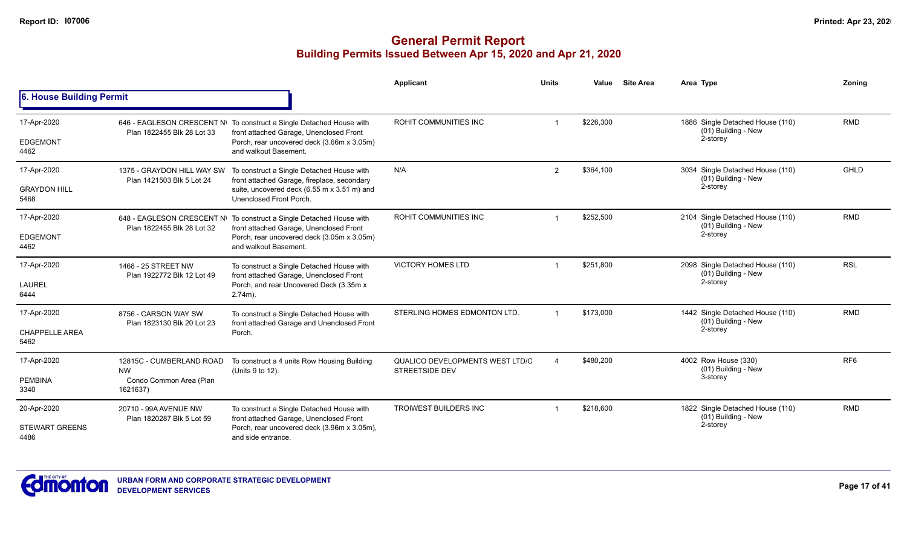|                                |                                                         |                                                                                                                                                               | <b>Applicant</b>                                         | <b>Units</b> | <b>Site Area</b><br>Value | Area Type                                                           | Zoning          |
|--------------------------------|---------------------------------------------------------|---------------------------------------------------------------------------------------------------------------------------------------------------------------|----------------------------------------------------------|--------------|---------------------------|---------------------------------------------------------------------|-----------------|
| 6. House Building Permit       |                                                         |                                                                                                                                                               |                                                          |              |                           |                                                                     |                 |
| 17-Apr-2020<br><b>EDGEMONT</b> | Plan 1822455 Blk 28 Lot 33                              | 646 - EAGLESON CRESCENT N\ To construct a Single Detached House with<br>front attached Garage, Unenclosed Front<br>Porch, rear uncovered deck (3.66m x 3.05m) | ROHIT COMMUNITIES INC                                    |              | \$226,300                 | 1886 Single Detached House (110)<br>(01) Building - New<br>2-storey | <b>RMD</b>      |
| 4462                           |                                                         | and walkout Basement.                                                                                                                                         |                                                          |              |                           |                                                                     |                 |
| 17-Apr-2020                    | 1375 - GRAYDON HILL WAY SW<br>Plan 1421503 Blk 5 Lot 24 | To construct a Single Detached House with<br>front attached Garage, fireplace, secondary                                                                      | N/A                                                      | 2            | \$364,100                 | 3034 Single Detached House (110)<br>(01) Building - New             | GHLD            |
| <b>GRAYDON HILL</b><br>5468    |                                                         | suite, uncovered deck (6.55 m x 3.51 m) and<br>Unenclosed Front Porch.                                                                                        |                                                          |              |                           | 2-storey                                                            |                 |
| 17-Apr-2020                    | Plan 1822455 Blk 28 Lot 32                              | 648 - EAGLESON CRESCENT N\ To construct a Single Detached House with<br>front attached Garage, Unenclosed Front                                               | ROHIT COMMUNITIES INC                                    |              | \$252,500                 | 2104 Single Detached House (110)<br>(01) Building - New             | <b>RMD</b>      |
| <b>EDGEMONT</b><br>4462        |                                                         | Porch, rear uncovered deck (3.05m x 3.05m)<br>and walkout Basement.                                                                                           |                                                          |              |                           | 2-storey                                                            |                 |
| 17-Apr-2020                    | 1468 - 25 STREET NW<br>Plan 1922772 Blk 12 Lot 49       | To construct a Single Detached House with<br>front attached Garage, Unenclosed Front                                                                          | <b>VICTORY HOMES LTD</b>                                 |              | \$251,800                 | 2098 Single Detached House (110)<br>(01) Building - New             | <b>RSL</b>      |
| <b>LAUREL</b><br>6444          |                                                         | Porch, and rear Uncovered Deck (3.35m x<br>$2.74m$ ).                                                                                                         |                                                          |              |                           | 2-storey                                                            |                 |
| 17-Apr-2020                    | 8756 - CARSON WAY SW<br>Plan 1823130 Blk 20 Lot 23      | To construct a Single Detached House with<br>front attached Garage and Unenclosed Front                                                                       | STERLING HOMES EDMONTON LTD.                             |              | \$173,000                 | 1442 Single Detached House (110)<br>(01) Building - New             | <b>RMD</b>      |
| <b>CHAPPELLE AREA</b><br>5462  |                                                         | Porch.                                                                                                                                                        |                                                          |              |                           | 2-storey                                                            |                 |
| 17-Apr-2020                    | 12815C - CUMBERLAND ROAD<br><b>NW</b>                   | To construct a 4 units Row Housing Building<br>(Units 9 to 12).                                                                                               | QUALICO DEVELOPMENTS WEST LTD/C<br><b>STREETSIDE DEV</b> |              | \$480,200                 | 4002 Row House (330)<br>(01) Building - New                         | RF <sub>6</sub> |
| <b>PEMBINA</b><br>3340         | Condo Common Area (Plan<br>1621637)                     |                                                                                                                                                               |                                                          |              |                           | 3-storey                                                            |                 |
| 20-Apr-2020                    | 20710 - 99A AVENUE NW<br>Plan 1820287 Blk 5 Lot 59      | To construct a Single Detached House with<br>front attached Garage, Unenclosed Front                                                                          | <b>TROIWEST BUILDERS INC</b>                             |              | \$218,600                 | 1822 Single Detached House (110)<br>(01) Building - New             | <b>RMD</b>      |
| <b>STEWART GREENS</b><br>4486  |                                                         | Porch, rear uncovered deck (3.96m x 3.05m),<br>and side entrance.                                                                                             |                                                          |              |                           | 2-storey                                                            |                 |

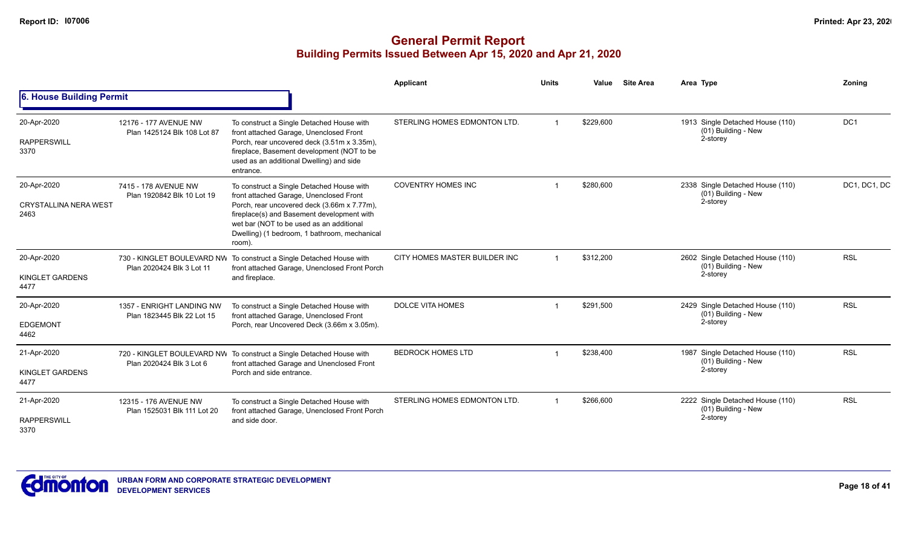|                                                     |                                                         |                                                                                                                                                                                                                                                                                         | Applicant                     | <b>Units</b> | Value     | <b>Site Area</b> | Area Type                                                           | Zoning          |
|-----------------------------------------------------|---------------------------------------------------------|-----------------------------------------------------------------------------------------------------------------------------------------------------------------------------------------------------------------------------------------------------------------------------------------|-------------------------------|--------------|-----------|------------------|---------------------------------------------------------------------|-----------------|
| 6. House Building Permit                            |                                                         |                                                                                                                                                                                                                                                                                         |                               |              |           |                  |                                                                     |                 |
| 20-Apr-2020<br><b>RAPPERSWILL</b><br>3370           | 12176 - 177 AVENUE NW<br>Plan 1425124 Blk 108 Lot 87    | To construct a Single Detached House with<br>front attached Garage, Unenclosed Front<br>Porch, rear uncovered deck (3.51m x 3.35m),<br>fireplace, Basement development (NOT to be<br>used as an additional Dwelling) and side<br>entrance.                                              | STERLING HOMES EDMONTON LTD.  |              | \$229,600 |                  | 1913 Single Detached House (110)<br>(01) Building - New<br>2-storey | DC <sub>1</sub> |
| 20-Apr-2020<br><b>CRYSTALLINA NERA WEST</b><br>2463 | 7415 - 178 AVENUE NW<br>Plan 1920842 Blk 10 Lot 19      | To construct a Single Detached House with<br>front attached Garage, Unenclosed Front<br>Porch, rear uncovered deck (3.66m x 7.77m),<br>fireplace(s) and Basement development with<br>wet bar (NOT to be used as an additional<br>Dwelling) (1 bedroom, 1 bathroom, mechanical<br>room). | <b>COVENTRY HOMES INC</b>     |              | \$280,600 |                  | 2338 Single Detached House (110)<br>(01) Building - New<br>2-storey | DC1, DC1, DC    |
| 20-Apr-2020<br>KINGLET GARDENS<br>4477              | Plan 2020424 Blk 3 Lot 11                               | 730 - KINGLET BOULEVARD NW To construct a Single Detached House with<br>front attached Garage, Unenclosed Front Porch<br>and fireplace.                                                                                                                                                 | CITY HOMES MASTER BUILDER INC |              | \$312,200 |                  | 2602 Single Detached House (110)<br>(01) Building - New<br>2-storey | <b>RSL</b>      |
| 20-Apr-2020<br><b>EDGEMONT</b><br>4462              | 1357 - ENRIGHT LANDING NW<br>Plan 1823445 Blk 22 Lot 15 | To construct a Single Detached House with<br>front attached Garage, Unenclosed Front<br>Porch, rear Uncovered Deck (3.66m x 3.05m).                                                                                                                                                     | <b>DOLCE VITA HOMES</b>       |              | \$291,500 |                  | 2429 Single Detached House (110)<br>(01) Building - New<br>2-storey | <b>RSL</b>      |
| 21-Apr-2020<br>KINGLET GARDENS<br>4477              | Plan 2020424 Blk 3 Lot 6                                | 720 - KINGLET BOULEVARD NW To construct a Single Detached House with<br>front attached Garage and Unenclosed Front<br>Porch and side entrance.                                                                                                                                          | <b>BEDROCK HOMES LTD</b>      |              | \$238,400 |                  | 1987 Single Detached House (110)<br>(01) Building - New<br>2-storey | <b>RSL</b>      |
| 21-Apr-2020<br><b>RAPPERSWILL</b><br>3370           | 12315 - 176 AVENUE NW<br>Plan 1525031 Blk 111 Lot 20    | To construct a Single Detached House with<br>front attached Garage, Unenclosed Front Porch<br>and side door.                                                                                                                                                                            | STERLING HOMES EDMONTON LTD.  |              | \$266,600 |                  | 2222 Single Detached House (110)<br>(01) Building - New<br>2-storey | <b>RSL</b>      |

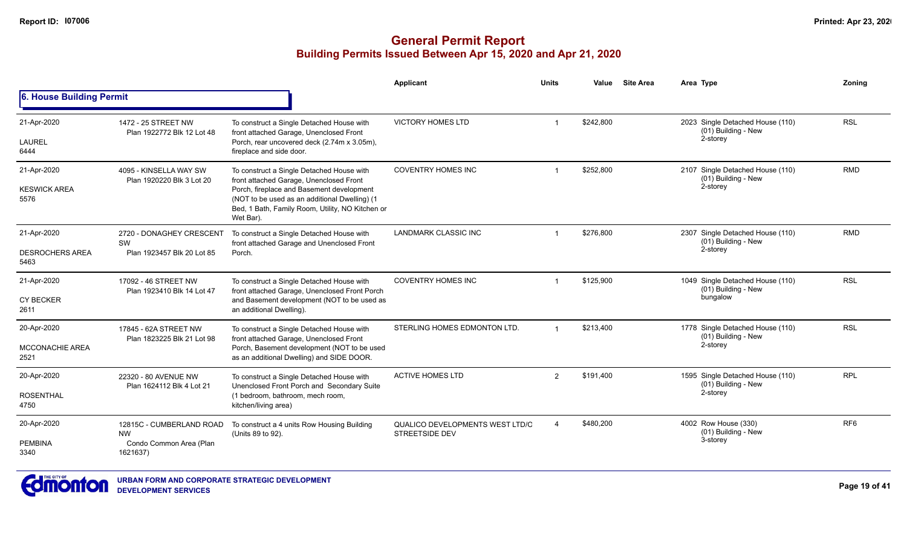|                                         |                                                     |                                                                                                                                                                       | <b>Applicant</b>                                         | <b>Units</b>   | Value     | <b>Site Area</b> | Area Type                                                           | Zonina          |
|-----------------------------------------|-----------------------------------------------------|-----------------------------------------------------------------------------------------------------------------------------------------------------------------------|----------------------------------------------------------|----------------|-----------|------------------|---------------------------------------------------------------------|-----------------|
| <b>6. House Building Permit</b>         |                                                     |                                                                                                                                                                       |                                                          |                |           |                  |                                                                     |                 |
| 21-Apr-2020<br>LAUREL                   | 1472 - 25 STREET NW<br>Plan 1922772 Blk 12 Lot 48   | To construct a Single Detached House with<br>front attached Garage, Unenclosed Front<br>Porch, rear uncovered deck (2.74m x 3.05m),                                   | <b>VICTORY HOMES LTD</b>                                 |                | \$242,800 |                  | 2023 Single Detached House (110)<br>(01) Building - New<br>2-storey | <b>RSL</b>      |
| 6444                                    |                                                     | fireplace and side door.                                                                                                                                              |                                                          |                |           |                  |                                                                     |                 |
| 21-Apr-2020                             | 4095 - KINSELLA WAY SW<br>Plan 1920220 Blk 3 Lot 20 | To construct a Single Detached House with<br>front attached Garage, Unenclosed Front                                                                                  | <b>COVENTRY HOMES INC</b>                                |                | \$252,800 |                  | 2107 Single Detached House (110)<br>(01) Building - New             | <b>RMD</b>      |
| <b>KESWICK AREA</b><br>5576             |                                                     | Porch, fireplace and Basement development<br>(NOT to be used as an additional Dwelling) (1<br>Bed, 1 Bath, Family Room, Utility, NO Kitchen or<br>Wet Bar).           |                                                          |                |           |                  | 2-storey                                                            |                 |
| 21-Apr-2020                             | 2720 - DONAGHEY CRESCENT<br>SW                      | To construct a Single Detached House with<br>front attached Garage and Unenclosed Front                                                                               | <b>LANDMARK CLASSIC INC</b>                              |                | \$276,800 |                  | 2307 Single Detached House (110)<br>(01) Building - New             | <b>RMD</b>      |
| <b>DESROCHERS AREA</b><br>5463          | Plan 1923457 Blk 20 Lot 85                          | Porch.                                                                                                                                                                |                                                          |                |           |                  | 2-storey                                                            |                 |
| 21-Apr-2020<br><b>CY BECKER</b><br>2611 | 17092 - 46 STREET NW<br>Plan 1923410 Blk 14 Lot 47  | To construct a Single Detached House with<br>front attached Garage, Unenclosed Front Porch<br>and Basement development (NOT to be used as<br>an additional Dwelling). | <b>COVENTRY HOMES INC</b>                                |                | \$125,900 |                  | 1049 Single Detached House (110)<br>(01) Building - New<br>bungalow | <b>RSL</b>      |
| 20-Apr-2020                             | 17845 - 62A STREET NW                               | To construct a Single Detached House with                                                                                                                             | STERLING HOMES EDMONTON LTD.                             |                | \$213,400 |                  | 1778 Single Detached House (110)<br>$(01)$ Building - New           | <b>RSL</b>      |
| <b>MCCONACHIE AREA</b><br>2521          | Plan 1823225 Blk 21 Lot 98                          | front attached Garage, Unenclosed Front<br>Porch, Basement development (NOT to be used<br>as an additional Dwelling) and SIDE DOOR.                                   |                                                          |                |           |                  | 2-storey                                                            |                 |
| 20-Apr-2020                             | 22320 - 80 AVENUE NW                                | To construct a Single Detached House with<br>Unenclosed Front Porch and Secondary Suite                                                                               | <b>ACTIVE HOMES LTD</b>                                  | $\overline{2}$ | \$191,400 |                  | 1595 Single Detached House (110)<br>(01) Building - New             | <b>RPL</b>      |
| <b>ROSENTHAL</b><br>4750                | Plan 1624112 Blk 4 Lot 21                           | (1 bedroom, bathroom, mech room,<br>kitchen/living area)                                                                                                              |                                                          |                |           |                  | 2-storey                                                            |                 |
| 20-Apr-2020                             | 12815C - CUMBERLAND ROAD<br><b>NW</b>               | To construct a 4 units Row Housing Building<br>(Units 89 to 92).                                                                                                      | QUALICO DEVELOPMENTS WEST LTD/C<br><b>STREETSIDE DEV</b> |                | \$480,200 |                  | 4002 Row House (330)<br>(01) Building - New                         | RF <sub>6</sub> |
| <b>PEMBINA</b><br>3340                  | Condo Common Area (Plan<br>1621637)                 |                                                                                                                                                                       |                                                          |                |           |                  | 3-storey                                                            |                 |

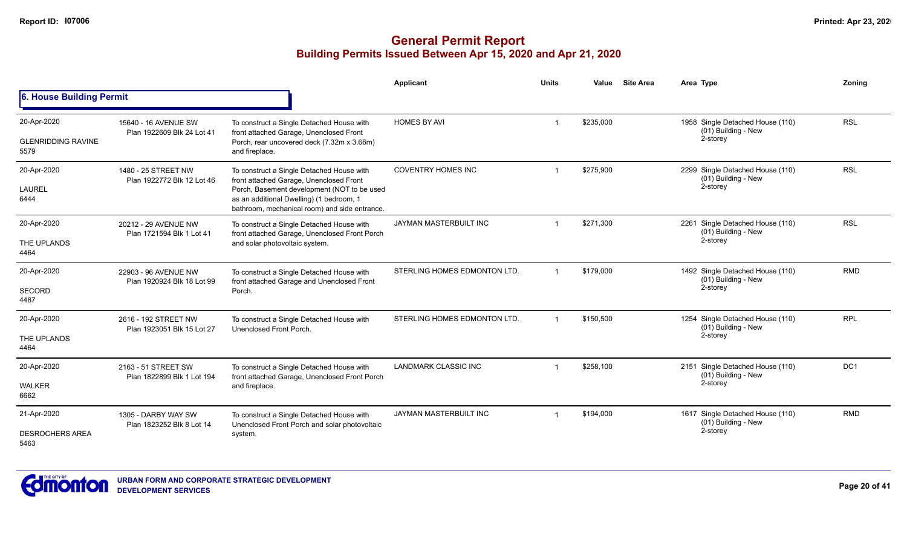|                                                  |                                                    |                                                                                                                                                                                                                                  | Applicant                    | <b>Units</b> | Value     | <b>Site Area</b> | Area Type                                                           | Zoning     |
|--------------------------------------------------|----------------------------------------------------|----------------------------------------------------------------------------------------------------------------------------------------------------------------------------------------------------------------------------------|------------------------------|--------------|-----------|------------------|---------------------------------------------------------------------|------------|
| 6. House Building Permit                         |                                                    |                                                                                                                                                                                                                                  |                              |              |           |                  |                                                                     |            |
| 20-Apr-2020<br><b>GLENRIDDING RAVINE</b><br>5579 | 15640 - 16 AVENUE SW<br>Plan 1922609 Blk 24 Lot 41 | To construct a Single Detached House with<br>front attached Garage, Unenclosed Front<br>Porch, rear uncovered deck (7.32m x 3.66m)<br>and fireplace.                                                                             | <b>HOMES BY AVI</b>          |              | \$235,000 |                  | 1958 Single Detached House (110)<br>(01) Building - New<br>2-storey | <b>RSL</b> |
| 20-Apr-2020<br><b>LAUREL</b><br>6444             | 1480 - 25 STREET NW<br>Plan 1922772 Blk 12 Lot 46  | To construct a Single Detached House with<br>front attached Garage, Unenclosed Front<br>Porch, Basement development (NOT to be used<br>as an additional Dwelling) (1 bedroom, 1<br>bathroom, mechanical room) and side entrance. | <b>COVENTRY HOMES INC</b>    |              | \$275,900 |                  | 2299 Single Detached House (110)<br>(01) Building - New<br>2-storey | <b>RSL</b> |
| 20-Apr-2020<br>THE UPLANDS<br>4464               | 20212 - 29 AVENUE NW<br>Plan 1721594 Blk 1 Lot 41  | To construct a Single Detached House with<br>front attached Garage, Unenclosed Front Porch<br>and solar photovoltaic system.                                                                                                     | JAYMAN MASTERBUILT INC       |              | \$271,300 |                  | 2261 Single Detached House (110)<br>(01) Building - New<br>2-storey | <b>RSL</b> |
| 20-Apr-2020<br><b>SECORD</b><br>4487             | 22903 - 96 AVENUE NW<br>Plan 1920924 Blk 18 Lot 99 | To construct a Single Detached House with<br>front attached Garage and Unenclosed Front<br>Porch.                                                                                                                                | STERLING HOMES EDMONTON LTD. |              | \$179,000 |                  | 1492 Single Detached House (110)<br>(01) Building - New<br>2-storey | <b>RMD</b> |
| 20-Apr-2020<br>THE UPLANDS<br>4464               | 2616 - 192 STREET NW<br>Plan 1923051 Blk 15 Lot 27 | To construct a Single Detached House with<br>Unenclosed Front Porch.                                                                                                                                                             | STERLING HOMES EDMONTON LTD. |              | \$150,500 |                  | 1254 Single Detached House (110)<br>(01) Building - New<br>2-storey | <b>RPL</b> |
| 20-Apr-2020<br><b>WALKER</b><br>6662             | 2163 - 51 STREET SW<br>Plan 1822899 Blk 1 Lot 194  | To construct a Single Detached House with<br>front attached Garage, Unenclosed Front Porch<br>and fireplace.                                                                                                                     | <b>LANDMARK CLASSIC INC</b>  |              | \$258,100 |                  | 2151 Single Detached House (110)<br>(01) Building - New<br>2-storey | DC1        |
| 21-Apr-2020<br><b>DESROCHERS AREA</b><br>5463    | 1305 - DARBY WAY SW<br>Plan 1823252 Blk 8 Lot 14   | To construct a Single Detached House with<br>Unenclosed Front Porch and solar photovoltaic<br>system.                                                                                                                            | JAYMAN MASTERBUILT INC       |              | \$194,000 |                  | 1617 Single Detached House (110)<br>(01) Building - New<br>2-storey | <b>RMD</b> |

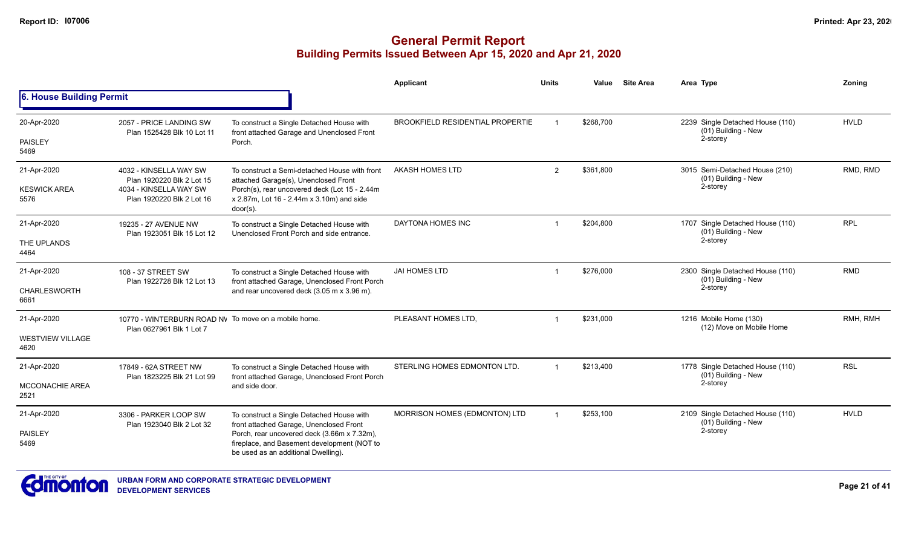|                                 |                                                                                                                                   |                                                                                                           | <b>Applicant</b>                        | <b>Units</b>   | Value     | <b>Site Area</b> | Area Type                                               | Zoning      |
|---------------------------------|-----------------------------------------------------------------------------------------------------------------------------------|-----------------------------------------------------------------------------------------------------------|-----------------------------------------|----------------|-----------|------------------|---------------------------------------------------------|-------------|
| 6. House Building Permit        |                                                                                                                                   |                                                                                                           |                                         |                |           |                  |                                                         |             |
| 20-Apr-2020                     | 2057 - PRICE LANDING SW<br>Plan 1525428 Blk 10 Lot 11                                                                             | To construct a Single Detached House with<br>front attached Garage and Unenclosed Front                   | <b>BROOKFIELD RESIDENTIAL PROPERTIE</b> |                | \$268,700 |                  | 2239 Single Detached House (110)<br>(01) Building - New | <b>HVLD</b> |
| PAISLEY<br>5469                 |                                                                                                                                   | Porch.                                                                                                    |                                         |                |           |                  | 2-storey                                                |             |
| 21-Apr-2020                     | 4032 - KINSELLA WAY SW<br>Plan 1920220 Blk 2 Lot 15                                                                               | To construct a Semi-detached House with front<br>attached Garage(s), Unenclosed Front                     | <b>AKASH HOMES LTD</b>                  | $\overline{2}$ | \$361,800 |                  | 3015 Semi-Detached House (210)<br>(01) Building - New   | RMD, RMD    |
| <b>KESWICK AREA</b><br>5576     | 4034 - KINSELLA WAY SW<br>Plan 1920220 Blk 2 Lot 16                                                                               | Porch(s), rear uncovered deck (Lot 15 - 2.44m<br>x 2.87m, Lot 16 - 2.44m x 3.10m) and side<br>$door(s)$ . |                                         |                |           |                  | 2-storey                                                |             |
| 21-Apr-2020                     | 19235 - 27 AVENUE NW<br>Plan 1923051 Blk 15 Lot 12                                                                                | To construct a Single Detached House with<br>Unenclosed Front Porch and side entrance.                    | DAYTONA HOMES INC                       | $\overline{1}$ | \$204,800 |                  | 1707 Single Detached House (110)<br>(01) Building - New | <b>RPL</b>  |
| THE UPLANDS<br>4464             |                                                                                                                                   |                                                                                                           |                                         |                |           |                  | 2-storey                                                |             |
| 21-Apr-2020                     | 108 - 37 STREET SW                                                                                                                | To construct a Single Detached House with<br>front attached Garage, Unenclosed Front Porch                | <b>JAI HOMES LTD</b>                    | $\mathbf 1$    | \$276.000 |                  | 2300 Single Detached House (110)<br>(01) Building - New | <b>RMD</b>  |
| CHARLESWORTH<br>6661            | Plan 1922728 Blk 12 Lot 13                                                                                                        | and rear uncovered deck (3.05 m x 3.96 m).                                                                |                                         |                |           | 2-storey         |                                                         |             |
| 21-Apr-2020                     | 10770 - WINTERBURN ROAD NV To move on a mobile home.<br>Plan 0627961 Blk 1 Lot 7                                                  |                                                                                                           | PLEASANT HOMES LTD,                     | $\overline{1}$ | \$231,000 |                  | 1216 Mobile Home (130)<br>(12) Move on Mobile Home      | RMH, RMH    |
| <b>WESTVIEW VILLAGE</b><br>4620 |                                                                                                                                   |                                                                                                           |                                         |                |           |                  |                                                         |             |
| 21-Apr-2020                     | 17849 - 62A STREET NW                                                                                                             | To construct a Single Detached House with<br>front attached Garage, Unenclosed Front Porch                | STERLING HOMES EDMONTON LTD.            | $\overline{1}$ | \$213,400 |                  | 1778 Single Detached House (110)<br>(01) Building - New | <b>RSL</b>  |
| <b>MCCONACHIE AREA</b><br>2521  | Plan 1823225 Blk 21 Lot 99                                                                                                        | and side door.                                                                                            |                                         |                |           |                  | 2-storey                                                |             |
| 21-Apr-2020                     | 3306 - PARKER LOOP SW<br>Plan 1923040 Blk 2 Lot 32                                                                                | To construct a Single Detached House with<br>front attached Garage, Unenclosed Front                      | MORRISON HOMES (EDMONTON) LTD           |                | \$253,100 |                  | 2109 Single Detached House (110)<br>(01) Building - New | <b>HVLD</b> |
| <b>PAISLEY</b><br>5469          | Porch, rear uncovered deck (3.66m x 7.32m),<br>fireplace, and Basement development (NOT to<br>be used as an additional Dwelling). |                                                                                                           |                                         |                |           |                  | 2-storey                                                |             |

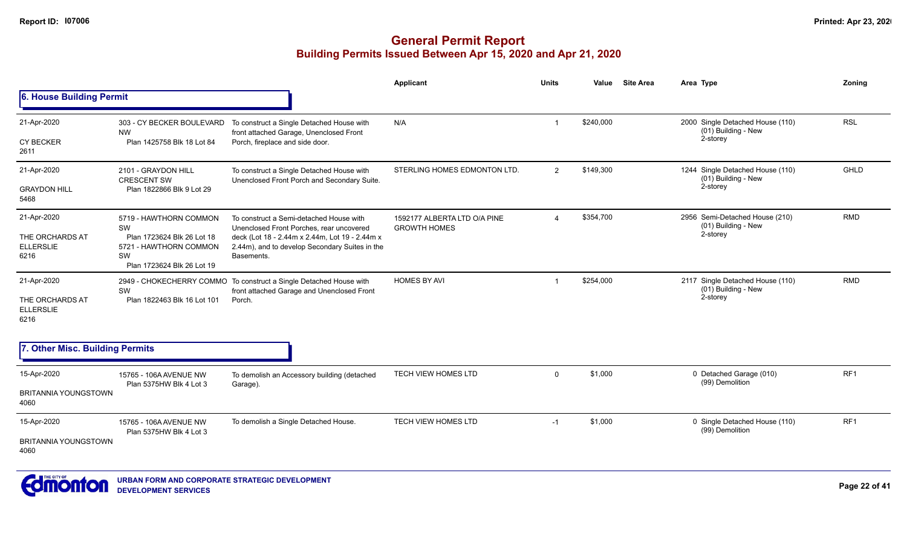|                                             |                                                      |                                                                                                  | <b>Applicant</b>                                    | <b>Units</b>          | Value     | <b>Site Area</b> | Area Type                                                 | Zoning          |
|---------------------------------------------|------------------------------------------------------|--------------------------------------------------------------------------------------------------|-----------------------------------------------------|-----------------------|-----------|------------------|-----------------------------------------------------------|-----------------|
| 6. House Building Permit                    |                                                      |                                                                                                  |                                                     |                       |           |                  |                                                           |                 |
| 21-Apr-2020                                 | 303 - CY BECKER BOULEVARD<br><b>NW</b>               | To construct a Single Detached House with<br>front attached Garage, Unenclosed Front             | N/A                                                 | $\mathbf{1}$          | \$240,000 |                  | 2000 Single Detached House (110)<br>(01) Building - New   | <b>RSL</b>      |
| <b>CY BECKER</b><br>2611                    | Plan 1425758 Blk 18 Lot 84                           | Porch, fireplace and side door.                                                                  |                                                     |                       |           |                  | 2-storey                                                  |                 |
| 21-Apr-2020                                 | 2101 - GRAYDON HILL<br><b>CRESCENT SW</b>            | To construct a Single Detached House with<br>Unenclosed Front Porch and Secondary Suite.         | STERLING HOMES EDMONTON LTD.                        | $\overline{2}$        | \$149,300 |                  | 1244 Single Detached House (110)<br>(01) Building - New   | <b>GHLD</b>     |
| <b>GRAYDON HILL</b><br>5468                 | Plan 1822866 Blk 9 Lot 29                            |                                                                                                  |                                                     |                       |           |                  | 2-storey                                                  |                 |
| 21-Apr-2020                                 | 5719 - HAWTHORN COMMON<br>SW                         | To construct a Semi-detached House with<br>Unenclosed Front Porches, rear uncovered              | 1592177 ALBERTA LTD O/A PINE<br><b>GROWTH HOMES</b> | $\boldsymbol{\Delta}$ | \$354,700 |                  | 2956 Semi-Detached House (210)<br>(01) Building - New     | <b>RMD</b>      |
| THE ORCHARDS AT<br><b>ELLERSLIE</b>         | Plan 1723624 Blk 26 Lot 18<br>5721 - HAWTHORN COMMON | deck (Lot 18 - 2.44m x 2.44m, Lot 19 - 2.44m x<br>2.44m), and to develop Secondary Suites in the |                                                     |                       |           |                  | 2-storey                                                  |                 |
| 6216                                        | SW<br>Plan 1723624 Blk 26 Lot 19                     | Basements.                                                                                       |                                                     |                       |           |                  |                                                           |                 |
| 21-Apr-2020                                 | 2949 - CHOKECHERRY COMMO<br>SW                       | To construct a Single Detached House with<br>front attached Garage and Unenclosed Front          | <b>HOMES BY AVI</b>                                 | -1                    | \$254,000 |                  | 2117 Single Detached House (110)<br>$(01)$ Building - New | <b>RMD</b>      |
| THE ORCHARDS AT<br><b>ELLERSLIE</b><br>6216 | Plan 1822463 Blk 16 Lot 101                          | Porch.                                                                                           |                                                     |                       |           |                  | 2-storey                                                  |                 |
| 7. Other Misc. Building Permits             |                                                      |                                                                                                  |                                                     |                       |           |                  |                                                           |                 |
| 15-Apr-2020                                 | 15765 - 106A AVENUE NW                               | To demolish an Accessory building (detached                                                      | <b>TECH VIEW HOMES LTD</b>                          | $\mathbf 0$           | \$1,000   |                  | 0 Detached Garage (010)                                   | RF <sub>1</sub> |
| BRITANNIA YOUNGSTOWN                        | Plan 5375HW Blk 4 Lot 3                              | Garage).                                                                                         |                                                     |                       |           |                  | (99) Demolition                                           |                 |
| 4060                                        |                                                      |                                                                                                  |                                                     |                       |           |                  |                                                           |                 |
| 15-Apr-2020                                 | 15765 - 106A AVENUE NW<br>Plan 5375HW Blk 4 Lot 3    | To demolish a Single Detached House.                                                             | <b>TECH VIEW HOMES LTD</b>                          | $-1$                  | \$1,000   |                  | 0 Single Detached House (110)<br>(99) Demolition          | RF <sub>1</sub> |
| <b>BRITANNIA YOUNGSTOWN</b><br>4060         |                                                      |                                                                                                  |                                                     |                       |           |                  |                                                           |                 |

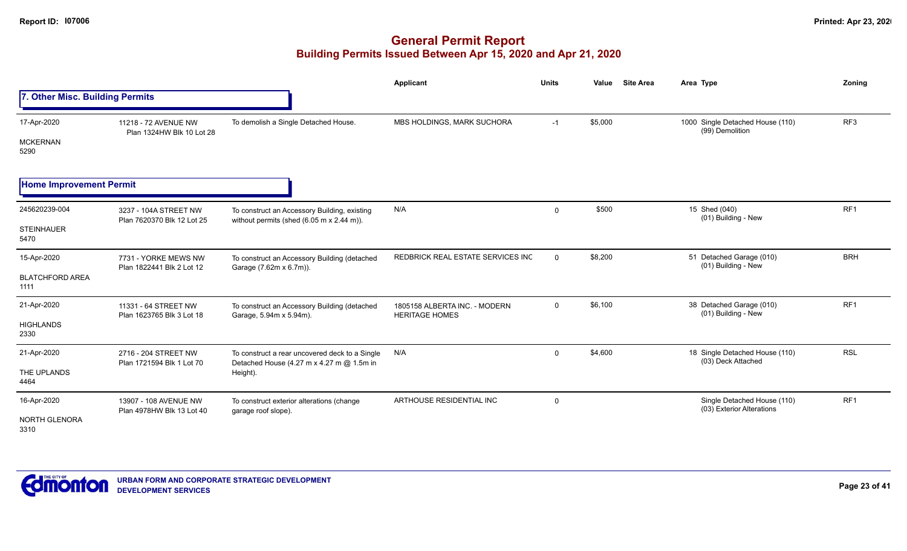|                                               |                                                     |                                                                                                                   | <b>Applicant</b>                                       | <b>Units</b>   | <b>Site Area</b><br>Value | Area Type                                                | Zoning          |
|-----------------------------------------------|-----------------------------------------------------|-------------------------------------------------------------------------------------------------------------------|--------------------------------------------------------|----------------|---------------------------|----------------------------------------------------------|-----------------|
| 7. Other Misc. Building Permits               |                                                     |                                                                                                                   |                                                        |                |                           |                                                          |                 |
| 17-Apr-2020<br><b>MCKERNAN</b><br>5290        | 11218 - 72 AVENUE NW<br>Plan 1324HW Blk 10 Lot 28   | To demolish a Single Detached House.                                                                              | MBS HOLDINGS, MARK SUCHORA                             | $-1$           | \$5,000                   | 1000 Single Detached House (110)<br>(99) Demolition      | RF <sub>3</sub> |
| <b>Home Improvement Permit</b>                |                                                     |                                                                                                                   |                                                        |                |                           |                                                          |                 |
| 245620239-004<br><b>STEINHAUER</b><br>5470    | 3237 - 104A STREET NW<br>Plan 7620370 Blk 12 Lot 25 | To construct an Accessory Building, existing<br>without permits (shed $(6.05 \text{ m} \times 2.44 \text{ m})$ ). | N/A                                                    | $\mathbf 0$    | \$500                     | 15 Shed (040)<br>(01) Building - New                     | RF <sub>1</sub> |
| 15-Apr-2020<br><b>BLATCHFORD AREA</b><br>1111 | 7731 - YORKE MEWS NW<br>Plan 1822441 Blk 2 Lot 12   | To construct an Accessory Building (detached<br>Garage (7.62m x 6.7m)).                                           | REDBRICK REAL ESTATE SERVICES INC                      | $\overline{0}$ | \$8,200                   | 51 Detached Garage (010)<br>(01) Building - New          | <b>BRH</b>      |
| 21-Apr-2020<br><b>HIGHLANDS</b><br>2330       | 11331 - 64 STREET NW<br>Plan 1623765 Blk 3 Lot 18   | To construct an Accessory Building (detached<br>Garage, 5.94m x 5.94m).                                           | 1805158 ALBERTA INC. - MODERN<br><b>HERITAGE HOMES</b> | $\mathbf 0$    | \$6,100                   | 38 Detached Garage (010)<br>(01) Building - New          | RF <sub>1</sub> |
| 21-Apr-2020<br>THE UPLANDS<br>4464            | 2716 - 204 STREET NW<br>Plan 1721594 Blk 1 Lot 70   | To construct a rear uncovered deck to a Single<br>Detached House (4.27 m x 4.27 m @ 1.5m in<br>Height).           | N/A                                                    | $\mathbf 0$    | \$4,600                   | 18 Single Detached House (110)<br>(03) Deck Attached     | <b>RSL</b>      |
| 16-Apr-2020<br>NORTH GLENORA<br>3310          | 13907 - 108 AVENUE NW<br>Plan 4978HW Blk 13 Lot 40  | To construct exterior alterations (change<br>garage roof slope).                                                  | ARTHOUSE RESIDENTIAL INC                               | $\mathbf 0$    |                           | Single Detached House (110)<br>(03) Exterior Alterations | RF <sub>1</sub> |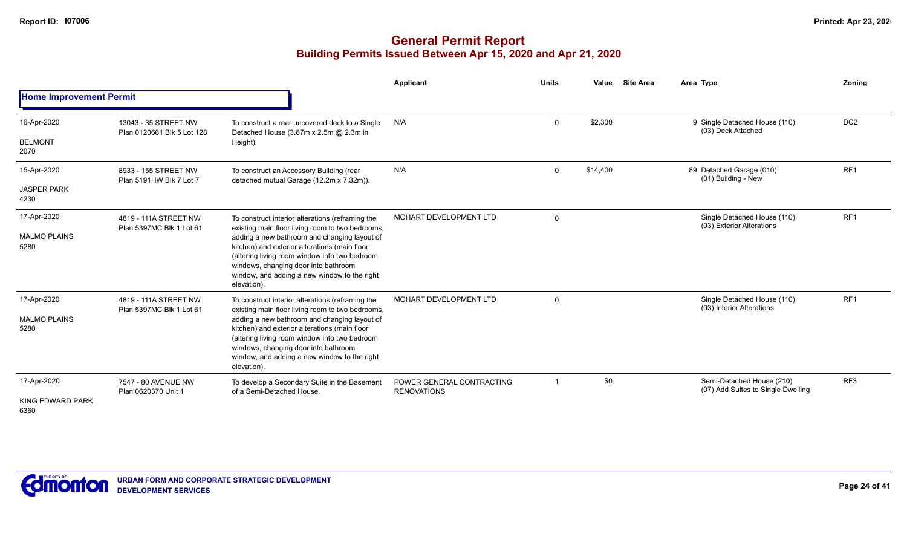|                                |                                                    |                                                                                                                                                                                                                                                       | Applicant                                       | <b>Units</b>   | Value    | <b>Site Area</b> | Area Type                                                       | Zoning          |
|--------------------------------|----------------------------------------------------|-------------------------------------------------------------------------------------------------------------------------------------------------------------------------------------------------------------------------------------------------------|-------------------------------------------------|----------------|----------|------------------|-----------------------------------------------------------------|-----------------|
| <b>Home Improvement Permit</b> |                                                    |                                                                                                                                                                                                                                                       |                                                 |                |          |                  |                                                                 |                 |
| 16-Apr-2020                    | 13043 - 35 STREET NW<br>Plan 0120661 Blk 5 Lot 128 | To construct a rear uncovered deck to a Single<br>Detached House (3.67m x 2.5m @ 2.3m in                                                                                                                                                              | N/A                                             | $\mathbf 0$    | \$2,300  |                  | 9 Single Detached House (110)<br>(03) Deck Attached             | DC <sub>2</sub> |
| <b>BELMONT</b><br>2070         |                                                    | Height).                                                                                                                                                                                                                                              |                                                 |                |          |                  |                                                                 |                 |
| 15-Apr-2020                    | 8933 - 155 STREET NW<br>Plan 5191HW Blk 7 Lot 7    | To construct an Accessory Building (rear<br>detached mutual Garage (12.2m x 7.32m)).                                                                                                                                                                  | N/A                                             | $\mathbf 0$    | \$14,400 |                  | 89 Detached Garage (010)<br>(01) Building - New                 | RF <sub>1</sub> |
| <b>JASPER PARK</b><br>4230     | 4819 - 111A STREET NW                              |                                                                                                                                                                                                                                                       |                                                 |                |          |                  |                                                                 |                 |
| 17-Apr-2020                    | Plan 5397MC Blk 1 Lot 61                           | To construct interior alterations (reframing the<br>existing main floor living room to two bedrooms,                                                                                                                                                  | MOHART DEVELOPMENT LTD                          | $\overline{0}$ |          |                  | Single Detached House (110)<br>(03) Exterior Alterations        | RF <sub>1</sub> |
| <b>MALMO PLAINS</b><br>5280    |                                                    | adding a new bathroom and changing layout of<br>kitchen) and exterior alterations (main floor<br>(altering living room window into two bedroom<br>windows, changing door into bathroom                                                                |                                                 |                |          |                  |                                                                 |                 |
|                                |                                                    | window, and adding a new window to the right<br>elevation).                                                                                                                                                                                           |                                                 |                |          |                  |                                                                 |                 |
| 17-Apr-2020                    | 4819 - 111A STREET NW<br>Plan 5397MC Blk 1 Lot 61  | To construct interior alterations (reframing the<br>existing main floor living room to two bedrooms,                                                                                                                                                  | MOHART DEVELOPMENT LTD                          | $\overline{0}$ |          |                  | Single Detached House (110)<br>(03) Interior Alterations        | RF <sub>1</sub> |
| <b>MALMO PLAINS</b><br>5280    |                                                    | adding a new bathroom and changing layout of<br>kitchen) and exterior alterations (main floor<br>(altering living room window into two bedroom<br>windows, changing door into bathroom<br>window, and adding a new window to the right<br>elevation). |                                                 |                |          |                  |                                                                 |                 |
| 17-Apr-2020                    | 7547 - 80 AVENUE NW<br>Plan 0620370 Unit 1         | To develop a Secondary Suite in the Basement<br>of a Semi-Detached House.                                                                                                                                                                             | POWER GENERAL CONTRACTING<br><b>RENOVATIONS</b> |                | \$0      |                  | Semi-Detached House (210)<br>(07) Add Suites to Single Dwelling | RF <sub>3</sub> |
| KING EDWARD PARK<br>6360       |                                                    |                                                                                                                                                                                                                                                       |                                                 |                |          |                  |                                                                 |                 |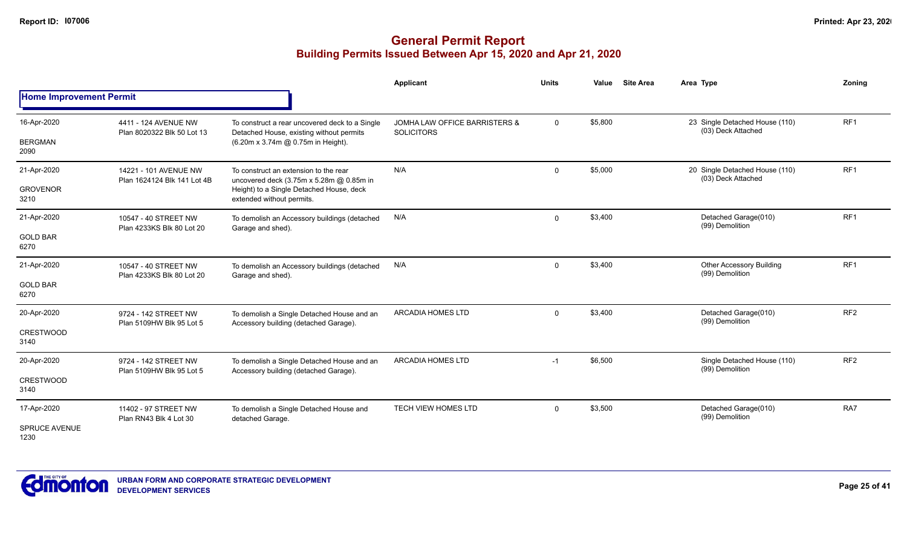|                                                                                                                                                                                                                                                                                                                                                                                                                                                                                                                                                                                                                                                                                                                                                                                                                                                                                                                                                                                                                                                                                                                                                                                                                                                                                                                                                                                                                                                                                                                                                                                                                                                                                                                                                                                                                                                                                                                                                                                                                                                                                                                                                                                                                                            |  | <b>Applicant</b> | <b>Units</b> | Value | Area Type | Zoning          |
|--------------------------------------------------------------------------------------------------------------------------------------------------------------------------------------------------------------------------------------------------------------------------------------------------------------------------------------------------------------------------------------------------------------------------------------------------------------------------------------------------------------------------------------------------------------------------------------------------------------------------------------------------------------------------------------------------------------------------------------------------------------------------------------------------------------------------------------------------------------------------------------------------------------------------------------------------------------------------------------------------------------------------------------------------------------------------------------------------------------------------------------------------------------------------------------------------------------------------------------------------------------------------------------------------------------------------------------------------------------------------------------------------------------------------------------------------------------------------------------------------------------------------------------------------------------------------------------------------------------------------------------------------------------------------------------------------------------------------------------------------------------------------------------------------------------------------------------------------------------------------------------------------------------------------------------------------------------------------------------------------------------------------------------------------------------------------------------------------------------------------------------------------------------------------------------------------------------------------------------------|--|------------------|--------------|-------|-----------|-----------------|
| <b>Site Area</b><br><b>Home Improvement Permit</b><br>RF <sub>1</sub><br>\$5,800<br>23 Single Detached House (110)<br>16-Apr-2020<br>4411 - 124 AVENUE NW<br>JOMHA LAW OFFICE BARRISTERS &<br>$\mathbf 0$<br>To construct a rear uncovered deck to a Single<br>(03) Deck Attached<br>Detached House, existing without permits<br>Plan 8020322 Blk 50 Lot 13<br><b>SOLICITORS</b><br><b>BERGMAN</b><br>(6.20m x 3.74m @ 0.75m in Height).<br>2090<br>RF <sub>1</sub><br>N/A<br>\$5,000<br>20 Single Detached House (110)<br>21-Apr-2020<br>$\Omega$<br>14221 - 101 AVENUE NW<br>To construct an extension to the rear<br>(03) Deck Attached<br>Plan 1624124 Blk 141 Lot 4B<br>uncovered deck (3.75m x 5.28m @ 0.85m in<br><b>GROVENOR</b><br>Height) to a Single Detached House, deck<br>extended without permits.<br>3210<br>RF <sub>1</sub><br>N/A<br>\$3,400<br>Detached Garage(010)<br>21-Apr-2020<br>$\mathbf 0$<br>10547 - 40 STREET NW<br>To demolish an Accessory buildings (detached<br>(99) Demolition<br>Plan 4233KS Blk 80 Lot 20<br>Garage and shed).<br><b>GOLD BAR</b><br>6270<br>RF <sub>1</sub><br>N/A<br>\$3,400<br><b>Other Accessory Building</b><br>21-Apr-2020<br>$\mathbf 0$<br>10547 - 40 STREET NW<br>To demolish an Accessory buildings (detached<br>(99) Demolition<br>Plan 4233KS Blk 80 Lot 20<br>Garage and shed).<br><b>GOLD BAR</b><br>6270<br>RF <sub>2</sub><br><b>ARCADIA HOMES LTD</b><br>\$3,400<br>Detached Garage(010)<br>20-Apr-2020<br>9724 - 142 STREET NW<br>To demolish a Single Detached House and an<br>$\Omega$<br>(99) Demolition<br>Accessory building (detached Garage).<br>Plan 5109HW Blk 95 Lot 5<br><b>CRESTWOOD</b><br>3140<br><b>ARCADIA HOMES LTD</b><br>\$6,500<br>Single Detached House (110)<br>20-Apr-2020<br>9724 - 142 STREET NW<br>$-1$<br>To demolish a Single Detached House and an<br>(99) Demolition<br>Accessory building (detached Garage).<br>Plan 5109HW Blk 95 Lot 5<br><b>CRESTWOOD</b><br>3140<br>RA7<br><b>TECH VIEW HOMES LTD</b><br>Detached Garage(010)<br>\$3,500<br>17-Apr-2020<br>$\mathbf 0$<br>11402 - 97 STREET NW<br>To demolish a Single Detached House and<br>(99) Demolition<br>Plan RN43 Blk 4 Lot 30<br>detached Garage.<br><b>SPRUCE AVENUE</b> |  |                  |              |       |           |                 |
|                                                                                                                                                                                                                                                                                                                                                                                                                                                                                                                                                                                                                                                                                                                                                                                                                                                                                                                                                                                                                                                                                                                                                                                                                                                                                                                                                                                                                                                                                                                                                                                                                                                                                                                                                                                                                                                                                                                                                                                                                                                                                                                                                                                                                                            |  |                  |              |       |           |                 |
|                                                                                                                                                                                                                                                                                                                                                                                                                                                                                                                                                                                                                                                                                                                                                                                                                                                                                                                                                                                                                                                                                                                                                                                                                                                                                                                                                                                                                                                                                                                                                                                                                                                                                                                                                                                                                                                                                                                                                                                                                                                                                                                                                                                                                                            |  |                  |              |       |           |                 |
|                                                                                                                                                                                                                                                                                                                                                                                                                                                                                                                                                                                                                                                                                                                                                                                                                                                                                                                                                                                                                                                                                                                                                                                                                                                                                                                                                                                                                                                                                                                                                                                                                                                                                                                                                                                                                                                                                                                                                                                                                                                                                                                                                                                                                                            |  |                  |              |       |           |                 |
|                                                                                                                                                                                                                                                                                                                                                                                                                                                                                                                                                                                                                                                                                                                                                                                                                                                                                                                                                                                                                                                                                                                                                                                                                                                                                                                                                                                                                                                                                                                                                                                                                                                                                                                                                                                                                                                                                                                                                                                                                                                                                                                                                                                                                                            |  |                  |              |       |           |                 |
|                                                                                                                                                                                                                                                                                                                                                                                                                                                                                                                                                                                                                                                                                                                                                                                                                                                                                                                                                                                                                                                                                                                                                                                                                                                                                                                                                                                                                                                                                                                                                                                                                                                                                                                                                                                                                                                                                                                                                                                                                                                                                                                                                                                                                                            |  |                  |              |       |           |                 |
|                                                                                                                                                                                                                                                                                                                                                                                                                                                                                                                                                                                                                                                                                                                                                                                                                                                                                                                                                                                                                                                                                                                                                                                                                                                                                                                                                                                                                                                                                                                                                                                                                                                                                                                                                                                                                                                                                                                                                                                                                                                                                                                                                                                                                                            |  |                  |              |       |           |                 |
|                                                                                                                                                                                                                                                                                                                                                                                                                                                                                                                                                                                                                                                                                                                                                                                                                                                                                                                                                                                                                                                                                                                                                                                                                                                                                                                                                                                                                                                                                                                                                                                                                                                                                                                                                                                                                                                                                                                                                                                                                                                                                                                                                                                                                                            |  |                  |              |       |           |                 |
|                                                                                                                                                                                                                                                                                                                                                                                                                                                                                                                                                                                                                                                                                                                                                                                                                                                                                                                                                                                                                                                                                                                                                                                                                                                                                                                                                                                                                                                                                                                                                                                                                                                                                                                                                                                                                                                                                                                                                                                                                                                                                                                                                                                                                                            |  |                  |              |       |           |                 |
|                                                                                                                                                                                                                                                                                                                                                                                                                                                                                                                                                                                                                                                                                                                                                                                                                                                                                                                                                                                                                                                                                                                                                                                                                                                                                                                                                                                                                                                                                                                                                                                                                                                                                                                                                                                                                                                                                                                                                                                                                                                                                                                                                                                                                                            |  |                  |              |       |           |                 |
|                                                                                                                                                                                                                                                                                                                                                                                                                                                                                                                                                                                                                                                                                                                                                                                                                                                                                                                                                                                                                                                                                                                                                                                                                                                                                                                                                                                                                                                                                                                                                                                                                                                                                                                                                                                                                                                                                                                                                                                                                                                                                                                                                                                                                                            |  |                  |              |       |           |                 |
|                                                                                                                                                                                                                                                                                                                                                                                                                                                                                                                                                                                                                                                                                                                                                                                                                                                                                                                                                                                                                                                                                                                                                                                                                                                                                                                                                                                                                                                                                                                                                                                                                                                                                                                                                                                                                                                                                                                                                                                                                                                                                                                                                                                                                                            |  |                  |              |       |           | RF <sub>2</sub> |
|                                                                                                                                                                                                                                                                                                                                                                                                                                                                                                                                                                                                                                                                                                                                                                                                                                                                                                                                                                                                                                                                                                                                                                                                                                                                                                                                                                                                                                                                                                                                                                                                                                                                                                                                                                                                                                                                                                                                                                                                                                                                                                                                                                                                                                            |  |                  |              |       |           |                 |
|                                                                                                                                                                                                                                                                                                                                                                                                                                                                                                                                                                                                                                                                                                                                                                                                                                                                                                                                                                                                                                                                                                                                                                                                                                                                                                                                                                                                                                                                                                                                                                                                                                                                                                                                                                                                                                                                                                                                                                                                                                                                                                                                                                                                                                            |  |                  |              |       |           |                 |
| 1230                                                                                                                                                                                                                                                                                                                                                                                                                                                                                                                                                                                                                                                                                                                                                                                                                                                                                                                                                                                                                                                                                                                                                                                                                                                                                                                                                                                                                                                                                                                                                                                                                                                                                                                                                                                                                                                                                                                                                                                                                                                                                                                                                                                                                                       |  |                  |              |       |           |                 |

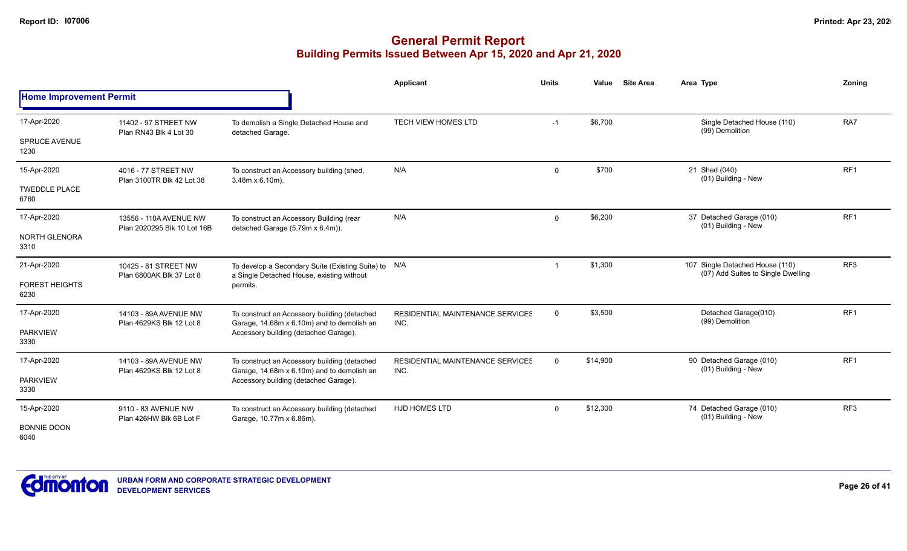|                                |                                                   |                                                                                                   | <b>Applicant</b>                                | <b>Units</b>            | Value    | <b>Site Area</b> | Area Type                                       | Zoning          |
|--------------------------------|---------------------------------------------------|---------------------------------------------------------------------------------------------------|-------------------------------------------------|-------------------------|----------|------------------|-------------------------------------------------|-----------------|
| <b>Home Improvement Permit</b> |                                                   |                                                                                                   |                                                 |                         |          |                  |                                                 |                 |
| 17-Apr-2020                    | 11402 - 97 STREET NW                              | To demolish a Single Detached House and                                                           | <b>TECH VIEW HOMES LTD</b>                      | $-1$                    | \$6,700  |                  | Single Detached House (110)<br>(99) Demolition  | RA7             |
| <b>SPRUCE AVENUE</b><br>1230   | Plan RN43 Blk 4 Lot 30                            | detached Garage.                                                                                  |                                                 |                         |          |                  |                                                 |                 |
| 15-Apr-2020                    | 4016 - 77 STREET NW<br>Plan 3100TR Blk 42 Lot 38  | To construct an Accessory building (shed,<br>$3.48m \times 6.10m$ ).                              | N/A                                             | $\mathbf 0$             | \$700    |                  | 21 Shed (040)<br>(01) Building - New            | RF <sub>1</sub> |
| <b>TWEDDLE PLACE</b><br>6760   |                                                   |                                                                                                   |                                                 |                         |          |                  |                                                 |                 |
| 17-Apr-2020                    | 13556 - 110A AVENUE NW                            | To construct an Accessory Building (rear                                                          | N/A                                             | $\mathbf 0$             | \$6,200  |                  | 37 Detached Garage (010)<br>(01) Building - New | RF <sub>1</sub> |
| NORTH GLENORA<br>3310          | Plan 2020295 Blk 10 Lot 16B                       | detached Garage (5.79m x 6.4m)).                                                                  |                                                 |                         |          |                  |                                                 |                 |
| 21-Apr-2020                    | 10425 - 81 STREET NW<br>Plan 6800AK Blk 37 Lot 8  | To develop a Secondary Suite (Existing Suite) to N/A<br>a Single Detached House, existing without |                                                 | $\overline{\mathbf{1}}$ | \$1,300  |                  | 107 Single Detached House (110)                 | RF <sub>3</sub> |
| <b>FOREST HEIGHTS</b><br>6230  |                                                   | permits.                                                                                          |                                                 |                         |          |                  | (07) Add Suites to Single Dwelling              |                 |
| 17-Apr-2020                    | 14103 - 89A AVENUE NW<br>Plan 4629KS Blk 12 Lot 8 | To construct an Accessory building (detached<br>Garage, 14.68m x 6.10m) and to demolish an        | <b>RESIDENTIAL MAINTENANCE SERVICES</b><br>INC. | $\mathbf 0$             | \$3,500  |                  | Detached Garage(010)<br>(99) Demolition         | RF <sub>1</sub> |
| <b>PARKVIEW</b><br>3330        |                                                   | Accessory building (detached Garage).                                                             |                                                 |                         |          |                  |                                                 |                 |
| 17-Apr-2020                    | 14103 - 89A AVENUE NW<br>Plan 4629KS Blk 12 Lot 8 | To construct an Accessory building (detached                                                      | RESIDENTIAL MAINTENANCE SERVICES<br>INC.        | $\mathbf{0}$            | \$14,900 |                  | 90 Detached Garage (010)<br>(01) Building - New | RF <sub>1</sub> |
| <b>PARKVIEW</b><br>3330        |                                                   | Garage, 14.68m x 6.10m) and to demolish an<br>Accessory building (detached Garage).               |                                                 |                         |          |                  |                                                 |                 |
| 15-Apr-2020                    | 9110 - 83 AVENUE NW<br>Plan 426HW Blk 6B Lot F    | To construct an Accessory building (detached                                                      | <b>HJD HOMES LTD</b>                            | $\mathbf 0$             | \$12,300 |                  | 74 Detached Garage (010)<br>(01) Building - New | RF <sub>3</sub> |
| <b>BONNIE DOON</b><br>6040     |                                                   | Garage, 10.77m x 6.86m).                                                                          |                                                 |                         |          |                  |                                                 |                 |

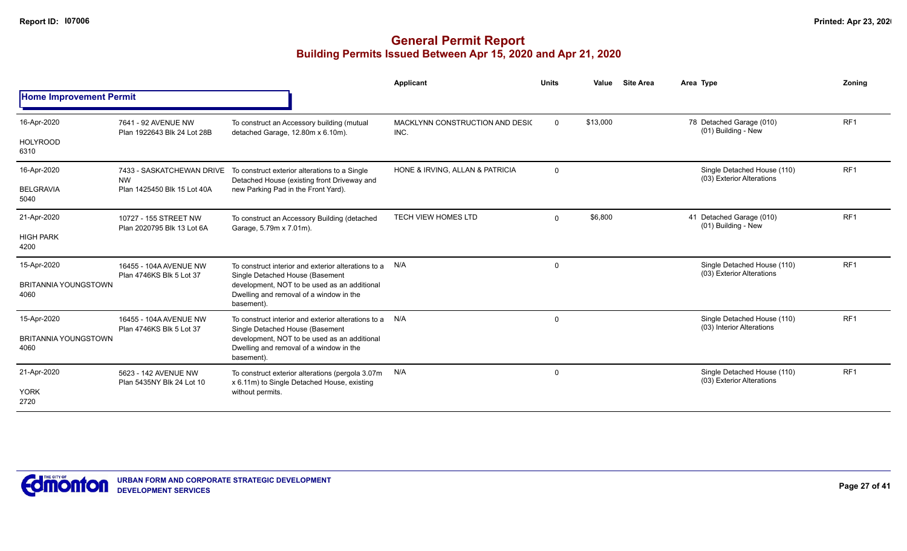|                                     |                                                     |                                                                                                                                          | Applicant                               | <b>Units</b> | Value    | <b>Site Area</b> | Area Type                                                | Zonina          |
|-------------------------------------|-----------------------------------------------------|------------------------------------------------------------------------------------------------------------------------------------------|-----------------------------------------|--------------|----------|------------------|----------------------------------------------------------|-----------------|
| <b>Home Improvement Permit</b>      |                                                     |                                                                                                                                          |                                         |              |          |                  |                                                          |                 |
| 16-Apr-2020                         | 7641 - 92 AVENUE NW<br>Plan 1922643 Blk 24 Lot 28B  | To construct an Accessory building (mutual<br>detached Garage, 12.80m x 6.10m).                                                          | MACKLYNN CONSTRUCTION AND DESIC<br>INC. | $\mathbf{0}$ | \$13,000 |                  | 78 Detached Garage (010)<br>(01) Building - New          | RF <sub>1</sub> |
| <b>HOLYROOD</b><br>6310             |                                                     |                                                                                                                                          |                                         |              |          |                  |                                                          |                 |
| 16-Apr-2020                         | 7433 - SASKATCHEWAN DRIVE<br><b>NW</b>              | To construct exterior alterations to a Single<br>Detached House (existing front Driveway and                                             | HONE & IRVING, ALLAN & PATRICIA         | $\mathbf{0}$ |          |                  | Single Detached House (110)<br>(03) Exterior Alterations | RF <sub>1</sub> |
| <b>BELGRAVIA</b><br>5040            | Plan 1425450 Blk 15 Lot 40A                         | new Parking Pad in the Front Yard).                                                                                                      |                                         |              |          |                  |                                                          |                 |
| 21-Apr-2020                         | 10727 - 155 STREET NW<br>Plan 2020795 Blk 13 Lot 6A | To construct an Accessory Building (detached<br>Garage, 5.79m x 7.01m).                                                                  | <b>TECH VIEW HOMES LTD</b>              | $\Omega$     | \$6,800  |                  | 41 Detached Garage (010)<br>(01) Building - New          | RF <sub>1</sub> |
| <b>HIGH PARK</b><br>4200            |                                                     |                                                                                                                                          |                                         |              |          |                  |                                                          |                 |
| 15-Apr-2020                         | 16455 - 104A AVENUE NW<br>Plan 4746KS Blk 5 Lot 37  | To construct interior and exterior alterations to a N/A                                                                                  |                                         | $\Omega$     |          |                  | Single Detached House (110)<br>(03) Exterior Alterations | RF <sub>1</sub> |
| <b>BRITANNIA YOUNGSTOWN</b><br>4060 |                                                     | Single Detached House (Basement<br>development, NOT to be used as an additional<br>Dwelling and removal of a window in the<br>basement). |                                         |              |          |                  |                                                          |                 |
| 15-Apr-2020                         | 16455 - 104A AVENUE NW<br>Plan 4746KS Blk 5 Lot 37  | To construct interior and exterior alterations to a<br>Single Detached House (Basement                                                   | N/A                                     | 0            |          |                  | Single Detached House (110)<br>(03) Interior Alterations | RF <sub>1</sub> |
| <b>BRITANNIA YOUNGSTOWN</b><br>4060 |                                                     | development, NOT to be used as an additional<br>Dwelling and removal of a window in the<br>basement).                                    |                                         |              |          |                  |                                                          |                 |
| 21-Apr-2020                         | 5623 - 142 AVENUE NW<br>Plan 5435NY Blk 24 Lot 10   | To construct exterior alterations (pergola 3.07m<br>x 6.11m) to Single Detached House, existing                                          | N/A                                     | 0            |          |                  | Single Detached House (110)<br>(03) Exterior Alterations | RF <sub>1</sub> |
| <b>YORK</b><br>2720                 |                                                     | without permits.                                                                                                                         |                                         |              |          |                  |                                                          |                 |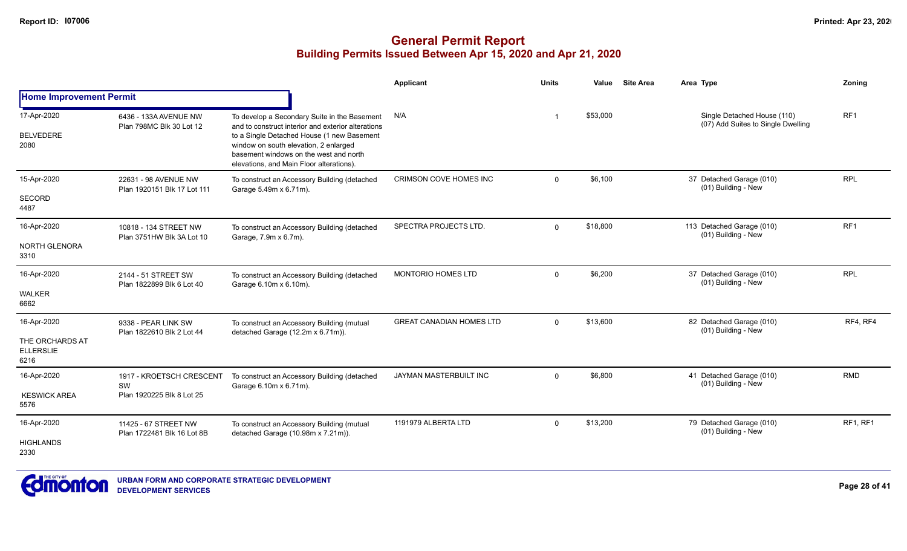|                                                            |                                                             |                                                                                                                                                                                                                                                                                 | <b>Applicant</b>                | Units    | Value    | <b>Site Area</b> | Area Type                                                         | Zoning          |
|------------------------------------------------------------|-------------------------------------------------------------|---------------------------------------------------------------------------------------------------------------------------------------------------------------------------------------------------------------------------------------------------------------------------------|---------------------------------|----------|----------|------------------|-------------------------------------------------------------------|-----------------|
| <b>Home Improvement Permit</b>                             |                                                             |                                                                                                                                                                                                                                                                                 |                                 |          |          |                  |                                                                   |                 |
| 17-Apr-2020<br><b>BELVEDERE</b><br>2080                    | 6436 - 133A AVENUE NW<br>Plan 798MC Blk 30 Lot 12           | To develop a Secondary Suite in the Basement<br>and to construct interior and exterior alterations<br>to a Single Detached House (1 new Basement<br>window on south elevation, 2 enlarged<br>basement windows on the west and north<br>elevations, and Main Floor alterations). | N/A                             | -1       | \$53,000 |                  | Single Detached House (110)<br>(07) Add Suites to Single Dwelling | RF <sub>1</sub> |
| 15-Apr-2020<br><b>SECORD</b><br>4487                       | 22631 - 98 AVENUE NW<br>Plan 1920151 Blk 17 Lot 111         | To construct an Accessory Building (detached<br>Garage 5.49m x 6.71m).                                                                                                                                                                                                          | <b>CRIMSON COVE HOMES INC</b>   | $\Omega$ | \$6,100  |                  | 37 Detached Garage (010)<br>(01) Building - New                   | <b>RPL</b>      |
| 16-Apr-2020<br><b>NORTH GLENORA</b><br>3310                | 10818 - 134 STREET NW<br>Plan 3751HW Blk 3A Lot 10          | To construct an Accessory Building (detached<br>Garage, 7.9m x 6.7m).                                                                                                                                                                                                           | SPECTRA PROJECTS LTD.           | $\Omega$ | \$18,800 |                  | 113 Detached Garage (010)<br>(01) Building - New                  | RF <sub>1</sub> |
| 16-Apr-2020<br><b>WALKER</b><br>6662                       | 2144 - 51 STREET SW<br>Plan 1822899 Blk 6 Lot 40            | To construct an Accessory Building (detached<br>Garage 6.10m x 6.10m).                                                                                                                                                                                                          | <b>MONTORIO HOMES LTD</b>       | $\Omega$ | \$6,200  |                  | 37 Detached Garage (010)<br>(01) Building - New                   | <b>RPL</b>      |
| 16-Apr-2020<br>THE ORCHARDS AT<br><b>ELLERSLIE</b><br>6216 | 9338 - PEAR LINK SW<br>Plan 1822610 Blk 2 Lot 44            | To construct an Accessory Building (mutual<br>detached Garage (12.2m x 6.71m)).                                                                                                                                                                                                 | <b>GREAT CANADIAN HOMES LTD</b> | $\Omega$ | \$13,600 |                  | 82 Detached Garage (010)<br>(01) Building - New                   | RF4, RF4        |
| 16-Apr-2020<br><b>KESWICK AREA</b><br>5576                 | 1917 - KROETSCH CRESCENT<br>SW<br>Plan 1920225 Blk 8 Lot 25 | To construct an Accessory Building (detached<br>Garage 6.10m x 6.71m).                                                                                                                                                                                                          | JAYMAN MASTERBUILT INC          | $\Omega$ | \$6,800  |                  | 41 Detached Garage (010)<br>(01) Building - New                   | <b>RMD</b>      |
| 16-Apr-2020<br><b>HIGHLANDS</b><br>2330                    | 11425 - 67 STREET NW<br>Plan 1722481 Blk 16 Lot 8B          | To construct an Accessory Building (mutual<br>detached Garage (10.98m x 7.21m)).                                                                                                                                                                                                | 1191979 ALBERTA LTD             | $\Omega$ | \$13,200 |                  | 79 Detached Garage (010)<br>(01) Building - New                   | RF1, RF1        |

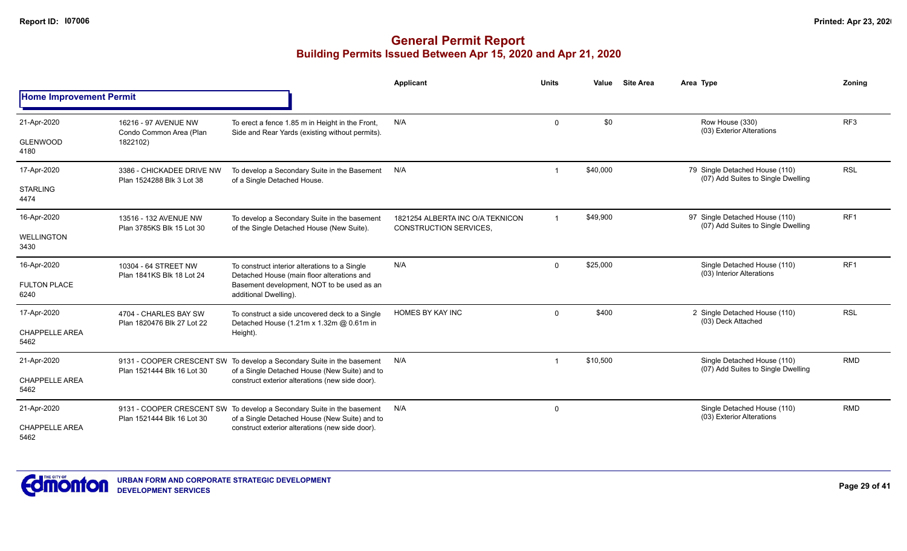|                                |                                                        |                                                                                                    | <b>Applicant</b>                                                  | <b>Units</b> | Value    | <b>Site Area</b> | Area Type                                                            | Zoning          |
|--------------------------------|--------------------------------------------------------|----------------------------------------------------------------------------------------------------|-------------------------------------------------------------------|--------------|----------|------------------|----------------------------------------------------------------------|-----------------|
| <b>Home Improvement Permit</b> |                                                        |                                                                                                    |                                                                   |              |          |                  |                                                                      |                 |
| 21-Apr-2020                    | 16216 - 97 AVENUE NW<br>Condo Common Area (Plan        | To erect a fence 1.85 m in Height in the Front,<br>Side and Rear Yards (existing without permits). | N/A                                                               | $\Omega$     | \$0      |                  | Row House (330)<br>(03) Exterior Alterations                         | RF <sub>3</sub> |
| <b>GLENWOOD</b><br>4180        | 1822102)                                               |                                                                                                    |                                                                   |              |          |                  |                                                                      |                 |
| 17-Apr-2020                    | 3386 - CHICKADEE DRIVE NW<br>Plan 1524288 Blk 3 Lot 38 | To develop a Secondary Suite in the Basement<br>of a Single Detached House.                        | N/A                                                               | $\mathbf 1$  | \$40,000 |                  | 79 Single Detached House (110)<br>(07) Add Suites to Single Dwelling | <b>RSL</b>      |
| <b>STARLING</b><br>4474        |                                                        |                                                                                                    |                                                                   |              |          |                  |                                                                      |                 |
| 16-Apr-2020                    | 13516 - 132 AVENUE NW<br>Plan 3785KS Blk 15 Lot 30     | To develop a Secondary Suite in the basement<br>of the Single Detached House (New Suite).          | 1821254 ALBERTA INC O/A TEKNICON<br><b>CONSTRUCTION SERVICES,</b> | $\mathbf{1}$ | \$49,900 |                  | 97 Single Detached House (110)<br>(07) Add Suites to Single Dwelling | RF <sub>1</sub> |
| WELLINGTON<br>3430             |                                                        |                                                                                                    |                                                                   |              |          |                  |                                                                      |                 |
| 16-Apr-2020                    | 10304 - 64 STREET NW<br>Plan 1841KS Blk 18 Lot 24      | To construct interior alterations to a Single<br>Detached House (main floor alterations and        | N/A                                                               | $\mathbf 0$  | \$25,000 |                  | Single Detached House (110)<br>(03) Interior Alterations             | RF <sub>1</sub> |
| <b>FULTON PLACE</b><br>6240    |                                                        | Basement development, NOT to be used as an<br>additional Dwelling).                                |                                                                   |              |          |                  |                                                                      |                 |
| 17-Apr-2020                    | 4704 - CHARLES BAY SW<br>Plan 1820476 Blk 27 Lot 22    | To construct a side uncovered deck to a Single<br>Detached House (1.21m x 1.32m @ 0.61m in         | HOMES BY KAY INC                                                  | $\Omega$     | \$400    |                  | 2 Single Detached House (110)<br>(03) Deck Attached                  | <b>RSL</b>      |
| <b>CHAPPELLE AREA</b><br>5462  |                                                        | Height).                                                                                           |                                                                   |              |          |                  |                                                                      |                 |
| 21-Apr-2020                    |                                                        | 9131 - COOPER CRESCENT SW To develop a Secondary Suite in the basement                             | N/A                                                               | $\mathbf 1$  | \$10,500 |                  | Single Detached House (110)<br>(07) Add Suites to Single Dwelling    | <b>RMD</b>      |
| <b>CHAPPELLE AREA</b><br>5462  | Plan 1521444 Blk 16 Lot 30                             | of a Single Detached House (New Suite) and to<br>construct exterior alterations (new side door).   |                                                                   |              |          |                  |                                                                      |                 |
| 21-Apr-2020                    | Plan 1521444 Blk 16 Lot 30                             | 9131 - COOPER CRESCENT SW To develop a Secondary Suite in the basement                             | N/A                                                               | $\mathbf 0$  |          |                  | Single Detached House (110)<br>(03) Exterior Alterations             | <b>RMD</b>      |
| <b>CHAPPELLE AREA</b><br>5462  |                                                        | of a Single Detached House (New Suite) and to<br>construct exterior alterations (new side door).   |                                                                   |              |          |                  |                                                                      |                 |

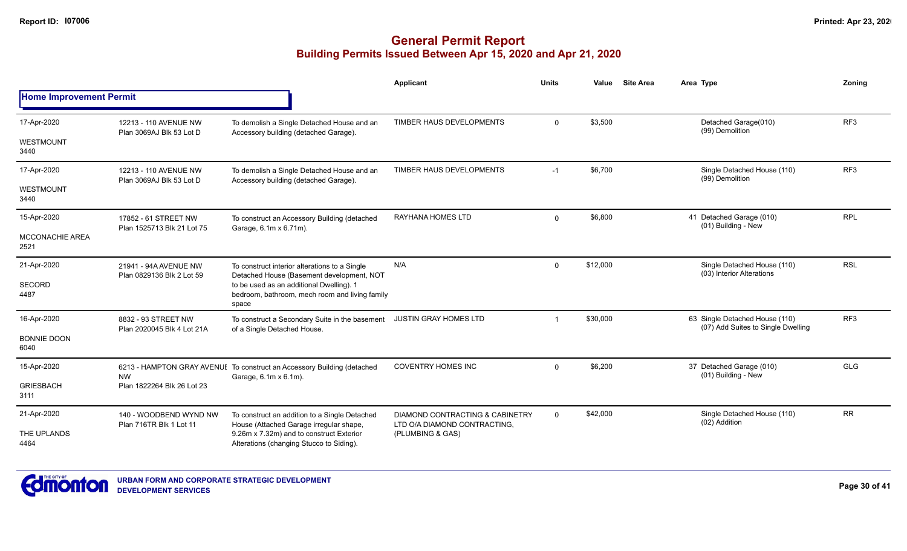|                                |                                                    |                                                                                                     | Applicant                                                                  | Units    | Value    | <b>Site Area</b> | Area Type                                                            | Zoning          |
|--------------------------------|----------------------------------------------------|-----------------------------------------------------------------------------------------------------|----------------------------------------------------------------------------|----------|----------|------------------|----------------------------------------------------------------------|-----------------|
| <b>Home Improvement Permit</b> |                                                    |                                                                                                     |                                                                            |          |          |                  |                                                                      |                 |
| 17-Apr-2020                    | 12213 - 110 AVENUE NW<br>Plan 3069AJ Blk 53 Lot D  | To demolish a Single Detached House and an<br>Accessory building (detached Garage).                 | TIMBER HAUS DEVELOPMENTS                                                   | $\Omega$ | \$3,500  |                  | Detached Garage(010)<br>(99) Demolition                              | RF3             |
| WESTMOUNT<br>3440              |                                                    |                                                                                                     |                                                                            |          |          |                  |                                                                      |                 |
| 17-Apr-2020                    | 12213 - 110 AVENUE NW<br>Plan 3069AJ Blk 53 Lot D  | To demolish a Single Detached House and an<br>Accessory building (detached Garage).                 | TIMBER HAUS DEVELOPMENTS                                                   | $-1$     | \$6,700  |                  | Single Detached House (110)<br>(99) Demolition                       | RF <sub>3</sub> |
| <b>WESTMOUNT</b><br>3440       |                                                    |                                                                                                     |                                                                            |          |          |                  |                                                                      |                 |
| 15-Apr-2020                    | 17852 - 61 STREET NW<br>Plan 1525713 Blk 21 Lot 75 | To construct an Accessory Building (detached<br>Garage, 6.1m x 6.71m).                              | RAYHANA HOMES LTD                                                          | $\Omega$ | \$6,800  |                  | 41 Detached Garage (010)<br>(01) Building - New                      | <b>RPL</b>      |
| <b>MCCONACHIE AREA</b><br>2521 |                                                    |                                                                                                     |                                                                            |          |          |                  |                                                                      |                 |
| 21-Apr-2020                    | 21941 - 94A AVENUE NW<br>Plan 0829136 Blk 2 Lot 59 | To construct interior alterations to a Single<br>Detached House (Basement development, NOT          | N/A                                                                        | $\Omega$ | \$12,000 |                  | Single Detached House (110)<br>(03) Interior Alterations             | <b>RSL</b>      |
| <b>SECORD</b><br>4487          |                                                    | to be used as an additional Dwelling). 1<br>bedroom, bathroom, mech room and living family<br>space |                                                                            |          |          |                  |                                                                      |                 |
| 16-Apr-2020                    | 8832 - 93 STREET NW<br>Plan 2020045 Blk 4 Lot 21A  | To construct a Secondary Suite in the basement<br>of a Single Detached House.                       | <b>JUSTIN GRAY HOMES LTD</b>                                               |          | \$30,000 |                  | 63 Single Detached House (110)<br>(07) Add Suites to Single Dwelling | RF <sub>3</sub> |
| <b>BONNIE DOON</b><br>6040     |                                                    |                                                                                                     |                                                                            |          |          |                  |                                                                      |                 |
| 15-Apr-2020                    |                                                    | 6213 - HAMPTON GRAY AVENUI To construct an Accessory Building (detached<br>Garage, 6.1m x 6.1m).    | <b>COVENTRY HOMES INC</b>                                                  | $\Omega$ | \$6,200  |                  | 37 Detached Garage (010)<br>(01) Building - New                      | <b>GLG</b>      |
| <b>GRIESBACH</b><br>3111       | <b>NW</b><br>Plan 1822264 Blk 26 Lot 23            |                                                                                                     |                                                                            |          |          |                  |                                                                      |                 |
| 21-Apr-2020                    | 140 - WOODBEND WYND NW<br>Plan 716TR Blk 1 Lot 11  | To construct an addition to a Single Detached<br>House (Attached Garage irregular shape,            | <b>DIAMOND CONTRACTING &amp; CABINETRY</b><br>LTD O/A DIAMOND CONTRACTING, | $\Omega$ | \$42,000 |                  | Single Detached House (110)<br>(02) Addition                         | <b>RR</b>       |
| THE UPLANDS<br>4464            |                                                    | 9.26m x 7.32m) and to construct Exterior<br>Alterations (changing Stucco to Siding).                | (PLUMBING & GAS)                                                           |          |          |                  |                                                                      |                 |

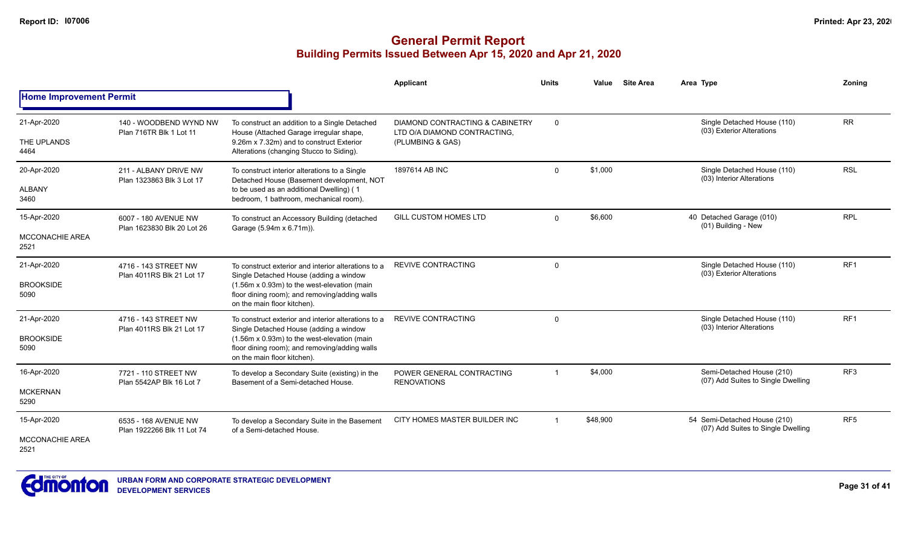|                                               |                                                    |                                                                                                                                                                                                                              | Applicant                                                                                      | <b>Units</b>   | Value    | <b>Site Area</b> | Area Type                                                          | Zonina          |
|-----------------------------------------------|----------------------------------------------------|------------------------------------------------------------------------------------------------------------------------------------------------------------------------------------------------------------------------------|------------------------------------------------------------------------------------------------|----------------|----------|------------------|--------------------------------------------------------------------|-----------------|
| <b>Home Improvement Permit</b>                |                                                    |                                                                                                                                                                                                                              |                                                                                                |                |          |                  |                                                                    |                 |
| 21-Apr-2020<br>THE UPLANDS<br>4464            | 140 - WOODBEND WYND NW<br>Plan 716TR Blk 1 Lot 11  | To construct an addition to a Single Detached<br>House (Attached Garage irregular shape,<br>9.26m x 7.32m) and to construct Exterior<br>Alterations (changing Stucco to Siding).                                             | <b>DIAMOND CONTRACTING &amp; CABINETRY</b><br>LTD O/A DIAMOND CONTRACTING,<br>(PLUMBING & GAS) | $\mathbf 0$    |          |                  | Single Detached House (110)<br>(03) Exterior Alterations           | <b>RR</b>       |
| 20-Apr-2020<br><b>ALBANY</b><br>3460          | 211 - ALBANY DRIVE NW<br>Plan 1323863 Blk 3 Lot 17 | To construct interior alterations to a Single<br>Detached House (Basement development, NOT<br>to be used as an additional Dwelling) (1<br>bedroom, 1 bathroom, mechanical room).                                             | 1897614 AB INC                                                                                 | $\mathbf 0$    | \$1,000  |                  | Single Detached House (110)<br>(03) Interior Alterations           | <b>RSL</b>      |
| 15-Apr-2020<br><b>MCCONACHIE AREA</b><br>2521 | 6007 - 180 AVENUE NW<br>Plan 1623830 Blk 20 Lot 26 | To construct an Accessory Building (detached<br>Garage (5.94m x 6.71m)).                                                                                                                                                     | <b>GILL CUSTOM HOMES LTD</b>                                                                   | $\mathbf 0$    | \$6,600  |                  | 40 Detached Garage (010)<br>(01) Building - New                    | <b>RPL</b>      |
| 21-Apr-2020<br><b>BROOKSIDE</b><br>5090       | 4716 - 143 STREET NW<br>Plan 4011RS Blk 21 Lot 17  | To construct exterior and interior alterations to a<br>Single Detached House (adding a window<br>(1.56m x 0.93m) to the west-elevation (main<br>floor dining room); and removing/adding walls<br>on the main floor kitchen). | <b>REVIVE CONTRACTING</b>                                                                      | $\mathbf 0$    |          |                  | Single Detached House (110)<br>(03) Exterior Alterations           | RF <sub>1</sub> |
| 21-Apr-2020<br><b>BROOKSIDE</b><br>5090       | 4716 - 143 STREET NW<br>Plan 4011RS Blk 21 Lot 17  | To construct exterior and interior alterations to a<br>Single Detached House (adding a window<br>(1.56m x 0.93m) to the west-elevation (main<br>floor dining room); and removing/adding walls<br>on the main floor kitchen). | <b>REVIVE CONTRACTING</b>                                                                      | $\Omega$       |          |                  | Single Detached House (110)<br>(03) Interior Alterations           | RF1             |
| 16-Apr-2020<br><b>MCKERNAN</b><br>5290        | 7721 - 110 STREET NW<br>Plan 5542AP Blk 16 Lot 7   | To develop a Secondary Suite (existing) in the<br>Basement of a Semi-detached House.                                                                                                                                         | POWER GENERAL CONTRACTING<br><b>RENOVATIONS</b>                                                |                | \$4,000  |                  | Semi-Detached House (210)<br>(07) Add Suites to Single Dwelling    | RF <sub>3</sub> |
| 15-Apr-2020<br><b>MCCONACHIE AREA</b><br>2521 | 6535 - 168 AVENUE NW<br>Plan 1922266 Blk 11 Lot 74 | To develop a Secondary Suite in the Basement<br>of a Semi-detached House.                                                                                                                                                    | CITY HOMES MASTER BUILDER INC                                                                  | $\overline{1}$ | \$48,900 |                  | 54 Semi-Detached House (210)<br>(07) Add Suites to Single Dwelling | RF <sub>5</sub> |

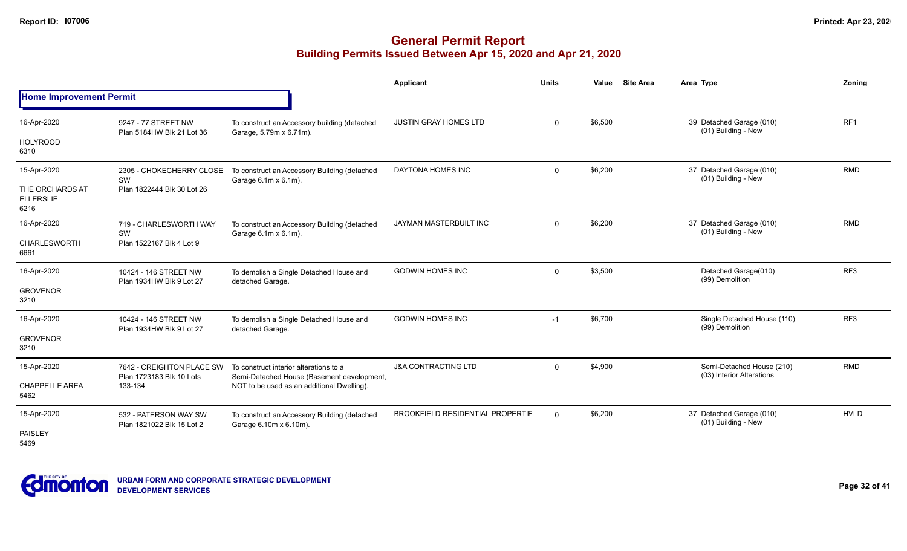|                                             |                                                       |                                                                                      | <b>Applicant</b>                        | <b>Units</b> | Value   | <b>Site Area</b> | Area Type                                              | Zoning          |
|---------------------------------------------|-------------------------------------------------------|--------------------------------------------------------------------------------------|-----------------------------------------|--------------|---------|------------------|--------------------------------------------------------|-----------------|
| <b>Home Improvement Permit</b>              |                                                       |                                                                                      |                                         |              |         |                  |                                                        |                 |
| 16-Apr-2020                                 | 9247 - 77 STREET NW<br>Plan 5184HW Blk 21 Lot 36      | To construct an Accessory building (detached<br>Garage, 5.79m x 6.71m).              | <b>JUSTIN GRAY HOMES LTD</b>            | $\Omega$     | \$6,500 |                  | 39 Detached Garage (010)<br>(01) Building - New        | RF1             |
| <b>HOLYROOD</b><br>6310                     |                                                       |                                                                                      |                                         |              |         |                  |                                                        |                 |
| 15-Apr-2020                                 | 2305 - CHOKECHERRY CLOSE<br>SW                        | To construct an Accessory Building (detached<br>Garage 6.1m x 6.1m).                 | DAYTONA HOMES INC                       | $\mathbf 0$  | \$6,200 |                  | 37 Detached Garage (010)<br>(01) Building - New        | <b>RMD</b>      |
| THE ORCHARDS AT<br><b>ELLERSLIE</b><br>6216 | Plan 1822444 Blk 30 Lot 26                            |                                                                                      |                                         |              |         |                  |                                                        |                 |
| 16-Apr-2020                                 | 719 - CHARLESWORTH WAY<br>SW                          | To construct an Accessory Building (detached<br>Garage 6.1m x 6.1m).                 | JAYMAN MASTERBUILT INC                  | $\mathbf 0$  | \$6,200 |                  | 37 Detached Garage (010)<br>(01) Building - New        | <b>RMD</b>      |
| <b>CHARLESWORTH</b><br>6661                 | Plan 1522167 Blk 4 Lot 9                              |                                                                                      |                                         |              |         |                  |                                                        |                 |
| 16-Apr-2020                                 | 10424 - 146 STREET NW<br>Plan 1934HW Blk 9 Lot 27     | To demolish a Single Detached House and<br>detached Garage.                          | <b>GODWIN HOMES INC</b>                 | $\mathbf 0$  | \$3,500 |                  | Detached Garage(010)<br>(99) Demolition                | RF3             |
| <b>GROVENOR</b><br>3210                     |                                                       |                                                                                      |                                         |              |         |                  |                                                        |                 |
| 16-Apr-2020                                 | 10424 - 146 STREET NW<br>Plan 1934HW Blk 9 Lot 27     | To demolish a Single Detached House and<br>detached Garage.                          | <b>GODWIN HOMES INC</b>                 | $-1$         | \$6,700 |                  | Single Detached House (110)<br>(99) Demolition         | RF <sub>3</sub> |
| <b>GROVENOR</b><br>3210                     |                                                       |                                                                                      |                                         |              |         |                  |                                                        |                 |
| 15-Apr-2020                                 | 7642 - CREIGHTON PLACE SW<br>Plan 1723183 Blk 10 Lots | To construct interior alterations to a<br>Semi-Detached House (Basement development, | <b>J&amp;A CONTRACTING LTD</b>          | $\mathbf 0$  | \$4,900 |                  | Semi-Detached House (210)<br>(03) Interior Alterations | <b>RMD</b>      |
| <b>CHAPPELLE AREA</b><br>5462               | 133-134                                               | NOT to be used as an additional Dwelling).                                           |                                         |              |         |                  |                                                        |                 |
| 15-Apr-2020                                 | 532 - PATERSON WAY SW<br>Plan 1821022 Blk 15 Lot 2    | To construct an Accessory Building (detached<br>Garage 6.10m x 6.10m).               | <b>BROOKFIELD RESIDENTIAL PROPERTIE</b> | $\Omega$     | \$6,200 |                  | 37 Detached Garage (010)<br>(01) Building - New        | <b>HVLD</b>     |
| PAISLEY<br>5469                             |                                                       |                                                                                      |                                         |              |         |                  |                                                        |                 |

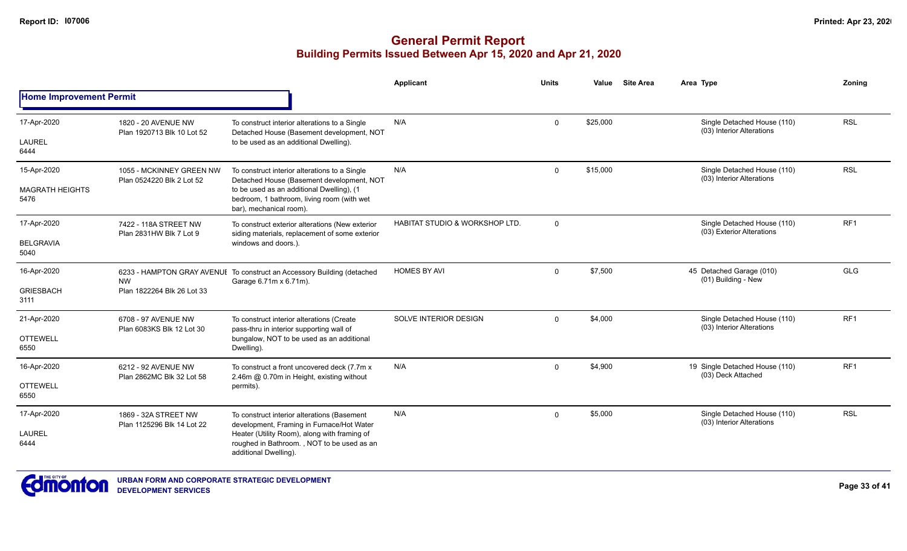|                                |                                                       |                                                                                                                     | <b>Applicant</b>                          | <b>Units</b> | Value    | <b>Site Area</b> | Area Type                                                | Zoning          |
|--------------------------------|-------------------------------------------------------|---------------------------------------------------------------------------------------------------------------------|-------------------------------------------|--------------|----------|------------------|----------------------------------------------------------|-----------------|
| <b>Home Improvement Permit</b> |                                                       |                                                                                                                     |                                           |              |          |                  |                                                          |                 |
| 17-Apr-2020                    | 1820 - 20 AVENUE NW<br>Plan 1920713 Blk 10 Lot 52     | To construct interior alterations to a Single<br>Detached House (Basement development, NOT                          | N/A                                       | $\mathbf 0$  | \$25,000 |                  | Single Detached House (110)<br>(03) Interior Alterations | <b>RSL</b>      |
| <b>LAUREL</b><br>6444          |                                                       | to be used as an additional Dwelling).                                                                              |                                           |              |          |                  |                                                          |                 |
| 15-Apr-2020                    | 1055 - MCKINNEY GREEN NW<br>Plan 0524220 Blk 2 Lot 52 | To construct interior alterations to a Single<br>Detached House (Basement development, NOT                          | N/A                                       | $\Omega$     | \$15,000 |                  | Single Detached House (110)<br>(03) Interior Alterations | <b>RSL</b>      |
| <b>MAGRATH HEIGHTS</b><br>5476 |                                                       | to be used as an additional Dwelling), (1<br>bedroom, 1 bathroom, living room (with wet<br>bar), mechanical room).  |                                           |              |          |                  |                                                          |                 |
| 17-Apr-2020                    | 7422 - 118A STREET NW<br>Plan 2831HW Blk 7 Lot 9      | To construct exterior alterations (New exterior<br>siding materials, replacement of some exterior                   | <b>HABITAT STUDIO &amp; WORKSHOP LTD.</b> | $\Omega$     |          |                  | Single Detached House (110)<br>(03) Exterior Alterations | RF <sub>1</sub> |
| <b>BELGRAVIA</b><br>5040       |                                                       | windows and doors.).                                                                                                |                                           |              |          |                  |                                                          |                 |
| 16-Apr-2020                    | <b>NW</b>                                             | 6233 - HAMPTON GRAY AVENUI To construct an Accessory Building (detached<br>Garage 6.71m x 6.71m).                   | <b>HOMES BY AVI</b>                       | $\Omega$     | \$7,500  |                  | 45 Detached Garage (010)<br>(01) Building - New          | <b>GLG</b>      |
| <b>GRIESBACH</b><br>3111       | Plan 1822264 Blk 26 Lot 33                            |                                                                                                                     |                                           |              |          |                  |                                                          |                 |
| 21-Apr-2020                    | 6708 - 97 AVENUE NW<br>Plan 6083KS Blk 12 Lot 30      | To construct interior alterations (Create<br>pass-thru in interior supporting wall of                               | SOLVE INTERIOR DESIGN                     | $\mathbf 0$  | \$4,000  |                  | Single Detached House (110)<br>(03) Interior Alterations | RF <sub>1</sub> |
| <b>OTTEWELL</b><br>6550        |                                                       | bungalow, NOT to be used as an additional<br>Dwelling).                                                             |                                           |              |          |                  |                                                          |                 |
| 16-Apr-2020                    | 6212 - 92 AVENUE NW                                   | To construct a front uncovered deck (7.7m x<br>2.46m @ 0.70m in Height, existing without                            | N/A                                       | $\mathbf 0$  | \$4,900  |                  | 19 Single Detached House (110)<br>(03) Deck Attached     | RF1             |
| <b>OTTEWELL</b><br>6550        | Plan 2862MC Blk 32 Lot 58                             | permits).                                                                                                           |                                           |              |          |                  |                                                          |                 |
| 17-Apr-2020                    | 1869 - 32A STREET NW<br>Plan 1125296 Blk 14 Lot 22    | To construct interior alterations (Basement<br>development, Framing in Furnace/Hot Water                            | N/A                                       | $\Omega$     | \$5,000  |                  | Single Detached House (110)<br>(03) Interior Alterations | <b>RSL</b>      |
| <b>LAUREL</b><br>6444          |                                                       | Heater (Utility Room), along with framing of<br>roughed in Bathroom., NOT to be used as an<br>additional Dwelling). |                                           |              |          |                  |                                                          |                 |

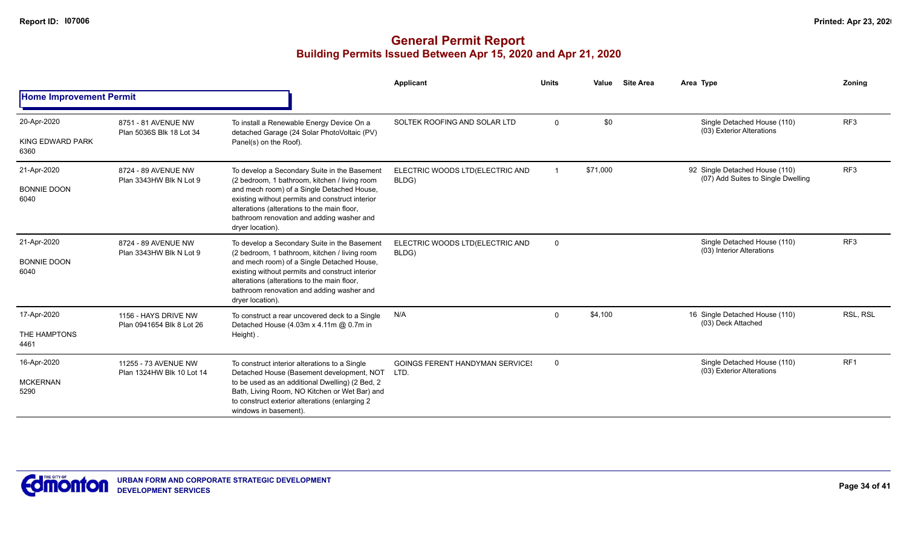|                                           |                                                   |                                                                                                                                                                                                                                                                                                                | Applicant                                      | <b>Units</b> | Value    | <b>Site Area</b> | Area Type                                                            | Zoning          |
|-------------------------------------------|---------------------------------------------------|----------------------------------------------------------------------------------------------------------------------------------------------------------------------------------------------------------------------------------------------------------------------------------------------------------------|------------------------------------------------|--------------|----------|------------------|----------------------------------------------------------------------|-----------------|
| <b>Home Improvement Permit</b>            |                                                   |                                                                                                                                                                                                                                                                                                                |                                                |              |          |                  |                                                                      |                 |
| 20-Apr-2020                               | 8751 - 81 AVENUE NW<br>Plan 5036S Blk 18 Lot 34   | To install a Renewable Energy Device On a<br>detached Garage (24 Solar PhotoVoltaic (PV)                                                                                                                                                                                                                       | SOLTEK ROOFING AND SOLAR LTD                   | $\Omega$     | \$0      |                  | Single Detached House (110)<br>(03) Exterior Alterations             | RF <sub>3</sub> |
| KING EDWARD PARK<br>6360                  |                                                   | Panel(s) on the Roof).                                                                                                                                                                                                                                                                                         |                                                |              |          |                  |                                                                      |                 |
| 21-Apr-2020                               | 8724 - 89 AVENUE NW<br>Plan 3343HW Blk N Lot 9    | To develop a Secondary Suite in the Basement<br>(2 bedroom, 1 bathroom, kitchen / living room                                                                                                                                                                                                                  | ELECTRIC WOODS LTD(ELECTRIC AND<br>BLDG)       |              | \$71,000 |                  | 92 Single Detached House (110)<br>(07) Add Suites to Single Dwelling | RF <sub>3</sub> |
| <b>BONNIE DOON</b><br>6040                |                                                   | and mech room) of a Single Detached House,<br>existing without permits and construct interior<br>alterations (alterations to the main floor,<br>bathroom renovation and adding washer and<br>dryer location).                                                                                                  |                                                |              |          |                  |                                                                      |                 |
| 21-Apr-2020<br><b>BONNIE DOON</b><br>6040 | 8724 - 89 AVENUE NW<br>Plan 3343HW Blk N Lot 9    | To develop a Secondary Suite in the Basement<br>(2 bedroom, 1 bathroom, kitchen / living room<br>and mech room) of a Single Detached House,<br>existing without permits and construct interior<br>alterations (alterations to the main floor,<br>bathroom renovation and adding washer and<br>dryer location). | ELECTRIC WOODS LTD(ELECTRIC AND<br>BLDG)       | $\Omega$     |          |                  | Single Detached House (110)<br>(03) Interior Alterations             | RF3             |
| 17-Apr-2020                               | 1156 - HAYS DRIVE NW                              | To construct a rear uncovered deck to a Single<br>Detached House (4.03m x 4.11m @ 0.7m in                                                                                                                                                                                                                      | N/A                                            | $\Omega$     | \$4,100  |                  | 16 Single Detached House (110)<br>(03) Deck Attached                 | RSL, RSL        |
| THE HAMPTONS<br>4461                      | Plan 0941654 Blk 8 Lot 26                         | Height).                                                                                                                                                                                                                                                                                                       |                                                |              |          |                  |                                                                      |                 |
| 16-Apr-2020                               | 11255 - 73 AVENUE NW<br>Plan 1324HW Blk 10 Lot 14 | To construct interior alterations to a Single<br>Detached House (Basement development, NOT                                                                                                                                                                                                                     | <b>GOINGS FERENT HANDYMAN SERVICES</b><br>LTD. | $\Omega$     |          |                  | Single Detached House (110)<br>(03) Exterior Alterations             | RF <sub>1</sub> |
| <b>MCKERNAN</b><br>5290                   |                                                   | to be used as an additional Dwelling) (2 Bed, 2<br>Bath, Living Room, NO Kitchen or Wet Bar) and<br>to construct exterior alterations (enlarging 2<br>windows in basement).                                                                                                                                    |                                                |              |          |                  |                                                                      |                 |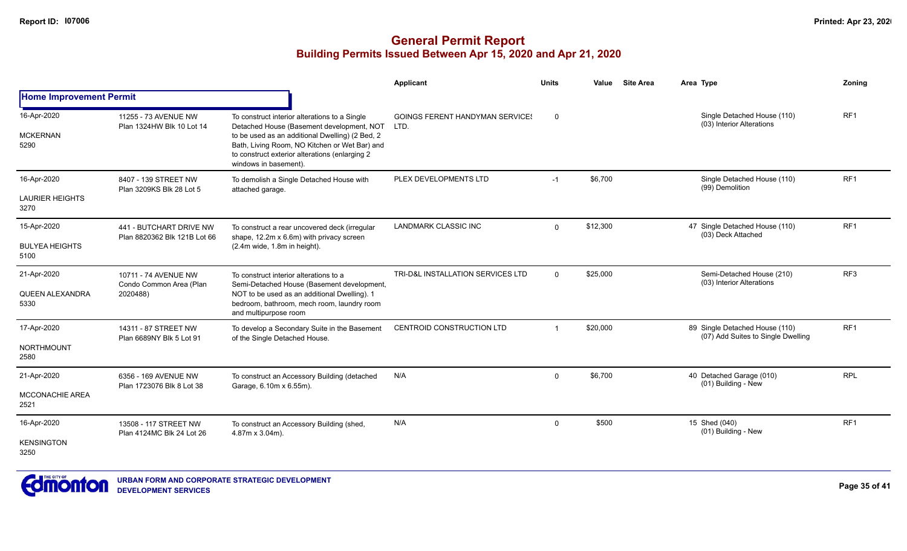|                                               |                                                             |                                                                                                                                                                                                                                                                           | <b>Applicant</b>                               | <b>Units</b>            | <b>Site Area</b><br>Value | Area Type                                                            | <b>Zoning</b>   |
|-----------------------------------------------|-------------------------------------------------------------|---------------------------------------------------------------------------------------------------------------------------------------------------------------------------------------------------------------------------------------------------------------------------|------------------------------------------------|-------------------------|---------------------------|----------------------------------------------------------------------|-----------------|
| <b>Home Improvement Permit</b>                |                                                             |                                                                                                                                                                                                                                                                           |                                                |                         |                           |                                                                      |                 |
| 16-Apr-2020<br><b>MCKERNAN</b><br>5290        | 11255 - 73 AVENUE NW<br>Plan 1324HW Blk 10 Lot 14           | To construct interior alterations to a Single<br>Detached House (Basement development, NOT<br>to be used as an additional Dwelling) (2 Bed, 2<br>Bath, Living Room, NO Kitchen or Wet Bar) and<br>to construct exterior alterations (enlarging 2<br>windows in basement). | <b>GOINGS FERENT HANDYMAN SERVICES</b><br>LTD. | 0                       |                           | Single Detached House (110)<br>(03) Interior Alterations             | RF <sub>1</sub> |
| 16-Apr-2020<br><b>LAURIER HEIGHTS</b><br>3270 | 8407 - 139 STREET NW<br>Plan 3209KS Blk 28 Lot 5            | To demolish a Single Detached House with<br>attached garage.                                                                                                                                                                                                              | PLEX DEVELOPMENTS LTD                          | $-1$                    | \$6,700                   | Single Detached House (110)<br>(99) Demolition                       | RF <sub>1</sub> |
| 15-Apr-2020<br><b>BULYEA HEIGHTS</b><br>5100  | 441 - BUTCHART DRIVE NW<br>Plan 8820362 Blk 121B Lot 66     | To construct a rear uncovered deck (irregular<br>shape, 12.2m x 6.6m) with privacy screen<br>(2.4m wide, 1.8m in height).                                                                                                                                                 | <b>LANDMARK CLASSIC INC</b>                    | $\Omega$                | \$12,300                  | 47 Single Detached House (110)<br>(03) Deck Attached                 | RF <sub>1</sub> |
| 21-Apr-2020<br>QUEEN ALEXANDRA<br>5330        | 10711 - 74 AVENUE NW<br>Condo Common Area (Plan<br>2020488) | To construct interior alterations to a<br>Semi-Detached House (Basement development,<br>NOT to be used as an additional Dwelling). 1<br>bedroom, bathroom, mech room, laundry room<br>and multipurpose room                                                               | TRI-D&L INSTALLATION SERVICES LTD              | $\Omega$                | \$25,000                  | Semi-Detached House (210)<br>(03) Interior Alterations               | RF <sub>3</sub> |
| 17-Apr-2020<br><b>NORTHMOUNT</b><br>2580      | 14311 - 87 STREET NW<br>Plan 6689NY Blk 5 Lot 91            | To develop a Secondary Suite in the Basement<br>of the Single Detached House.                                                                                                                                                                                             | CENTROID CONSTRUCTION LTD                      | $\overline{\mathbf{1}}$ | \$20,000                  | 89 Single Detached House (110)<br>(07) Add Suites to Single Dwelling | RF1             |
| 21-Apr-2020<br>MCCONACHIE AREA<br>2521        | 6356 - 169 AVENUE NW<br>Plan 1723076 Blk 8 Lot 38           | To construct an Accessory Building (detached<br>Garage, 6.10m x 6.55m).                                                                                                                                                                                                   | N/A                                            | $\mathbf 0$             | \$6,700                   | 40 Detached Garage (010)<br>(01) Building - New                      | <b>RPL</b>      |
| 16-Apr-2020<br><b>KENSINGTON</b><br>3250      | 13508 - 117 STREET NW<br>Plan 4124MC Blk 24 Lot 26          | To construct an Accessory Building (shed,<br>4.87m x 3.04m).                                                                                                                                                                                                              | N/A                                            | $\mathbf 0$             | \$500                     | 15 Shed (040)<br>(01) Building - New                                 | RF <sub>1</sub> |

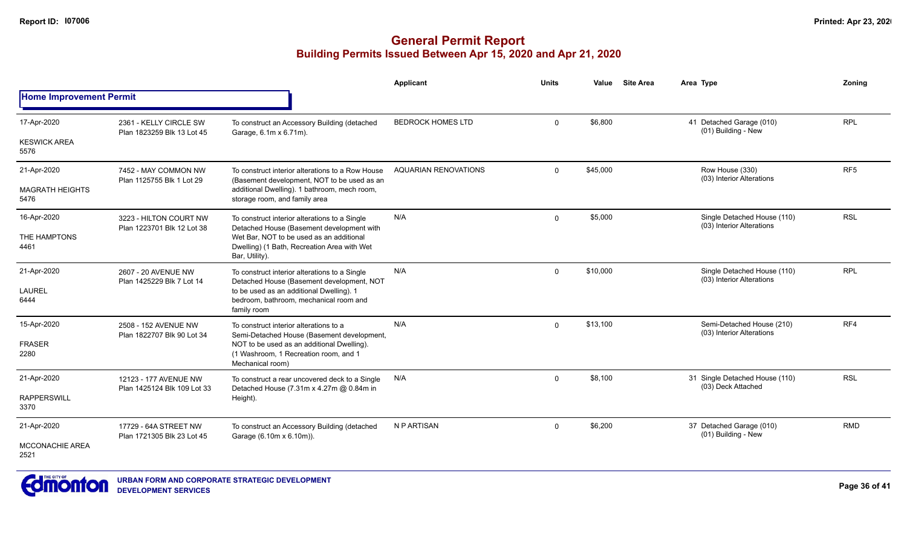|                                |                                                      |                                                                                                                              | Applicant                   | <b>Units</b> | Value    | <b>Site Area</b> | Area Type                                                | Zoning          |
|--------------------------------|------------------------------------------------------|------------------------------------------------------------------------------------------------------------------------------|-----------------------------|--------------|----------|------------------|----------------------------------------------------------|-----------------|
| <b>Home Improvement Permit</b> |                                                      |                                                                                                                              |                             |              |          |                  |                                                          |                 |
| 17-Apr-2020                    | 2361 - KELLY CIRCLE SW<br>Plan 1823259 Blk 13 Lot 45 | To construct an Accessory Building (detached<br>Garage, 6.1m x 6.71m).                                                       | <b>BEDROCK HOMES LTD</b>    | $\mathbf 0$  | \$6,800  |                  | 41 Detached Garage (010)<br>(01) Building - New          | <b>RPL</b>      |
| <b>KESWICK AREA</b><br>5576    |                                                      |                                                                                                                              |                             |              |          |                  |                                                          |                 |
| 21-Apr-2020                    | 7452 - MAY COMMON NW<br>Plan 1125755 Blk 1 Lot 29    | To construct interior alterations to a Row House                                                                             | <b>AQUARIAN RENOVATIONS</b> | $\mathbf 0$  | \$45,000 |                  | Row House (330)<br>(03) Interior Alterations             | RF <sub>5</sub> |
| <b>MAGRATH HEIGHTS</b><br>5476 |                                                      | (Basement development, NOT to be used as an<br>additional Dwelling). 1 bathroom, mech room,<br>storage room, and family area |                             |              |          |                  |                                                          |                 |
| 16-Apr-2020                    | 3223 - HILTON COURT NW                               | To construct interior alterations to a Single<br>Detached House (Basement development with                                   | N/A                         | $\mathbf 0$  | \$5,000  |                  | Single Detached House (110)<br>(03) Interior Alterations | <b>RSL</b>      |
| THE HAMPTONS<br>4461           | Plan 1223701 Blk 12 Lot 38                           | Wet Bar, NOT to be used as an additional<br>Dwelling) (1 Bath, Recreation Area with Wet<br>Bar, Utility).                    |                             |              |          |                  |                                                          |                 |
| 21-Apr-2020                    | 2607 - 20 AVENUE NW                                  | To construct interior alterations to a Single<br>Detached House (Basement development, NOT                                   | N/A                         | $\Omega$     | \$10,000 |                  | Single Detached House (110)<br>(03) Interior Alterations | <b>RPL</b>      |
| LAUREL<br>6444                 | Plan 1425229 Blk 7 Lot 14                            | to be used as an additional Dwelling). 1<br>bedroom, bathroom, mechanical room and<br>family room                            |                             |              |          |                  |                                                          |                 |
| 15-Apr-2020                    | 2508 - 152 AVENUE NW<br>Plan 1822707 Blk 90 Lot 34   | To construct interior alterations to a<br>Semi-Detached House (Basement development,                                         | N/A                         | $\Omega$     | \$13,100 |                  | Semi-Detached House (210)<br>(03) Interior Alterations   | RF4             |
| <b>FRASER</b><br>2280          |                                                      | NOT to be used as an additional Dwelling).<br>(1 Washroom, 1 Recreation room, and 1<br>Mechanical room)                      |                             |              |          |                  |                                                          |                 |
| 21-Apr-2020                    | 12123 - 177 AVENUE NW                                | To construct a rear uncovered deck to a Single<br>Detached House (7.31m x 4.27m @ 0.84m in                                   | N/A                         | $\Omega$     | \$8,100  |                  | 31 Single Detached House (110)<br>(03) Deck Attached     | <b>RSL</b>      |
| <b>RAPPERSWILL</b><br>3370     | Plan 1425124 Blk 109 Lot 33                          | Height).                                                                                                                     |                             |              |          |                  |                                                          |                 |
| 21-Apr-2020                    | 17729 - 64A STREET NW<br>Plan 1721305 Blk 23 Lot 45  | To construct an Accessory Building (detached<br>Garage (6.10m x 6.10m)).                                                     | N P ARTISAN                 | $\mathbf{0}$ | \$6,200  |                  | 37 Detached Garage (010)<br>(01) Building - New          | <b>RMD</b>      |
| MCCONACHIE AREA<br>2521        |                                                      |                                                                                                                              |                             |              |          |                  |                                                          |                 |

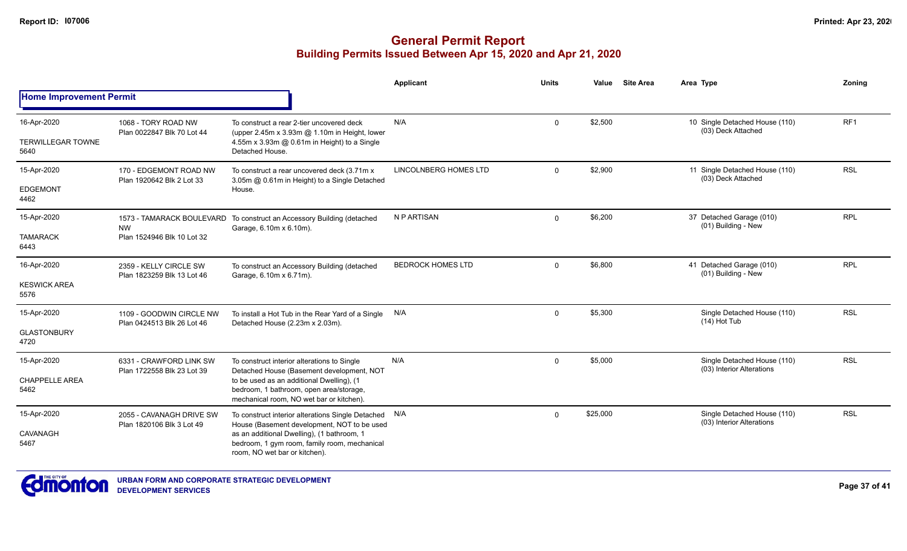|                                  |                                                        |                                                                                                                                                                                                                              | Applicant                    | <b>Units</b> | Value    | <b>Site Area</b> | Area Type                                                | Zonina     |
|----------------------------------|--------------------------------------------------------|------------------------------------------------------------------------------------------------------------------------------------------------------------------------------------------------------------------------------|------------------------------|--------------|----------|------------------|----------------------------------------------------------|------------|
| <b>Home Improvement Permit</b>   |                                                        |                                                                                                                                                                                                                              |                              |              |          |                  |                                                          |            |
| 16-Apr-2020                      | 1068 - TORY ROAD NW<br>Plan 0022847 Blk 70 Lot 44      | To construct a rear 2-tier uncovered deck                                                                                                                                                                                    | N/A                          | 0            | \$2,500  |                  | 10 Single Detached House (110)<br>(03) Deck Attached     | RF1        |
| <b>TERWILLEGAR TOWNE</b><br>5640 |                                                        | (upper 2.45m x 3.93m @ 1.10m in Height, lower<br>4.55m x 3.93m @ 0.61m in Height) to a Single<br>Detached House.                                                                                                             |                              |              |          |                  |                                                          |            |
| 15-Apr-2020                      | 170 - EDGEMONT ROAD NW<br>Plan 1920642 Blk 2 Lot 33    | To construct a rear uncovered deck (3.71m x<br>3.05m @ 0.61m in Height) to a Single Detached                                                                                                                                 | <b>LINCOLNBERG HOMES LTD</b> | $\mathbf{0}$ | \$2,900  |                  | 11 Single Detached House (110)<br>(03) Deck Attached     | <b>RSL</b> |
| <b>EDGEMONT</b><br>4462          |                                                        | House.                                                                                                                                                                                                                       |                              |              |          |                  |                                                          |            |
| 15-Apr-2020                      | 1573 - TAMARACK BOULEVARD<br><b>NW</b>                 | To construct an Accessory Building (detached<br>Garage, 6.10m x 6.10m).                                                                                                                                                      | N P ARTISAN                  | $\mathbf 0$  | \$6,200  |                  | 37 Detached Garage (010)<br>(01) Building - New          | <b>RPL</b> |
| <b>TAMARACK</b><br>6443          | Plan 1524946 Blk 10 Lot 32                             |                                                                                                                                                                                                                              |                              |              |          |                  |                                                          |            |
| 16-Apr-2020                      | 2359 - KELLY CIRCLE SW<br>Plan 1823259 Blk 13 Lot 46   | To construct an Accessory Building (detached<br>Garage, 6.10m x 6.71m).                                                                                                                                                      | <b>BEDROCK HOMES LTD</b>     | $\mathbf 0$  | \$6,800  |                  | 41 Detached Garage (010)<br>(01) Building - New          | <b>RPL</b> |
| <b>KESWICK AREA</b><br>5576      |                                                        |                                                                                                                                                                                                                              |                              |              |          |                  |                                                          |            |
| 15-Apr-2020                      | 1109 - GOODWIN CIRCLE NW<br>Plan 0424513 Blk 26 Lot 46 | To install a Hot Tub in the Rear Yard of a Single N/A<br>Detached House (2.23m x 2.03m).                                                                                                                                     |                              | $\mathbf{0}$ | \$5,300  |                  | Single Detached House (110)<br>$(14)$ Hot Tub            | <b>RSL</b> |
| <b>GLASTONBURY</b><br>4720       |                                                        |                                                                                                                                                                                                                              |                              |              |          |                  |                                                          |            |
| 15-Apr-2020                      | 6331 - CRAWFORD LINK SW<br>Plan 1722558 Blk 23 Lot 39  | To construct interior alterations to Single<br>Detached House (Basement development, NOT<br>to be used as an additional Dwelling), (1<br>bedroom, 1 bathroom, open area/storage,<br>mechanical room, NO wet bar or kitchen). | N/A                          | $\Omega$     | \$5,000  |                  | Single Detached House (110)<br>(03) Interior Alterations | <b>RSL</b> |
| <b>CHAPPELLE AREA</b><br>5462    |                                                        |                                                                                                                                                                                                                              |                              |              |          |                  |                                                          |            |
| 15-Apr-2020                      | 2055 - CAVANAGH DRIVE SW<br>Plan 1820106 Blk 3 Lot 49  | To construct interior alterations Single Detached N/A<br>House (Basement development, NOT to be used                                                                                                                         |                              | $\Omega$     | \$25,000 |                  | Single Detached House (110)<br>(03) Interior Alterations | <b>RSL</b> |
| CAVANAGH<br>5467                 |                                                        | as an additional Dwelling), (1 bathroom, 1<br>bedroom, 1 gym room, family room, mechanical<br>room, NO wet bar or kitchen).                                                                                                  |                              |              |          |                  |                                                          |            |

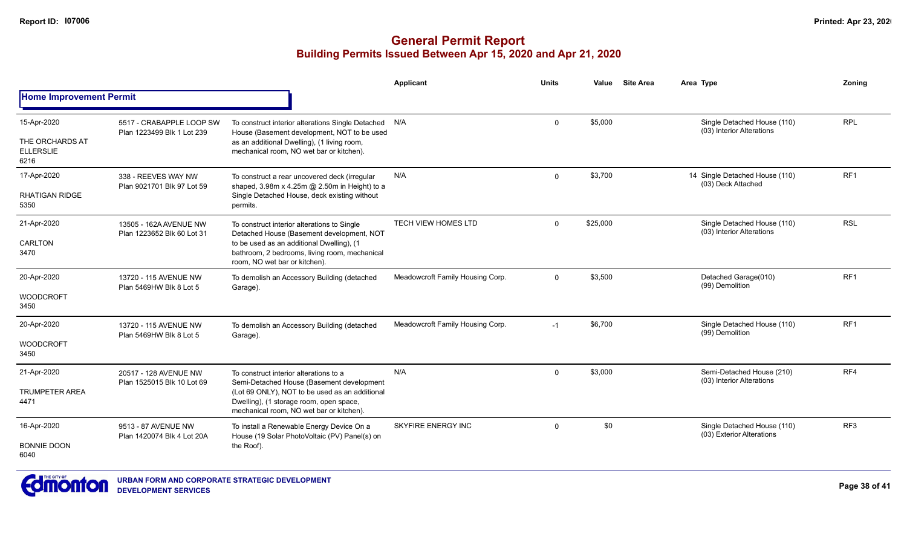|                                                            |                                                        |                                                                                                                                                                                                                              | <b>Applicant</b>                 | <b>Units</b> | Value    | <b>Site Area</b> | Area Type                                                | Zoning          |
|------------------------------------------------------------|--------------------------------------------------------|------------------------------------------------------------------------------------------------------------------------------------------------------------------------------------------------------------------------------|----------------------------------|--------------|----------|------------------|----------------------------------------------------------|-----------------|
| <b>Home Improvement Permit</b>                             |                                                        |                                                                                                                                                                                                                              |                                  |              |          |                  |                                                          |                 |
| 15-Apr-2020<br>THE ORCHARDS AT<br><b>ELLERSLIE</b><br>6216 | 5517 - CRABAPPLE LOOP SW<br>Plan 1223499 Blk 1 Lot 239 | To construct interior alterations Single Detached N/A<br>House (Basement development, NOT to be used<br>as an additional Dwelling), (1 living room,<br>mechanical room, NO wet bar or kitchen).                              |                                  | $\Omega$     | \$5,000  |                  | Single Detached House (110)<br>(03) Interior Alterations | <b>RPL</b>      |
| 17-Apr-2020<br><b>RHATIGAN RIDGE</b><br>5350               | 338 - REEVES WAY NW<br>Plan 9021701 Blk 97 Lot 59      | To construct a rear uncovered deck (irregular<br>shaped, 3.98m x 4.25m @ 2.50m in Height) to a<br>Single Detached House, deck existing without<br>permits.                                                                   | N/A                              | $\Omega$     | \$3,700  |                  | 14 Single Detached House (110)<br>(03) Deck Attached     | RF <sub>1</sub> |
| 21-Apr-2020<br>CARLTON<br>3470                             | 13505 - 162A AVENUE NW<br>Plan 1223652 Blk 60 Lot 31   | To construct interior alterations to Single<br>Detached House (Basement development, NOT<br>to be used as an additional Dwelling), (1<br>bathroom, 2 bedrooms, living room, mechanical<br>room, NO wet bar or kitchen).      | <b>TECH VIEW HOMES LTD</b>       | $\Omega$     | \$25,000 |                  | Single Detached House (110)<br>(03) Interior Alterations | <b>RSL</b>      |
| 20-Apr-2020<br><b>WOODCROFT</b><br>3450                    | 13720 - 115 AVENUE NW<br>Plan 5469HW Blk 8 Lot 5       | To demolish an Accessory Building (detached<br>Garage).                                                                                                                                                                      | Meadowcroft Family Housing Corp. | $\mathbf 0$  | \$3,500  |                  | Detached Garage(010)<br>(99) Demolition                  | RF <sub>1</sub> |
| 20-Apr-2020<br><b>WOODCROFT</b><br>3450                    | 13720 - 115 AVENUE NW<br>Plan 5469HW Blk 8 Lot 5       | To demolish an Accessory Building (detached<br>Garage).                                                                                                                                                                      | Meadowcroft Family Housing Corp. | $-1$         | \$6,700  |                  | Single Detached House (110)<br>(99) Demolition           | RF <sub>1</sub> |
| 21-Apr-2020<br><b>TRUMPETER AREA</b><br>4471               | 20517 - 128 AVENUE NW<br>Plan 1525015 Blk 10 Lot 69    | To construct interior alterations to a<br>Semi-Detached House (Basement development<br>(Lot 69 ONLY), NOT to be used as an additional<br>Dwelling), (1 storage room, open space,<br>mechanical room, NO wet bar or kitchen). | N/A                              | $\Omega$     | \$3,000  |                  | Semi-Detached House (210)<br>(03) Interior Alterations   | RF4             |
| 16-Apr-2020<br><b>BONNIE DOON</b><br>6040                  | 9513 - 87 AVENUE NW<br>Plan 1420074 Blk 4 Lot 20A      | To install a Renewable Energy Device On a<br>House (19 Solar PhotoVoltaic (PV) Panel(s) on<br>the Roof).                                                                                                                     | <b>SKYFIRE ENERGY INC</b>        | $\mathbf 0$  | \$0      |                  | Single Detached House (110)<br>(03) Exterior Alterations | RF3             |

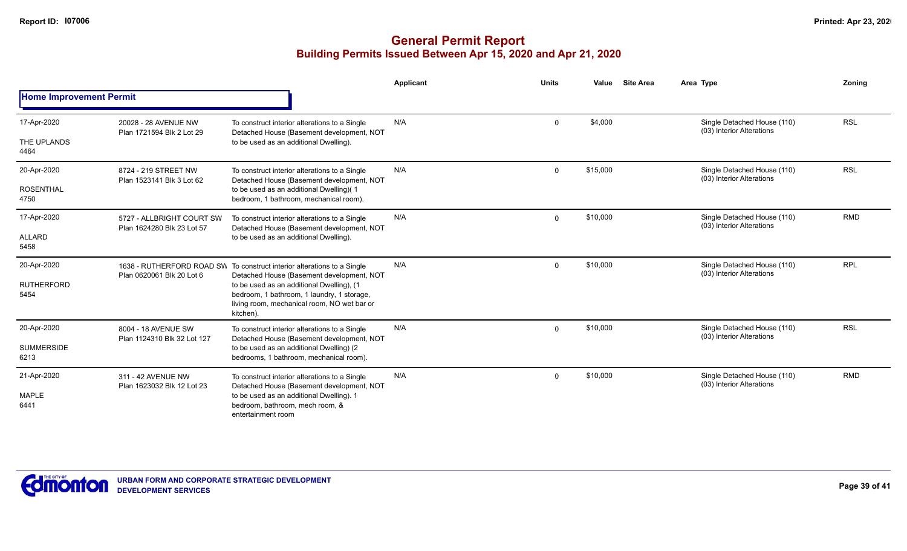|                                |                                                         |                                                                                                                                                                                                                                                                             | <b>Applicant</b> | <b>Units</b> | Value    | <b>Site Area</b> | Area Type                                                | Zonina     |
|--------------------------------|---------------------------------------------------------|-----------------------------------------------------------------------------------------------------------------------------------------------------------------------------------------------------------------------------------------------------------------------------|------------------|--------------|----------|------------------|----------------------------------------------------------|------------|
| <b>Home Improvement Permit</b> |                                                         |                                                                                                                                                                                                                                                                             |                  |              |          |                  |                                                          |            |
| 17-Apr-2020                    | 20028 - 28 AVENUE NW                                    | To construct interior alterations to a Single<br>Detached House (Basement development, NOT<br>to be used as an additional Dwelling).                                                                                                                                        | N/A              | $\Omega$     | \$4,000  |                  | Single Detached House (110)<br>(03) Interior Alterations | <b>RSL</b> |
| THE UPLANDS<br>4464            | Plan 1721594 Blk 2 Lot 29                               |                                                                                                                                                                                                                                                                             |                  |              |          |                  |                                                          |            |
| 20-Apr-2020                    | 8724 - 219 STREET NW<br>Plan 1523141 Blk 3 Lot 62       | To construct interior alterations to a Single<br>Detached House (Basement development, NOT<br>to be used as an additional Dwelling)(1<br>bedroom, 1 bathroom, mechanical room).                                                                                             | N/A              | $\Omega$     | \$15,000 |                  | Single Detached House (110)<br>(03) Interior Alterations | <b>RSL</b> |
| <b>ROSENTHAL</b><br>4750       |                                                         |                                                                                                                                                                                                                                                                             |                  |              |          |                  |                                                          |            |
| 17-Apr-2020                    | 5727 - ALLBRIGHT COURT SW<br>Plan 1624280 Blk 23 Lot 57 | To construct interior alterations to a Single<br>Detached House (Basement development, NOT<br>to be used as an additional Dwelling).                                                                                                                                        | N/A              | $\mathbf{0}$ | \$10,000 |                  | Single Detached House (110)<br>(03) Interior Alterations | <b>RMD</b> |
| ALLARD<br>5458                 |                                                         |                                                                                                                                                                                                                                                                             |                  |              |          |                  |                                                          |            |
| 20-Apr-2020                    | Plan 0620061 Blk 20 Lot 6                               | 1638 - RUTHERFORD ROAD SW To construct interior alterations to a Single<br>Detached House (Basement development, NOT<br>to be used as an additional Dwelling), (1<br>bedroom, 1 bathroom, 1 laundry, 1 storage,<br>living room, mechanical room, NO wet bar or<br>kitchen). | N/A              | $\mathbf{0}$ | \$10,000 |                  | Single Detached House (110)<br>(03) Interior Alterations | <b>RPL</b> |
| <b>RUTHERFORD</b><br>5454      |                                                         |                                                                                                                                                                                                                                                                             |                  |              |          |                  |                                                          |            |
| 20-Apr-2020                    | 8004 - 18 AVENUE SW<br>Plan 1124310 Blk 32 Lot 127      | To construct interior alterations to a Single<br>Detached House (Basement development, NOT<br>to be used as an additional Dwelling) (2<br>bedrooms, 1 bathroom, mechanical room).                                                                                           | N/A              | $\Omega$     | \$10,000 |                  | Single Detached House (110)<br>(03) Interior Alterations | <b>RSL</b> |
| <b>SUMMERSIDE</b><br>6213      |                                                         |                                                                                                                                                                                                                                                                             |                  |              |          |                  |                                                          |            |
| 21-Apr-2020                    | 311 - 42 AVENUE NW<br>Plan 1623032 Blk 12 Lot 23        | To construct interior alterations to a Single<br>Detached House (Basement development, NOT<br>to be used as an additional Dwelling). 1<br>bedroom, bathroom, mech room, &<br>entertainment room                                                                             | N/A              | $\mathbf{0}$ | \$10,000 |                  | Single Detached House (110)<br>(03) Interior Alterations | <b>RMD</b> |
| <b>MAPLE</b><br>6441           |                                                         |                                                                                                                                                                                                                                                                             |                  |              |          |                  |                                                          |            |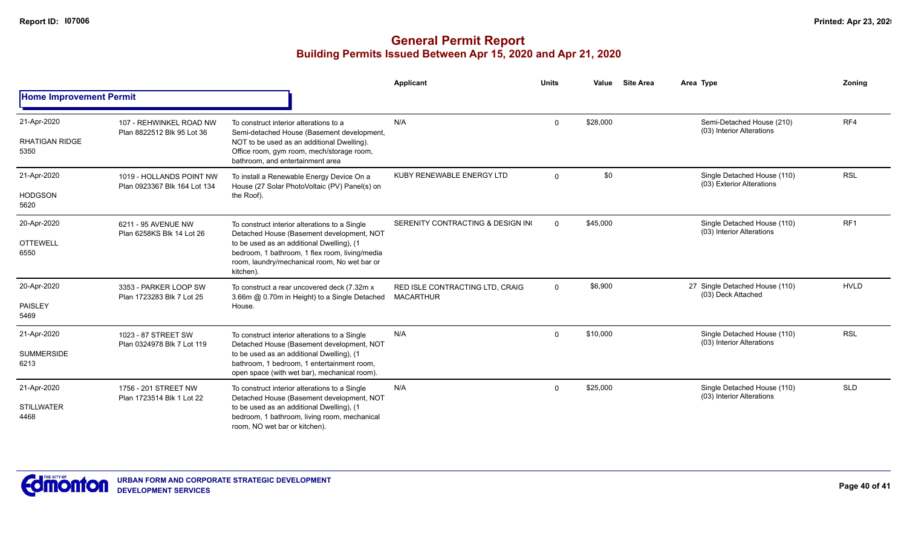|                                              |                                                          |                                                                                                                                                                                                                                                        | <b>Applicant</b>                                    | <b>Units</b> | Value    | <b>Site Area</b> | Area Type                                                | Zoning          |
|----------------------------------------------|----------------------------------------------------------|--------------------------------------------------------------------------------------------------------------------------------------------------------------------------------------------------------------------------------------------------------|-----------------------------------------------------|--------------|----------|------------------|----------------------------------------------------------|-----------------|
| <b>Home Improvement Permit</b>               |                                                          |                                                                                                                                                                                                                                                        |                                                     |              |          |                  |                                                          |                 |
| 21-Apr-2020<br><b>RHATIGAN RIDGE</b><br>5350 | 107 - REHWINKEL ROAD NW<br>Plan 8822512 Blk 95 Lot 36    | To construct interior alterations to a<br>Semi-detached House (Basement development,<br>NOT to be used as an additional Dwelling).<br>Office room, gym room, mech/storage room,<br>bathroom, and entertainment area                                    | N/A                                                 | $\mathbf 0$  | \$28,000 |                  | Semi-Detached House (210)<br>(03) Interior Alterations   | RF4             |
| 21-Apr-2020<br><b>HODGSON</b><br>5620        | 1019 - HOLLANDS POINT NW<br>Plan 0923367 Blk 164 Lot 134 | To install a Renewable Energy Device On a<br>House (27 Solar PhotoVoltaic (PV) Panel(s) on<br>the Roof).                                                                                                                                               | KUBY RENEWABLE ENERGY LTD                           | $\Omega$     | \$0      |                  | Single Detached House (110)<br>(03) Exterior Alterations | <b>RSL</b>      |
| 20-Apr-2020<br><b>OTTEWELL</b><br>6550       | 6211 - 95 AVENUE NW<br>Plan 6258KS Blk 14 Lot 26         | To construct interior alterations to a Single<br>Detached House (Basement development, NOT<br>to be used as an additional Dwelling), (1<br>bedroom, 1 bathroom, 1 flex room, living/media<br>room, laundry/mechanical room, No wet bar or<br>kitchen). | SERENITY CONTRACTING & DESIGN IN                    | $\Omega$     | \$45,000 |                  | Single Detached House (110)<br>(03) Interior Alterations | RF <sub>1</sub> |
| 20-Apr-2020<br>PAISLEY<br>5469               | 3353 - PARKER LOOP SW<br>Plan 1723283 Blk 7 Lot 25       | To construct a rear uncovered deck (7.32m x)<br>3.66m @ 0.70m in Height) to a Single Detached<br>House.                                                                                                                                                | RED ISLE CONTRACTING LTD, CRAIG<br><b>MACARTHUR</b> | $\mathbf 0$  | \$6,900  |                  | 27 Single Detached House (110)<br>(03) Deck Attached     | <b>HVLD</b>     |
| 21-Apr-2020<br><b>SUMMERSIDE</b><br>6213     | 1023 - 87 STREET SW<br>Plan 0324978 Blk 7 Lot 119        | To construct interior alterations to a Single<br>Detached House (Basement development, NOT<br>to be used as an additional Dwelling), (1<br>bathroom, 1 bedroom, 1 entertainment room,<br>open space (with wet bar), mechanical room).                  | N/A                                                 | $\mathbf 0$  | \$10,000 |                  | Single Detached House (110)<br>(03) Interior Alterations | <b>RSL</b>      |
| 21-Apr-2020<br><b>STILLWATER</b><br>4468     | 1756 - 201 STREET NW<br>Plan 1723514 Blk 1 Lot 22        | To construct interior alterations to a Single<br>Detached House (Basement development, NOT<br>to be used as an additional Dwelling), (1<br>bedroom, 1 bathroom, living room, mechanical<br>room, NO wet bar or kitchen).                               | N/A                                                 | $\Omega$     | \$25,000 |                  | Single Detached House (110)<br>(03) Interior Alterations | <b>SLD</b>      |